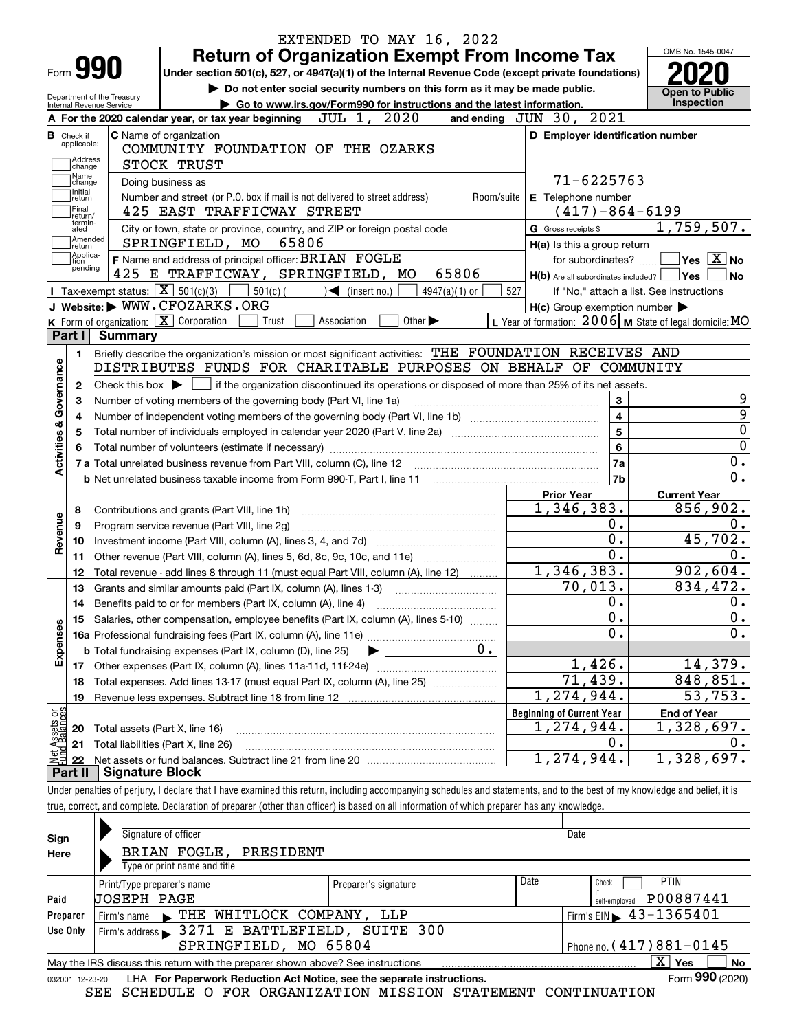|                                      |                                                        | EXTENDED TO MAY 16, 2022                                                                                                                                                   |                                                           | OMB No. 1545-0047                           |
|--------------------------------------|--------------------------------------------------------|----------------------------------------------------------------------------------------------------------------------------------------------------------------------------|-----------------------------------------------------------|---------------------------------------------|
| Form 990                             |                                                        | <b>Return of Organization Exempt From Income Tax</b><br>Under section 501(c), 527, or 4947(a)(1) of the Internal Revenue Code (except private foundations)                 |                                                           |                                             |
|                                      |                                                        | Do not enter social security numbers on this form as it may be made public.                                                                                                |                                                           |                                             |
|                                      | Department of the Treasury<br>Internal Revenue Service | Go to www.irs.gov/Form990 for instructions and the latest information.                                                                                                     |                                                           | <b>Open to Public</b><br>Inspection         |
|                                      |                                                        | JUL 1, 2020<br>A For the 2020 calendar year, or tax year beginning                                                                                                         | and ending JUN 30, 2021                                   |                                             |
| <b>B</b> Check if                    |                                                        | C Name of organization                                                                                                                                                     | D Employer identification number                          |                                             |
| applicable:                          |                                                        | COMMUNITY FOUNDATION OF THE OZARKS                                                                                                                                         |                                                           |                                             |
| Address<br>change                    |                                                        | STOCK TRUST                                                                                                                                                                |                                                           |                                             |
| Name<br>change                       |                                                        | Doing business as                                                                                                                                                          | 71-6225763                                                |                                             |
| Initial<br>return                    |                                                        | Number and street (or P.O. box if mail is not delivered to street address)<br>Room/suite                                                                                   | E Telephone number                                        |                                             |
| Final<br>return/                     |                                                        | 425 EAST TRAFFICWAY STREET                                                                                                                                                 | $(417) - 864 - 6199$                                      |                                             |
| termin-<br>ated                      |                                                        | City or town, state or province, country, and ZIP or foreign postal code                                                                                                   | G Gross receipts \$                                       | 1,759,507.                                  |
| Amended<br>∣return                   |                                                        | SPRINGFIELD, MO<br>65806                                                                                                                                                   | $H(a)$ is this a group return                             |                                             |
| Applica-<br>tion                     |                                                        | F Name and address of principal officer: BRIAN FOGLE                                                                                                                       |                                                           | for subordinates? $\Box$ Yes $\boxed{X}$ No |
| pending                              |                                                        | 425 E TRAFFICWAY, SPRINGFIELD, MO<br>65806                                                                                                                                 | $H(b)$ Are all subordinates included? $\Box$ Yes          | ∣No                                         |
|                                      |                                                        | Tax-exempt status: $\boxed{\mathbf{X}}$ 501(c)(3) 501(c)(<br>$\mathcal{A}$ (insert no.)<br>$4947(a)(1)$ or                                                                 | 527<br>If "No," attach a list. See instructions           |                                             |
|                                      |                                                        | J Website: WWW.CFOZARKS.ORG                                                                                                                                                | $H(c)$ Group exemption number $\blacktriangleright$       |                                             |
|                                      |                                                        | K Form of organization: X Corporation<br>Other $\blacktriangleright$<br>Trust<br>Association                                                                               | L Year of formation: $2006$ M State of legal domicile: MO |                                             |
| Part I                               | <b>Summary</b>                                         |                                                                                                                                                                            |                                                           |                                             |
| 1.                                   |                                                        | Briefly describe the organization's mission or most significant activities: THE FOUNDATION RECEIVES AND                                                                    |                                                           |                                             |
|                                      |                                                        | DISTRIBUTES FUNDS FOR CHARITABLE PURPOSES ON BEHALF OF COMMUNITY                                                                                                           |                                                           |                                             |
| $\mathbf{2}$                         |                                                        | Check this box $\blacktriangleright$ $\Box$ if the organization discontinued its operations or disposed of more than 25% of its net assets.                                |                                                           |                                             |
| з                                    |                                                        | Number of voting members of the governing body (Part VI, line 1a)                                                                                                          | $\mathbf{3}$                                              |                                             |
| 4                                    |                                                        |                                                                                                                                                                            | $\overline{4}$                                            |                                             |
| 5                                    |                                                        |                                                                                                                                                                            | $5\overline{5}$                                           |                                             |
|                                      |                                                        |                                                                                                                                                                            | $6\phantom{a}$                                            |                                             |
|                                      |                                                        |                                                                                                                                                                            | 7a                                                        | $\overline{0}$<br>0.                        |
| Activities & Governance              |                                                        |                                                                                                                                                                            | 7b                                                        | 0.                                          |
|                                      |                                                        |                                                                                                                                                                            |                                                           |                                             |
|                                      |                                                        |                                                                                                                                                                            | <b>Prior Year</b><br>1,346,383.                           | <b>Current Year</b><br>856,902.             |
| 8                                    |                                                        | Contributions and grants (Part VIII, line 1h)                                                                                                                              | 0.                                                        | 0.                                          |
| 9                                    |                                                        | Program service revenue (Part VIII, line 2g)                                                                                                                               | 0.                                                        | 45,702.                                     |
| Revenue<br>10                        |                                                        |                                                                                                                                                                            | $\overline{0}$ .                                          | 0.                                          |
| 11                                   |                                                        | Other revenue (Part VIII, column (A), lines 5, 6d, 8c, 9c, 10c, and 11e)                                                                                                   | 1,346,383.                                                | 902,604.                                    |
| 12                                   |                                                        | Total revenue - add lines 8 through 11 (must equal Part VIII, column (A), line 12)                                                                                         | 70,013.                                                   | 834,472.                                    |
| 13                                   |                                                        | Grants and similar amounts paid (Part IX, column (A), lines 1-3) <i></i>                                                                                                   |                                                           |                                             |
| 14                                   |                                                        | Benefits paid to or for members (Part IX, column (A), line 4)                                                                                                              | 0.                                                        | 0.                                          |
| 15                                   |                                                        | Salaries, other compensation, employee benefits (Part IX, column (A), lines 5-10)                                                                                          | $\overline{0}$ .                                          | $\overline{\mathbf{0}}$ .                   |
| Expenses                             |                                                        |                                                                                                                                                                            | О.                                                        | 0.                                          |
|                                      |                                                        | 0.<br><b>b</b> Total fundraising expenses (Part IX, column (D), line 25)                                                                                                   |                                                           |                                             |
| 17                                   |                                                        | Other expenses (Part IX, column (A), lines 11a-11d, 11f-24e)                                                                                                               | 1,426.                                                    | 14,379.                                     |
| 18                                   |                                                        | Total expenses. Add lines 13-17 (must equal Part IX, column (A), line 25)                                                                                                  | $\overline{71,439}$ .                                     | 848,851.                                    |
| 19                                   |                                                        | Revenue less expenses. Subtract line 18 from line 12                                                                                                                       | 1,274,944.                                                | 53,753.                                     |
|                                      |                                                        |                                                                                                                                                                            | <b>Beginning of Current Year</b>                          | <b>End of Year</b>                          |
| Net Assets or<br>Fund Balances<br>20 | Total assets (Part X, line 16)                         |                                                                                                                                                                            | 1,274,944.                                                | 1,328,697.                                  |
| 21                                   |                                                        | Total liabilities (Part X, line 26)                                                                                                                                        | 0.                                                        | 0.                                          |
| 22                                   |                                                        |                                                                                                                                                                            | 1,274,944.                                                | 1,328,697.                                  |
| Part II                              | <b>Signature Block</b>                                 |                                                                                                                                                                            |                                                           |                                             |
|                                      |                                                        | Under penalties of perjury, I declare that I have examined this return, including accompanying schedules and statements, and to the best of my knowledge and belief, it is |                                                           |                                             |
|                                      |                                                        | true, correct, and complete. Declaration of preparer (other than officer) is based on all information of which preparer has any knowledge.                                 |                                                           |                                             |
|                                      |                                                        |                                                                                                                                                                            |                                                           |                                             |
| Sign                                 |                                                        | Signature of officer                                                                                                                                                       | Date                                                      |                                             |

| Here     | BRIAN FOGLE, PRESIDENT                                                                                       |                      |      |                                             |  |
|----------|--------------------------------------------------------------------------------------------------------------|----------------------|------|---------------------------------------------|--|
|          | Type or print name and title                                                                                 |                      |      |                                             |  |
|          | Print/Type preparer's name                                                                                   | Preparer's signature | Date | <b>PTIN</b><br>Check                        |  |
| Paid     | UOSEPH PAGE                                                                                                  |                      |      | P00887441<br>self-employed                  |  |
| Preparer | Firm's name FIHE WHITLOCK COMPANY, LLP                                                                       |                      |      | Firm's EIN $\blacktriangleright$ 43-1365401 |  |
| Use Only | Firm's address > 3271 E BATTLEFIELD, SUITE 300                                                               |                      |      |                                             |  |
|          | SPRINGFIELD, MO 65804                                                                                        |                      |      | Phone no. (417) $881 - 0145$                |  |
|          | May the IRS discuss this return with the preparer shown above? See instructions                              |                      |      | x.<br>No<br>Yes                             |  |
|          | Form 990 (2020)<br>LHA For Paperwork Reduction Act Notice, see the separate instructions.<br>032001 12-23-20 |                      |      |                                             |  |

|  |  |  |  | SEE SCHEDULE O FOR ORGANIZATION MISSION STATEMENT CONTINUATION |  |  |  |
|--|--|--|--|----------------------------------------------------------------|--|--|--|
|--|--|--|--|----------------------------------------------------------------|--|--|--|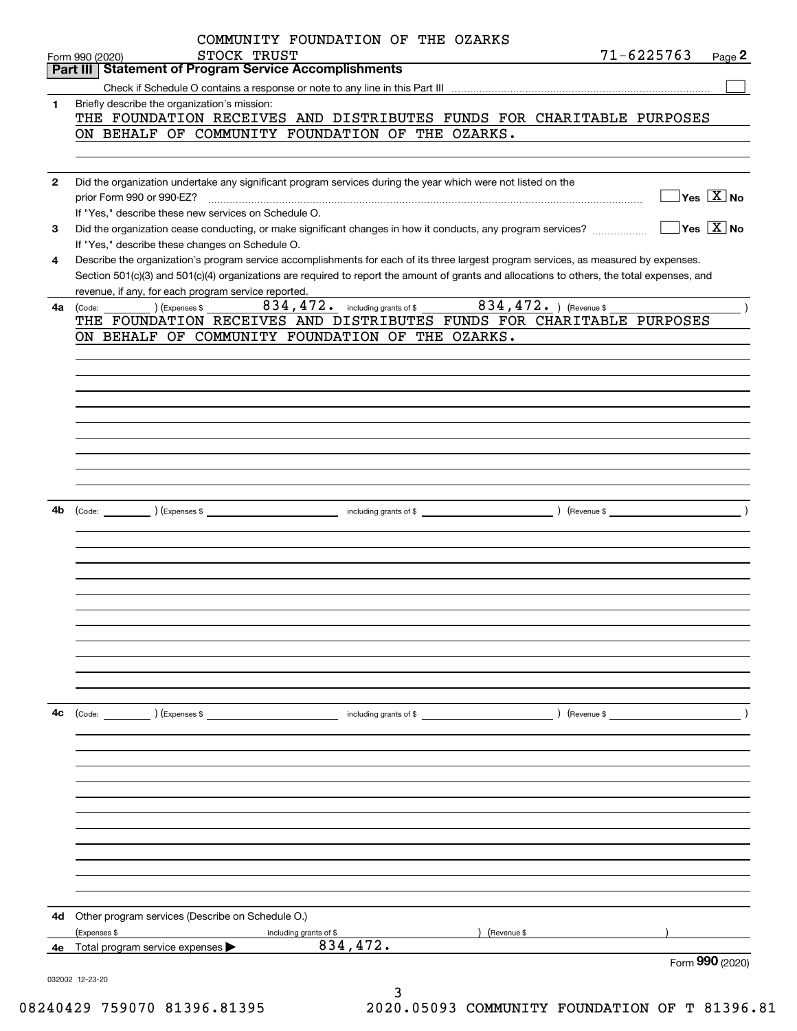|              | COMMUNITY FOUNDATION OF THE OZARKS<br>$71 - 6225763$<br>STOCK TRUST<br>Page 2<br>Form 990 (2020)                                             |
|--------------|----------------------------------------------------------------------------------------------------------------------------------------------|
|              | <b>Part III   Statement of Program Service Accomplishments</b>                                                                               |
|              |                                                                                                                                              |
| 1            | Briefly describe the organization's mission:                                                                                                 |
|              | THE FOUNDATION RECEIVES AND DISTRIBUTES FUNDS FOR CHARITABLE PURPOSES                                                                        |
|              | ON BEHALF OF COMMUNITY FOUNDATION OF THE OZARKS.                                                                                             |
|              |                                                                                                                                              |
|              |                                                                                                                                              |
| $\mathbf{2}$ | Did the organization undertake any significant program services during the year which were not listed on the                                 |
|              | $\overline{\,}$ Yes $\overline{\,\rm X\,}$ No<br>prior Form 990 or 990-EZ?                                                                   |
|              | If "Yes," describe these new services on Schedule O.                                                                                         |
|              | $\sqrt{}$ Yes $\sqrt{}$ X $\sqrt{}$ No                                                                                                       |
| 3            | Did the organization cease conducting, or make significant changes in how it conducts, any program services?                                 |
|              | If "Yes," describe these changes on Schedule O.                                                                                              |
| 4            | Describe the organization's program service accomplishments for each of its three largest program services, as measured by expenses.         |
|              | Section 501(c)(3) and 501(c)(4) organizations are required to report the amount of grants and allocations to others, the total expenses, and |
|              | revenue, if any, for each program service reported.                                                                                          |
| 4a           | 834, 472. including grants of \$ 834, 472. ) (Revenue \$<br>$\rightarrow$<br>) (Expenses \$<br>(Code:                                        |
|              | THE FOUNDATION RECEIVES AND DISTRIBUTES FUNDS FOR CHARITABLE PURPOSES                                                                        |
|              | ON BEHALF OF COMMUNITY FOUNDATION OF THE OZARKS.                                                                                             |
|              |                                                                                                                                              |
|              |                                                                                                                                              |
|              |                                                                                                                                              |
|              |                                                                                                                                              |
|              |                                                                                                                                              |
|              |                                                                                                                                              |
|              |                                                                                                                                              |
|              |                                                                                                                                              |
|              |                                                                                                                                              |
|              |                                                                                                                                              |
|              |                                                                                                                                              |
| 4b           |                                                                                                                                              |
|              |                                                                                                                                              |
|              |                                                                                                                                              |
|              |                                                                                                                                              |
|              |                                                                                                                                              |
|              |                                                                                                                                              |
|              |                                                                                                                                              |
|              |                                                                                                                                              |
|              |                                                                                                                                              |
|              |                                                                                                                                              |
|              |                                                                                                                                              |
|              |                                                                                                                                              |
|              |                                                                                                                                              |
|              |                                                                                                                                              |
| 4c           | $\left(\text{Code:}\right)$ $\left(\text{Expenses $}\right)$<br>including grants of \$<br>) (Revenue \$                                      |
|              |                                                                                                                                              |
|              |                                                                                                                                              |
|              |                                                                                                                                              |
|              |                                                                                                                                              |
|              |                                                                                                                                              |
|              |                                                                                                                                              |
|              |                                                                                                                                              |
|              |                                                                                                                                              |
|              |                                                                                                                                              |
|              |                                                                                                                                              |
|              |                                                                                                                                              |
|              |                                                                                                                                              |
|              |                                                                                                                                              |
| 4d           | Other program services (Describe on Schedule O.)                                                                                             |
|              | (Expenses \$<br>(Revenue \$                                                                                                                  |
|              | including grants of \$<br>834,472.                                                                                                           |
|              | 4e Total program service expenses<br>Form 990 (2020)                                                                                         |
|              |                                                                                                                                              |
|              | 032002 12-23-20<br>3                                                                                                                         |
|              |                                                                                                                                              |

08240429 759070 81396.81395 2020.05093 COMMUNITY FOUNDATION OF T 81396.81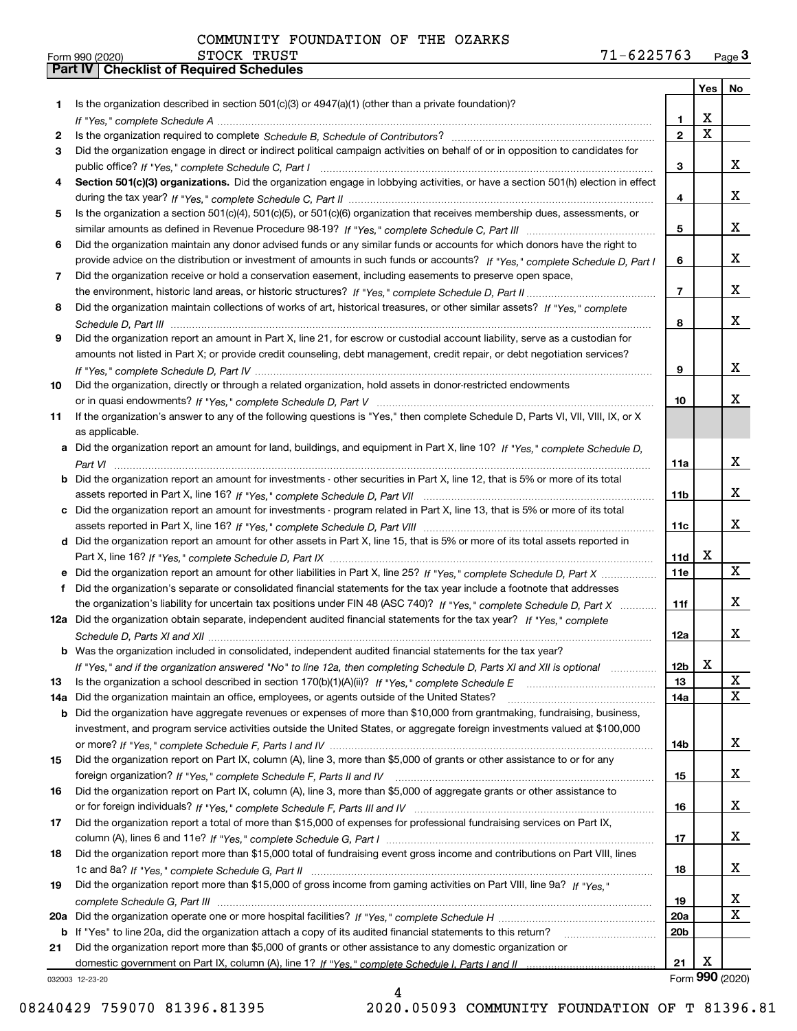|     |                                                                                                                                       |                 | Yes   No                |                 |
|-----|---------------------------------------------------------------------------------------------------------------------------------------|-----------------|-------------------------|-----------------|
| 1   | Is the organization described in section 501(c)(3) or $4947(a)(1)$ (other than a private foundation)?                                 |                 |                         |                 |
|     |                                                                                                                                       | 1               | х                       |                 |
| 2   |                                                                                                                                       | $\overline{2}$  | $\overline{\mathbf{x}}$ |                 |
| З   | Did the organization engage in direct or indirect political campaign activities on behalf of or in opposition to candidates for       |                 |                         |                 |
|     |                                                                                                                                       | 3               |                         | x               |
| 4   | Section 501(c)(3) organizations. Did the organization engage in lobbying activities, or have a section 501(h) election in effect      |                 |                         |                 |
|     |                                                                                                                                       | 4               |                         | X               |
| 5   | Is the organization a section 501(c)(4), 501(c)(5), or 501(c)(6) organization that receives membership dues, assessments, or          |                 |                         |                 |
|     |                                                                                                                                       | 5               |                         | X               |
| 6   | Did the organization maintain any donor advised funds or any similar funds or accounts for which donors have the right to             |                 |                         |                 |
|     | provide advice on the distribution or investment of amounts in such funds or accounts? If "Yes," complete Schedule D, Part I          | 6               |                         | X               |
| 7   | Did the organization receive or hold a conservation easement, including easements to preserve open space,                             |                 |                         |                 |
|     |                                                                                                                                       | $\overline{7}$  |                         | X               |
| 8   | Did the organization maintain collections of works of art, historical treasures, or other similar assets? If "Yes," complete          |                 |                         |                 |
|     |                                                                                                                                       | 8               |                         | X               |
| 9   | Did the organization report an amount in Part X, line 21, for escrow or custodial account liability, serve as a custodian for         |                 |                         |                 |
|     | amounts not listed in Part X; or provide credit counseling, debt management, credit repair, or debt negotiation services?             |                 |                         |                 |
|     |                                                                                                                                       | 9               |                         | X               |
| 10  | Did the organization, directly or through a related organization, hold assets in donor-restricted endowments                          |                 |                         |                 |
|     |                                                                                                                                       | 10              |                         | X               |
| 11  | If the organization's answer to any of the following questions is "Yes," then complete Schedule D, Parts VI, VII, VIII, IX, or X      |                 |                         |                 |
|     | as applicable.                                                                                                                        |                 |                         |                 |
|     | a Did the organization report an amount for land, buildings, and equipment in Part X, line 10? If "Yes." complete Schedule D.         |                 |                         |                 |
|     |                                                                                                                                       | 11a             |                         | х               |
|     | <b>b</b> Did the organization report an amount for investments - other securities in Part X, line 12, that is 5% or more of its total |                 |                         |                 |
|     |                                                                                                                                       | 11 <sub>b</sub> |                         | x               |
|     | c Did the organization report an amount for investments - program related in Part X, line 13, that is 5% or more of its total         |                 |                         |                 |
|     |                                                                                                                                       | 11c             |                         | X               |
|     | d Did the organization report an amount for other assets in Part X, line 15, that is 5% or more of its total assets reported in       |                 |                         |                 |
|     |                                                                                                                                       | 11d             | x                       |                 |
|     | e Did the organization report an amount for other liabilities in Part X, line 25? If "Yes," complete Schedule D, Part X               | 11e             |                         | $\mathbf{X}$    |
| f   | Did the organization's separate or consolidated financial statements for the tax year include a footnote that addresses               |                 |                         |                 |
|     | the organization's liability for uncertain tax positions under FIN 48 (ASC 740)? If "Yes," complete Schedule D, Part X                | 11f             |                         | х               |
|     | 12a Did the organization obtain separate, independent audited financial statements for the tax year? If "Yes," complete               |                 |                         |                 |
|     |                                                                                                                                       | 12a             |                         | х               |
|     | <b>b</b> Was the organization included in consolidated, independent audited financial statements for the tax year?                    |                 |                         |                 |
|     | If "Yes," and if the organization answered "No" to line 12a, then completing Schedule D, Parts XI and XII is optional                 | 12b             | v<br>▵                  |                 |
| 13  | Is the organization a school described in section $170(b)(1)(A)(ii)?$ If "Yes," complete Schedule E                                   | 13              |                         | X               |
| 14a | Did the organization maintain an office, employees, or agents outside of the United States?                                           | 14a             |                         | X               |
| b   | Did the organization have aggregate revenues or expenses of more than \$10,000 from grantmaking, fundraising, business,               |                 |                         |                 |
|     | investment, and program service activities outside the United States, or aggregate foreign investments valued at \$100,000            |                 |                         |                 |
|     |                                                                                                                                       | 14b             |                         | x               |
| 15  | Did the organization report on Part IX, column (A), line 3, more than \$5,000 of grants or other assistance to or for any             |                 |                         |                 |
|     |                                                                                                                                       | 15              |                         | x               |
| 16  | Did the organization report on Part IX, column (A), line 3, more than \$5,000 of aggregate grants or other assistance to              |                 |                         |                 |
|     |                                                                                                                                       | 16              |                         | x               |
| 17  | Did the organization report a total of more than \$15,000 of expenses for professional fundraising services on Part IX,               |                 |                         |                 |
|     |                                                                                                                                       | 17              |                         | x               |
| 18  | Did the organization report more than \$15,000 total of fundraising event gross income and contributions on Part VIII, lines          |                 |                         |                 |
|     |                                                                                                                                       | 18              |                         | х               |
| 19  | Did the organization report more than \$15,000 of gross income from gaming activities on Part VIII, line 9a? If "Yes."                |                 |                         |                 |
|     |                                                                                                                                       | 19              |                         | x               |
|     |                                                                                                                                       | 20a             |                         | $\mathbf X$     |
| b   | If "Yes" to line 20a, did the organization attach a copy of its audited financial statements to this return?                          | 20 <sub>b</sub> |                         |                 |
| 21  | Did the organization report more than \$5,000 of grants or other assistance to any domestic organization or                           |                 |                         |                 |
|     |                                                                                                                                       | 21              | X                       |                 |
|     | 032003 12-23-20                                                                                                                       |                 |                         | Form 990 (2020) |

4

08240429 759070 81396.81395 2020.05093 COMMUNITY FOUNDATION OF T 81396.81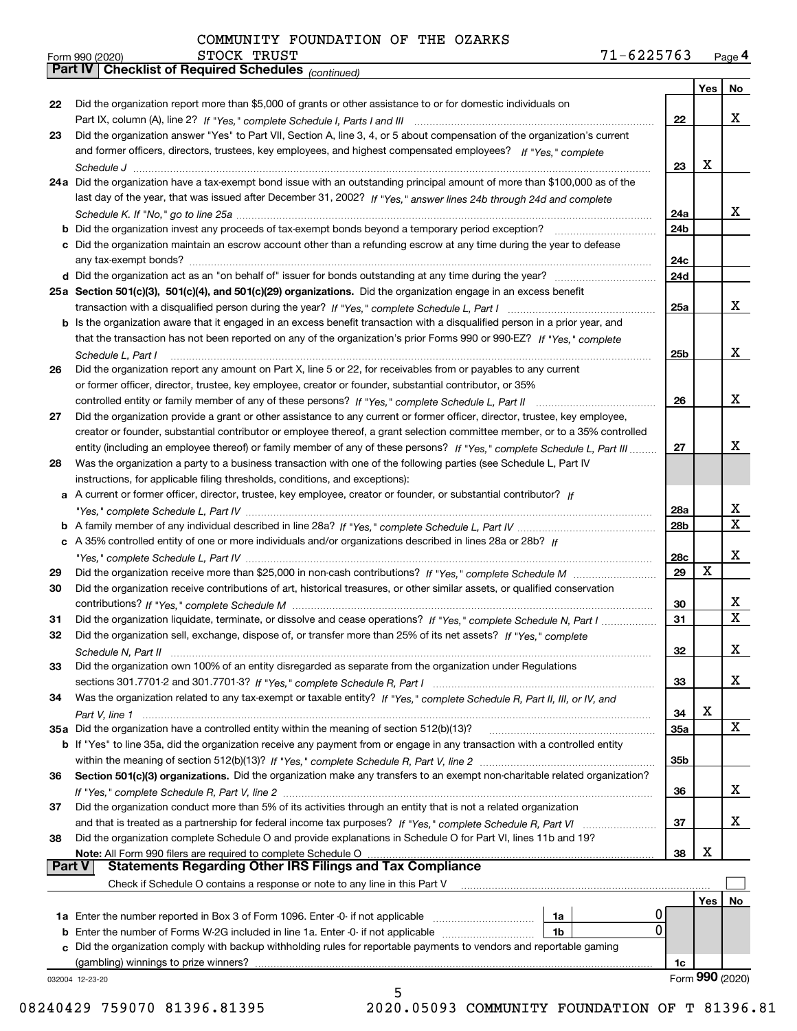| 22            | Did the organization report more than \$5,000 of grants or other assistance to or for domestic individuals on                |                 |             |             |
|---------------|------------------------------------------------------------------------------------------------------------------------------|-----------------|-------------|-------------|
|               |                                                                                                                              | 22              |             | x           |
| 23            | Did the organization answer "Yes" to Part VII, Section A, line 3, 4, or 5 about compensation of the organization's current   |                 |             |             |
|               | and former officers, directors, trustees, key employees, and highest compensated employees? If "Yes," complete               |                 |             |             |
|               |                                                                                                                              | 23              | x           |             |
|               | 24a Did the organization have a tax-exempt bond issue with an outstanding principal amount of more than \$100,000 as of the  |                 |             |             |
|               | last day of the year, that was issued after December 31, 2002? If "Yes," answer lines 24b through 24d and complete           |                 |             |             |
|               |                                                                                                                              | 24a             |             | x           |
| b             |                                                                                                                              | 24 <sub>b</sub> |             |             |
|               | c Did the organization maintain an escrow account other than a refunding escrow at any time during the year to defease       |                 |             |             |
|               |                                                                                                                              | 24c             |             |             |
|               |                                                                                                                              | 24d             |             |             |
|               | 25a Section 501(c)(3), 501(c)(4), and 501(c)(29) organizations. Did the organization engage in an excess benefit             |                 |             |             |
|               |                                                                                                                              | 25a             |             | x           |
|               | b Is the organization aware that it engaged in an excess benefit transaction with a disqualified person in a prior year, and |                 |             |             |
|               | that the transaction has not been reported on any of the organization's prior Forms 990 or 990-EZ? If "Yes," complete        |                 |             |             |
|               | Schedule L, Part I                                                                                                           | 25b             |             | x           |
| 26            | Did the organization report any amount on Part X, line 5 or 22, for receivables from or payables to any current              |                 |             |             |
|               | or former officer, director, trustee, key employee, creator or founder, substantial contributor, or 35%                      |                 |             |             |
|               | controlled entity or family member of any of these persons? If "Yes," complete Schedule L, Part II                           | 26              |             | x           |
| 27            | Did the organization provide a grant or other assistance to any current or former officer, director, trustee, key employee,  |                 |             |             |
|               | creator or founder, substantial contributor or employee thereof, a grant selection committee member, or to a 35% controlled  |                 |             |             |
|               | entity (including an employee thereof) or family member of any of these persons? If "Yes," complete Schedule L, Part III     | 27              |             | x           |
| 28            | Was the organization a party to a business transaction with one of the following parties (see Schedule L, Part IV            |                 |             |             |
|               | instructions, for applicable filing thresholds, conditions, and exceptions):                                                 |                 |             |             |
|               | A current or former officer, director, trustee, key employee, creator or founder, or substantial contributor? If             |                 |             |             |
| а             |                                                                                                                              | 28a             |             | х           |
|               |                                                                                                                              |                 |             | $\mathbf x$ |
|               |                                                                                                                              | 28b             |             |             |
|               | c A 35% controlled entity of one or more individuals and/or organizations described in lines 28a or 28b? If                  |                 |             | x           |
|               |                                                                                                                              | 28c             | $\mathbf X$ |             |
| 29            |                                                                                                                              | 29              |             |             |
| 30            | Did the organization receive contributions of art, historical treasures, or other similar assets, or qualified conservation  |                 |             |             |
|               |                                                                                                                              | 30              |             | x           |
| 31            | Did the organization liquidate, terminate, or dissolve and cease operations? If "Yes," complete Schedule N, Part I           | 31              |             | X           |
| 32            | Did the organization sell, exchange, dispose of, or transfer more than 25% of its net assets? If "Yes," complete             |                 |             |             |
|               | Schedule N. Part II                                                                                                          | 32              |             | x           |
| 33            | Did the organization own 100% of an entity disregarded as separate from the organization under Regulations                   |                 |             |             |
|               |                                                                                                                              | 33              |             | х           |
| 34            | Was the organization related to any tax-exempt or taxable entity? If "Yes," complete Schedule R, Part II, III, or IV, and    |                 |             |             |
|               | Part V, line 1                                                                                                               | 34              | х           |             |
|               | 35a Did the organization have a controlled entity within the meaning of section 512(b)(13)?                                  | 35a             |             | X           |
|               | b If "Yes" to line 35a, did the organization receive any payment from or engage in any transaction with a controlled entity  |                 |             |             |
|               |                                                                                                                              | 35b             |             |             |
| 36            | Section 501(c)(3) organizations. Did the organization make any transfers to an exempt non-charitable related organization?   |                 |             |             |
|               |                                                                                                                              | 36              |             | x           |
| 37            | Did the organization conduct more than 5% of its activities through an entity that is not a related organization             |                 |             |             |
|               |                                                                                                                              | 37              |             | x           |
| 38            | Did the organization complete Schedule O and provide explanations in Schedule O for Part VI, lines 11b and 19?               |                 |             |             |
|               |                                                                                                                              | 38              | х           |             |
| <b>Part V</b> | <b>Statements Regarding Other IRS Filings and Tax Compliance</b>                                                             |                 |             |             |
|               | Check if Schedule O contains a response or note to any line in this Part V                                                   |                 |             |             |
|               |                                                                                                                              |                 | Yes         | No          |
|               | 1a<br>1a Enter the number reported in Box 3 of Form 1096. Enter -0- if not applicable                                        | 0               |             |             |

**1a** Enter the number reported in Box 3 of Form 1096. Enter -0- if not applicable  $\ldots$  $\ldots$  $\ldots$  $\ldots$  $\ldots$ **b** Enter the number of Forms W-2G included in line 1a. Enter -0- if not applicable  $\ldots$  $\ldots$  $\ldots$  $\ldots$  ${\bf c}$  Did the organization comply with backup withholding rules for reportable payments to vendors and reportable gaming **1a 1b**(gambling) winnings to prize winners?

5

032004 12-23-20

**4Part IV Checklist of Required Schedules**

08240429 759070 81396.81395 2020.05093 COMMUNITY FOUNDATION OF T 81396.81

**1c**

 $\overline{0}$ 

Form (2020) **990**

**Yes No**

STOCK TRUST

*(continued)*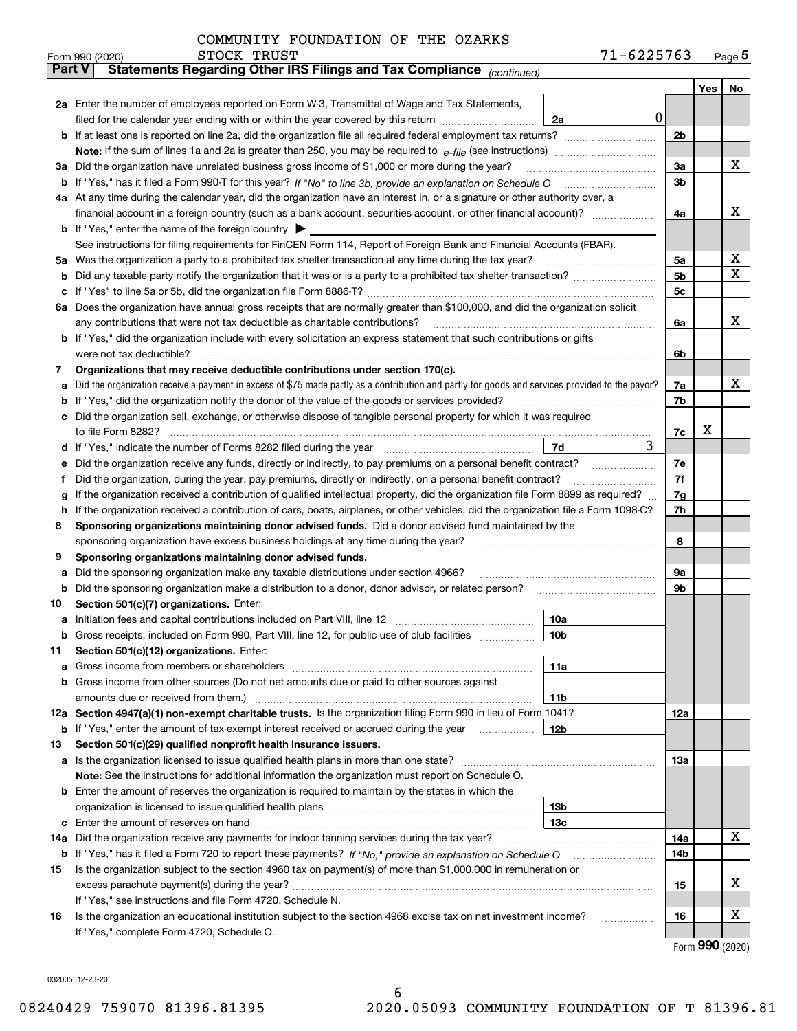|               | STOCK TRUST<br>Form 990 (2020)                                                                                                                                                                                                  |                 | 71-6225763 |          |     | <u>Page 5</u> |
|---------------|---------------------------------------------------------------------------------------------------------------------------------------------------------------------------------------------------------------------------------|-----------------|------------|----------|-----|---------------|
| <b>Part V</b> | Statements Regarding Other IRS Filings and Tax Compliance (continued)                                                                                                                                                           |                 |            |          |     |               |
|               |                                                                                                                                                                                                                                 |                 |            |          | Yes | No            |
|               | 2a Enter the number of employees reported on Form W-3, Transmittal of Wage and Tax Statements,                                                                                                                                  |                 |            |          |     |               |
|               |                                                                                                                                                                                                                                 | 2a              | 0          |          |     |               |
| b             |                                                                                                                                                                                                                                 |                 |            | 2b       |     |               |
|               |                                                                                                                                                                                                                                 |                 |            |          |     |               |
| За            | Did the organization have unrelated business gross income of \$1,000 or more during the year?                                                                                                                                   |                 |            | За       |     | х             |
| b             |                                                                                                                                                                                                                                 |                 |            | 3b       |     |               |
|               | 4a At any time during the calendar year, did the organization have an interest in, or a signature or other authority over, a                                                                                                    |                 |            |          |     |               |
|               | financial account in a foreign country (such as a bank account, securities account, or other financial account)?                                                                                                                |                 |            | 4a       |     | х             |
|               | <b>b</b> If "Yes," enter the name of the foreign country                                                                                                                                                                        |                 |            |          |     |               |
|               | See instructions for filing requirements for FinCEN Form 114, Report of Foreign Bank and Financial Accounts (FBAR).                                                                                                             |                 |            |          |     |               |
| 5a            | Was the organization a party to a prohibited tax shelter transaction at any time during the tax year?                                                                                                                           |                 |            | 5а       |     | х             |
| b             |                                                                                                                                                                                                                                 |                 |            | 5b       |     | х             |
| с             |                                                                                                                                                                                                                                 |                 |            | 5c       |     |               |
|               | 6a Does the organization have annual gross receipts that are normally greater than \$100,000, and did the organization solicit                                                                                                  |                 |            |          |     |               |
|               | any contributions that were not tax deductible as charitable contributions?                                                                                                                                                     |                 |            | 6a       |     | x             |
|               | <b>b</b> If "Yes," did the organization include with every solicitation an express statement that such contributions or gifts                                                                                                   |                 |            |          |     |               |
|               | were not tax deductible?                                                                                                                                                                                                        |                 |            | 6b       |     |               |
| 7             | Organizations that may receive deductible contributions under section 170(c).                                                                                                                                                   |                 |            |          |     |               |
| а             | Did the organization receive a payment in excess of \$75 made partly as a contribution and partly for goods and services provided to the payor?                                                                                 |                 |            | 7a       |     | х             |
| b             | If "Yes," did the organization notify the donor of the value of the goods or services provided?                                                                                                                                 |                 |            | 7b       |     |               |
|               | Did the organization sell, exchange, or otherwise dispose of tangible personal property for which it was required                                                                                                               |                 |            |          | х   |               |
|               |                                                                                                                                                                                                                                 |                 | 3          | 7c       |     |               |
| d             |                                                                                                                                                                                                                                 | 7d              |            |          |     |               |
| е             | Did the organization receive any funds, directly or indirectly, to pay premiums on a personal benefit contract?<br>Did the organization, during the year, pay premiums, directly or indirectly, on a personal benefit contract? |                 |            | 7е<br>7f |     |               |
| f             | If the organization received a contribution of qualified intellectual property, did the organization file Form 8899 as required?                                                                                                |                 |            | 7g       |     |               |
| g<br>h        | If the organization received a contribution of cars, boats, airplanes, or other vehicles, did the organization file a Form 1098-C?                                                                                              |                 |            | 7h       |     |               |
| 8             | Sponsoring organizations maintaining donor advised funds. Did a donor advised fund maintained by the                                                                                                                            |                 |            |          |     |               |
|               | sponsoring organization have excess business holdings at any time during the year?                                                                                                                                              |                 |            | 8        |     |               |
| 9             | Sponsoring organizations maintaining donor advised funds.                                                                                                                                                                       |                 |            |          |     |               |
| а             | Did the sponsoring organization make any taxable distributions under section 4966?                                                                                                                                              |                 |            | 9а       |     |               |
| b             | Did the sponsoring organization make a distribution to a donor, donor advisor, or related person?                                                                                                                               |                 |            | 9b       |     |               |
| 10            | Section 501(c)(7) organizations. Enter:                                                                                                                                                                                         |                 |            |          |     |               |
| а             |                                                                                                                                                                                                                                 | 10a             |            |          |     |               |
|               | Gross receipts, included on Form 990, Part VIII, line 12, for public use of club facilities                                                                                                                                     | 10 <sub>b</sub> |            |          |     |               |
| 11            | Section 501(c)(12) organizations. Enter:                                                                                                                                                                                        |                 |            |          |     |               |
| а             | Gross income from members or shareholders                                                                                                                                                                                       | 11a             |            |          |     |               |
| b             | Gross income from other sources (Do not net amounts due or paid to other sources against                                                                                                                                        |                 |            |          |     |               |
|               |                                                                                                                                                                                                                                 | 11b             |            |          |     |               |
|               | 12a Section 4947(a)(1) non-exempt charitable trusts. Is the organization filing Form 990 in lieu of Form 1041?                                                                                                                  |                 |            | 12a      |     |               |
|               | <b>b</b> If "Yes," enter the amount of tax-exempt interest received or accrued during the year                                                                                                                                  | 12 <sub>b</sub> |            |          |     |               |
| 13            | Section 501(c)(29) qualified nonprofit health insurance issuers.                                                                                                                                                                |                 |            |          |     |               |
| a             | Is the organization licensed to issue qualified health plans in more than one state?                                                                                                                                            |                 |            | 13а      |     |               |
|               | Note: See the instructions for additional information the organization must report on Schedule O.                                                                                                                               |                 |            |          |     |               |
| b             | Enter the amount of reserves the organization is required to maintain by the states in which the                                                                                                                                |                 |            |          |     |               |
|               |                                                                                                                                                                                                                                 | 13 <sub>b</sub> |            |          |     |               |
| с             |                                                                                                                                                                                                                                 | 13 <sub>c</sub> |            |          |     |               |
| 14a           | Did the organization receive any payments for indoor tanning services during the tax year?                                                                                                                                      |                 |            | 14a      |     | х             |
|               | <b>b</b> If "Yes," has it filed a Form 720 to report these payments? If "No," provide an explanation on Schedule O                                                                                                              |                 |            | 14b      |     |               |
| 15            | Is the organization subject to the section 4960 tax on payment(s) of more than \$1,000,000 in remuneration or                                                                                                                   |                 |            |          |     |               |
|               |                                                                                                                                                                                                                                 |                 |            | 15       |     | x             |
|               | If "Yes," see instructions and file Form 4720, Schedule N.                                                                                                                                                                      |                 |            |          |     |               |
| 16            | Is the organization an educational institution subject to the section 4968 excise tax on net investment income?                                                                                                                 |                 |            | 16       |     | x             |
|               | If "Yes," complete Form 4720, Schedule O.                                                                                                                                                                                       |                 |            |          |     |               |

Form (2020) **990**

032005 12-23-20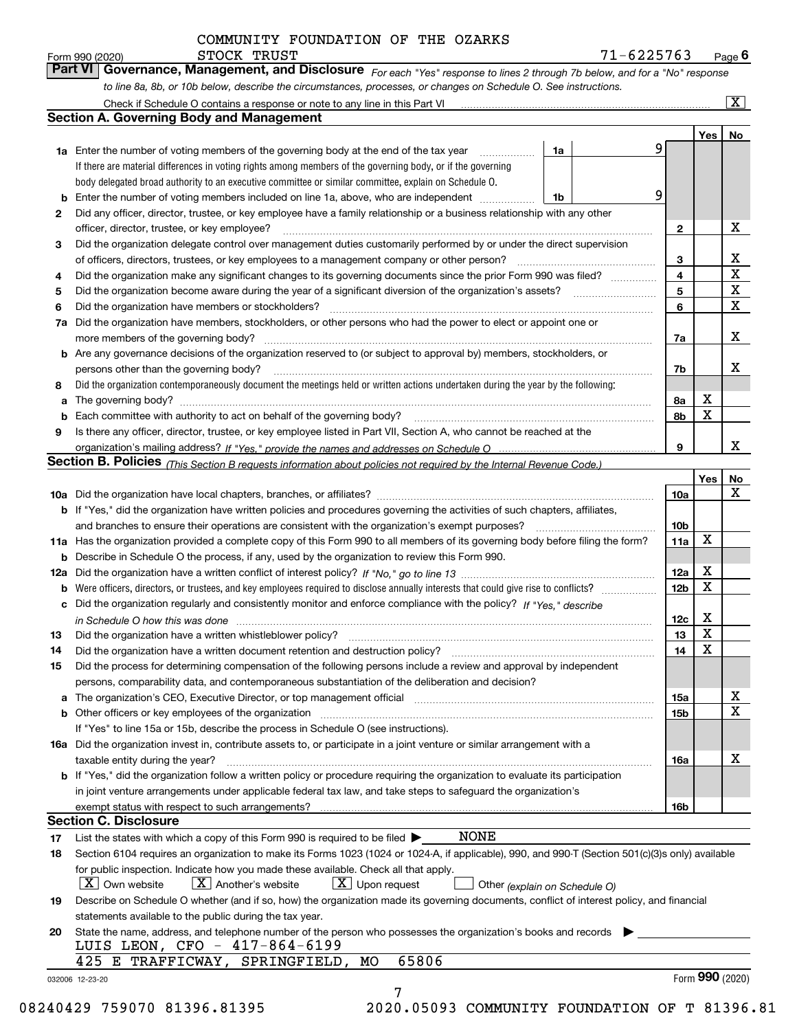X

| Form 990 (2020) | STOCK TRUST                                                                                                                 | 71-6225763 |     | $P$ <sub>age</sub> $6$  |
|-----------------|-----------------------------------------------------------------------------------------------------------------------------|------------|-----|-------------------------|
|                 | Part VI Governance, Management, and Disclosure For each "Yes" response to lines 2 through 7b below, and for a "No" response |            |     |                         |
|                 | to line 8a, 8b, or 10b below, describe the circumstances, processes, or changes on Schedule O. See instructions.            |            |     |                         |
|                 | Check if Schedule O contains a response or note to any line in this Part VI                                                 |            |     | $\overline{\mathbf{x}}$ |
|                 | Section A. Governing Body and Management                                                                                    |            |     |                         |
|                 |                                                                                                                             |            | Yes | No.                     |
|                 |                                                                                                                             |            |     |                         |

|     | <b>1a</b> Enter the number of voting members of the governing body at the end of the tax year                                                                                                                                  | 1a | 9               |     |             |
|-----|--------------------------------------------------------------------------------------------------------------------------------------------------------------------------------------------------------------------------------|----|-----------------|-----|-------------|
|     | If there are material differences in voting rights among members of the governing body, or if the governing                                                                                                                    |    |                 |     |             |
|     | body delegated broad authority to an executive committee or similar committee, explain on Schedule O.                                                                                                                          |    |                 |     |             |
| b   | Enter the number of voting members included on line 1a, above, who are independent                                                                                                                                             | 1b | 9               |     |             |
| 2   | Did any officer, director, trustee, or key employee have a family relationship or a business relationship with any other                                                                                                       |    |                 |     |             |
|     | officer, director, trustee, or key employee?                                                                                                                                                                                   |    | 2               |     | X           |
| 3   | Did the organization delegate control over management duties customarily performed by or under the direct supervision                                                                                                          |    |                 |     |             |
|     | of officers, directors, trustees, or key employees to a management company or other person?                                                                                                                                    |    | з               |     | x           |
| 4   | Did the organization make any significant changes to its governing documents since the prior Form 990 was filed?                                                                                                               |    | 4               |     | X           |
| 5   | Did the organization become aware during the year of a significant diversion of the organization's assets?                                                                                                                     |    | 5               |     | X           |
| 6   | Did the organization have members or stockholders?                                                                                                                                                                             |    | 6               |     | $\mathbf X$ |
| 7a  | Did the organization have members, stockholders, or other persons who had the power to elect or appoint one or                                                                                                                 |    |                 |     |             |
|     | more members of the governing body?                                                                                                                                                                                            |    | 7a              |     | X           |
|     | <b>b</b> Are any governance decisions of the organization reserved to (or subject to approval by) members, stockholders, or                                                                                                    |    |                 |     |             |
|     | persons other than the governing body?                                                                                                                                                                                         |    | 7b              |     | х           |
| 8   | Did the organization contemporaneously document the meetings held or written actions undertaken during the year by the following:                                                                                              |    |                 |     |             |
| a   | The governing body?                                                                                                                                                                                                            |    | 8а              | X   |             |
| b   | Each committee with authority to act on behalf of the governing body?                                                                                                                                                          |    | 8b              | X   |             |
| 9   | Is there any officer, director, trustee, or key employee listed in Part VII, Section A, who cannot be reached at the                                                                                                           |    |                 |     |             |
|     |                                                                                                                                                                                                                                |    |                 |     |             |
|     |                                                                                                                                                                                                                                |    | 9               |     | x           |
|     | Section B. Policies <sub>(This Section B requests information about policies not required by the Internal Revenue Code.)</sub>                                                                                                 |    |                 |     |             |
|     |                                                                                                                                                                                                                                |    |                 | Yes | No          |
|     |                                                                                                                                                                                                                                |    | 10a             |     | X           |
|     | b If "Yes," did the organization have written policies and procedures governing the activities of such chapters, affiliates,                                                                                                   |    |                 |     |             |
|     | and branches to ensure their operations are consistent with the organization's exempt purposes?                                                                                                                                |    | 10 <sub>b</sub> |     |             |
| 11a | Has the organization provided a complete copy of this Form 990 to all members of its governing body before filing the form?                                                                                                    |    | 11a             | X   |             |
| b   | Describe in Schedule O the process, if any, used by the organization to review this Form 990.                                                                                                                                  |    |                 |     |             |
| 12a |                                                                                                                                                                                                                                |    | 12a             | x   |             |
| b   | Were officers, directors, or trustees, and key employees required to disclose annually interests that could give rise to conflicts?                                                                                            |    | 12 <sub>b</sub> | X   |             |
| с   | Did the organization regularly and consistently monitor and enforce compliance with the policy? If "Yes." describe                                                                                                             |    |                 |     |             |
|     | in Schedule O how this was done measured and contained a state of the state of the state of the state of the s                                                                                                                 |    | 12c             | X   |             |
| 13  | Did the organization have a written whistleblower policy?                                                                                                                                                                      |    | 13              | X   |             |
| 14  | Did the organization have a written document retention and destruction policy?                                                                                                                                                 |    | 14              | X   |             |
| 15  | Did the process for determining compensation of the following persons include a review and approval by independent                                                                                                             |    |                 |     |             |
|     | persons, comparability data, and contemporaneous substantiation of the deliberation and decision?                                                                                                                              |    |                 |     |             |
|     | The organization's CEO, Executive Director, or top management official manufactured content or content of the organization's CEO, Executive Director, or top management official manufactured manufactured manufactured manufa |    | 15a             |     | х           |
| b   | Other officers or key employees of the organization                                                                                                                                                                            |    | <b>15b</b>      |     | $\mathbf x$ |
|     | If "Yes" to line 15a or 15b, describe the process in Schedule O (see instructions).<br>16a Did the organization invest in, contribute assets to, or participate in a joint venture or similar arrangement with a               |    |                 |     |             |

| taxable entity during the year?                                                                                                       | 16a        |
|---------------------------------------------------------------------------------------------------------------------------------------|------------|
| <b>b</b> If "Yes," did the organization follow a written policy or procedure requiring the organization to evaluate its participation |            |
| in joint venture arrangements under applicable federal tax law, and take steps to safequard the organization's                        |            |
| exempt status with respect to such arrangements?                                                                                      | <b>16b</b> |
|                                                                                                                                       |            |

### **Section C. Disclosure**

| 17 | NONE<br>List the states with which a copy of this Form 990 is required to be filed $\blacktriangleright$                                             |
|----|------------------------------------------------------------------------------------------------------------------------------------------------------|
| 18 | Section 6104 requires an organization to make its Forms 1023 (1024 or 1024-A, if applicable), 990, and 990-T (Section 501(c)(3)s only) available     |
|    | for public inspection. Indicate how you made these available. Check all that apply.                                                                  |
|    | $\boxed{\textbf{X}}$ Another's website $\boxed{\textbf{X}}$ Upon request<br>$\overline{{\bf X}}$ Own website<br>$\Box$ Other (explain on Schedule O) |
| 19 | Describe on Schedule O whether (and if so, how) the organization made its governing documents, conflict of interest policy, and financial            |
|    | statements available to the public during the tax year.                                                                                              |
| 20 | State the name, address, and telephone number of the person who possesses the organization's books and records<br>LUIS LEON, CFO - 417-864-6199      |
|    | 425 E TRAFFICWAY, SPRINGFIELD, MO<br>65806                                                                                                           |
|    | Form 990 (2020)<br>032006 12-23-20                                                                                                                   |
|    |                                                                                                                                                      |

08240429 759070 81396.81395 2020.05093 COMMUNITY FOUNDATION OF T 81396.81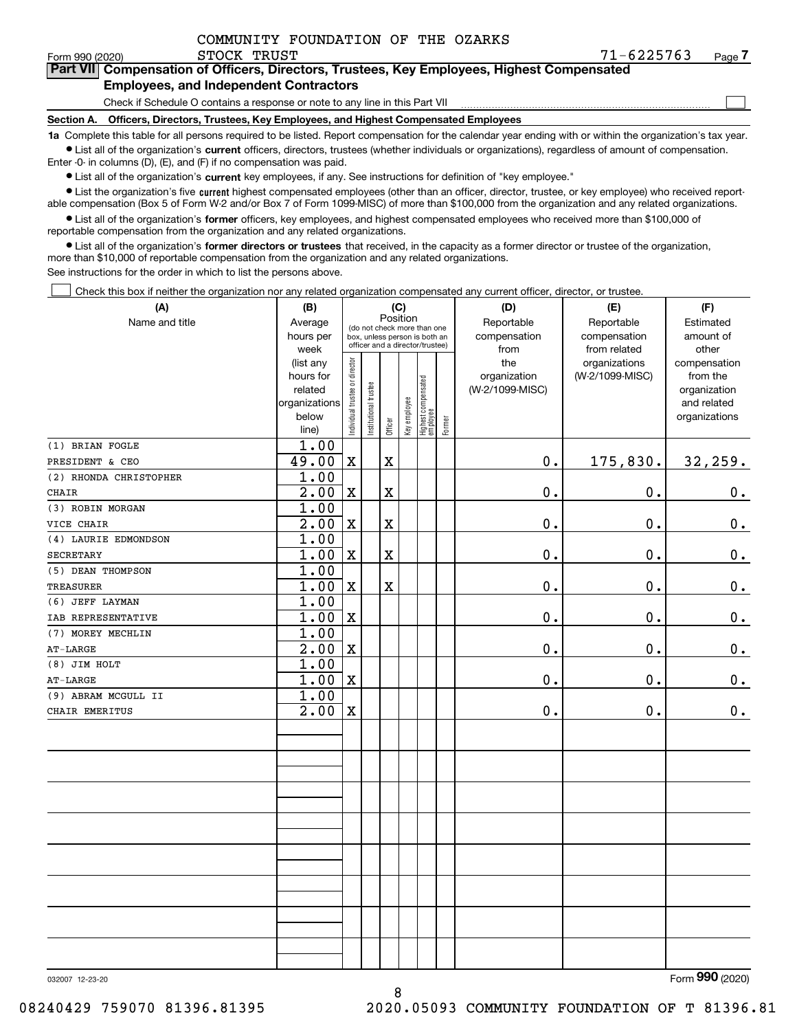| COMMUNITY FOUNDATION OF THE OZARKS |
|------------------------------------|
|------------------------------------|

Form 990 (2020) STOCK TRUST 7 1 – 6 2 2 5 7 6 3 <sub>Page</sub> **7Part VII Compensation of Officers, Directors, Trustees, Key Employees, Highest Compensated Employees, and Independent Contractors**

### Check if Schedule O contains a response or note to any line in this Part VII

**Section A. Officers, Directors, Trustees, Key Employees, and Highest Compensated Employees**

**1a**  Complete this table for all persons required to be listed. Report compensation for the calendar year ending with or within the organization's tax year. **•** List all of the organization's current officers, directors, trustees (whether individuals or organizations), regardless of amount of compensation.

Enter -0- in columns (D), (E), and (F) if no compensation was paid.

 $\bullet$  List all of the organization's  $\,$ current key employees, if any. See instructions for definition of "key employee."

**•** List the organization's five current highest compensated employees (other than an officer, director, trustee, or key employee) who received reportable compensation (Box 5 of Form W-2 and/or Box 7 of Form 1099-MISC) of more than \$100,000 from the organization and any related organizations.

**•** List all of the organization's former officers, key employees, and highest compensated employees who received more than \$100,000 of reportable compensation from the organization and any related organizations.

**former directors or trustees**  ¥ List all of the organization's that received, in the capacity as a former director or trustee of the organization, more than \$10,000 of reportable compensation from the organization and any related organizations.

See instructions for the order in which to list the persons above.

Check this box if neither the organization nor any related organization compensated any current officer, director, or trustee.  $\mathcal{L}^{\text{max}}$ 

| (A)                    | (B)                    | (C)                           |                      |             |              |                                   |        | (D)             | (E)             | (F)                          |
|------------------------|------------------------|-------------------------------|----------------------|-------------|--------------|-----------------------------------|--------|-----------------|-----------------|------------------------------|
| Name and title         | Average                |                               |                      | Position    |              | (do not check more than one       |        | Reportable      | Reportable      | Estimated                    |
|                        | hours per              |                               |                      |             |              | box, unless person is both an     |        | compensation    | compensation    | amount of                    |
|                        | week                   |                               |                      |             |              | officer and a director/trustee)   |        | from            | from related    | other                        |
|                        | (list any              |                               |                      |             |              |                                   |        | the             | organizations   | compensation                 |
|                        | hours for              |                               |                      |             |              |                                   |        | organization    | (W-2/1099-MISC) | from the                     |
|                        | related                |                               |                      |             |              |                                   |        | (W-2/1099-MISC) |                 | organization                 |
|                        | organizations<br>below |                               |                      |             |              |                                   |        |                 |                 | and related<br>organizations |
|                        | line)                  | ndividual trustee or director | nstitutional trustee | Officer     | Key employee | Highest compensated<br>  employee | Former |                 |                 |                              |
| (1) BRIAN FOGLE        | 1.00                   |                               |                      |             |              |                                   |        |                 |                 |                              |
| PRESIDENT & CEO        | 49.00                  | $\mathbf X$                   |                      | $\mathbf X$ |              |                                   |        | 0.              | 175,830.        | 32,259.                      |
| (2) RHONDA CHRISTOPHER | 1.00                   |                               |                      |             |              |                                   |        |                 |                 |                              |
| CHAIR                  | $\overline{2.00}$      | $\mathbf X$                   |                      | $\mathbf X$ |              |                                   |        | 0.              | $\mathbf 0$ .   | 0.                           |
| (3) ROBIN MORGAN       | 1.00                   |                               |                      |             |              |                                   |        |                 |                 |                              |
| VICE CHAIR             | 2.00                   | $\mathbf X$                   |                      | $\mathbf X$ |              |                                   |        | 0.              | $\mathbf 0$ .   | $\mathbf 0$ .                |
| (4) LAURIE EDMONDSON   | 1.00                   |                               |                      |             |              |                                   |        |                 |                 |                              |
| <b>SECRETARY</b>       | 1.00                   | $\mathbf X$                   |                      | $\mathbf X$ |              |                                   |        | $\mathbf 0$ .   | $\mathbf 0$ .   | $\mathbf 0$ .                |
| (5) DEAN THOMPSON      | 1.00                   |                               |                      |             |              |                                   |        |                 |                 |                              |
| <b>TREASURER</b>       | 1.00                   | $\mathbf X$                   |                      | $\mathbf X$ |              |                                   |        | 0.              | 0.              | $0_{.}$                      |
| (6) JEFF LAYMAN        | 1.00                   |                               |                      |             |              |                                   |        |                 |                 |                              |
| IAB REPRESENTATIVE     | 1.00                   | $\mathbf X$                   |                      |             |              |                                   |        | 0.              | 0.              | $0_{.}$                      |
| (7) MOREY MECHLIN      | 1.00                   |                               |                      |             |              |                                   |        |                 |                 |                              |
| $AT-LARGE$             | $\overline{2.00}$      | $\mathbf X$                   |                      |             |              |                                   |        | 0.              | $\mathbf 0$ .   | $\mathbf 0$ .                |
| (8) JIM HOLT           | 1.00                   |                               |                      |             |              |                                   |        |                 |                 |                              |
| $AT-LARGE$             | 1.00                   | $\mathbf X$                   |                      |             |              |                                   |        | $\mathbf 0$ .   | 0.              | 0.                           |
| (9) ABRAM MCGULL II    | 1.00                   |                               |                      |             |              |                                   |        |                 |                 |                              |
| CHAIR EMERITUS         | 2.00                   | $\mathbf X$                   |                      |             |              |                                   |        | $0$ .           | 0.              | $0_{.}$                      |
|                        |                        |                               |                      |             |              |                                   |        |                 |                 |                              |
|                        |                        |                               |                      |             |              |                                   |        |                 |                 |                              |
|                        |                        |                               |                      |             |              |                                   |        |                 |                 |                              |
|                        |                        |                               |                      |             |              |                                   |        |                 |                 |                              |
|                        |                        |                               |                      |             |              |                                   |        |                 |                 |                              |
|                        |                        |                               |                      |             |              |                                   |        |                 |                 |                              |
|                        |                        |                               |                      |             |              |                                   |        |                 |                 |                              |
|                        |                        |                               |                      |             |              |                                   |        |                 |                 |                              |
|                        |                        |                               |                      |             |              |                                   |        |                 |                 |                              |
|                        |                        |                               |                      |             |              |                                   |        |                 |                 |                              |
|                        |                        |                               |                      |             |              |                                   |        |                 |                 |                              |
|                        |                        |                               |                      |             |              |                                   |        |                 |                 |                              |
|                        |                        |                               |                      |             |              |                                   |        |                 |                 |                              |

8

032007 12-23-20

Form (2020) **990**

 $\mathcal{L}^{\text{max}}$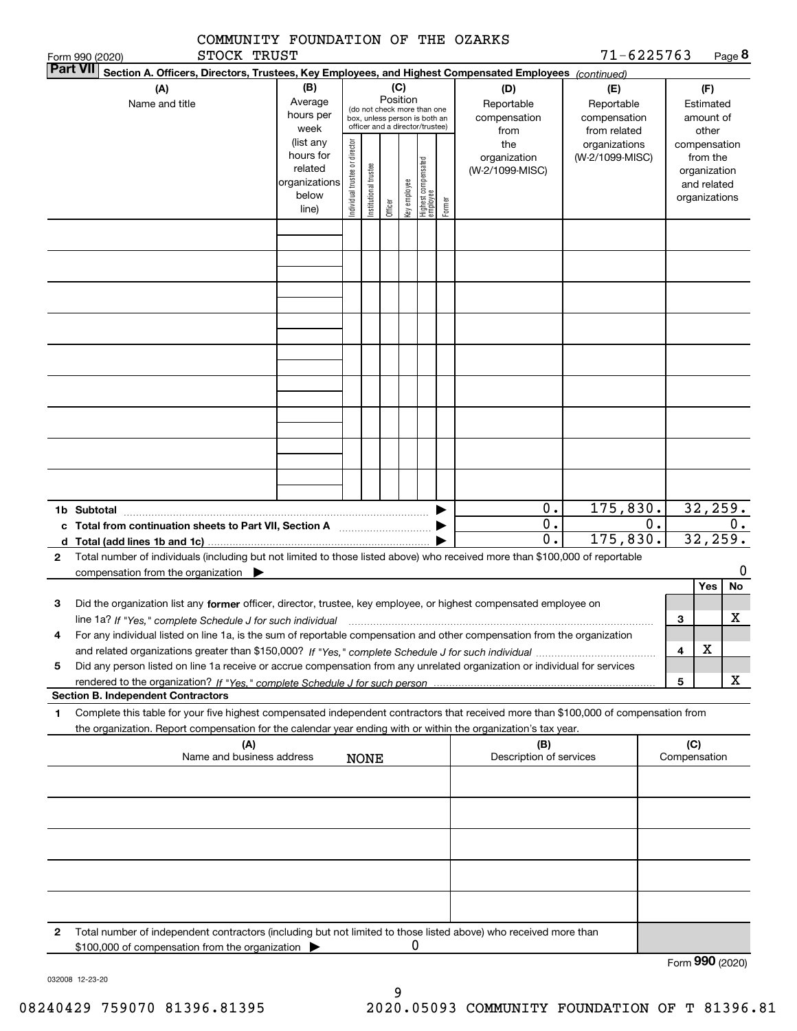|                 | COMMUNITY FOUNDATION OF THE OZARKS                                                                                                                                                                                                                                               |                                                                      |                                |                       |          |              |                                                                                                 |        |                                           |                                                   |    |                     |                                                          |         |
|-----------------|----------------------------------------------------------------------------------------------------------------------------------------------------------------------------------------------------------------------------------------------------------------------------------|----------------------------------------------------------------------|--------------------------------|-----------------------|----------|--------------|-------------------------------------------------------------------------------------------------|--------|-------------------------------------------|---------------------------------------------------|----|---------------------|----------------------------------------------------------|---------|
| <b>Part VII</b> | STOCK TRUST<br>Form 990 (2020)                                                                                                                                                                                                                                                   |                                                                      |                                |                       |          |              |                                                                                                 |        |                                           | 71-6225763                                        |    |                     |                                                          | Page 8  |
|                 | Section A. Officers, Directors, Trustees, Key Employees, and Highest Compensated Employees (continued)<br>(A)<br>Name and title                                                                                                                                                  | (B)<br>Average<br>hours per<br>week                                  |                                |                       | Position | (C)          | (do not check more than one<br>box, unless person is both an<br>officer and a director/trustee) |        | (D)<br>Reportable<br>compensation<br>from | (E)<br>Reportable<br>compensation<br>from related |    |                     | (F)<br>Estimated<br>amount of<br>other                   |         |
|                 |                                                                                                                                                                                                                                                                                  | (list any<br>hours for<br>related<br>organizations<br>below<br>line) | Individual trustee or director | Institutional trustee | Officer  | Key employee | Highest compensated<br>employee                                                                 | Former | the<br>organization<br>(W-2/1099-MISC)    | organizations<br>(W-2/1099-MISC)                  |    | compensation        | from the<br>organization<br>and related<br>organizations |         |
|                 |                                                                                                                                                                                                                                                                                  |                                                                      |                                |                       |          |              |                                                                                                 |        |                                           |                                                   |    |                     |                                                          |         |
|                 |                                                                                                                                                                                                                                                                                  |                                                                      |                                |                       |          |              |                                                                                                 |        |                                           |                                                   |    |                     |                                                          |         |
|                 |                                                                                                                                                                                                                                                                                  |                                                                      |                                |                       |          |              |                                                                                                 |        |                                           |                                                   |    |                     |                                                          |         |
|                 |                                                                                                                                                                                                                                                                                  |                                                                      |                                |                       |          |              |                                                                                                 |        |                                           |                                                   |    |                     |                                                          |         |
|                 | 1b Subtotal                                                                                                                                                                                                                                                                      |                                                                      |                                |                       |          |              |                                                                                                 |        | 0.                                        | 175,830.                                          |    |                     | 32, 259.                                                 |         |
|                 |                                                                                                                                                                                                                                                                                  |                                                                      |                                |                       |          |              |                                                                                                 |        | $\overline{0}$ .<br>$\overline{0}$ .      | 175,830.                                          | 0. |                     | 32,259.                                                  | 0.      |
| 2               | d Total (add lines 1b and 1c) $\ldots$<br>Total number of individuals (including but not limited to those listed above) who received more than \$100,000 of reportable                                                                                                           |                                                                      |                                |                       |          |              |                                                                                                 |        |                                           |                                                   |    |                     |                                                          |         |
|                 | compensation from the organization                                                                                                                                                                                                                                               |                                                                      |                                |                       |          |              |                                                                                                 |        |                                           |                                                   |    |                     | Yes                                                      | 0<br>No |
| з               | Did the organization list any former officer, director, trustee, key employee, or highest compensated employee on                                                                                                                                                                |                                                                      |                                |                       |          |              |                                                                                                 |        |                                           |                                                   |    | з                   |                                                          | X       |
| 4               | line 1a? If "Yes," complete Schedule J for such individual manufactured contained and the line 1a? If "Yes," complete Schedule J for such individual<br>For any individual listed on line 1a, is the sum of reportable compensation and other compensation from the organization |                                                                      |                                |                       |          |              |                                                                                                 |        |                                           |                                                   |    |                     |                                                          |         |
| 5               | Did any person listed on line 1a receive or accrue compensation from any unrelated organization or individual for services                                                                                                                                                       |                                                                      |                                |                       |          |              |                                                                                                 |        |                                           |                                                   |    | 4                   | х                                                        |         |
|                 | <b>Section B. Independent Contractors</b>                                                                                                                                                                                                                                        |                                                                      |                                |                       |          |              |                                                                                                 |        |                                           |                                                   |    | 5                   |                                                          | x       |
| 1               | Complete this table for your five highest compensated independent contractors that received more than \$100,000 of compensation from                                                                                                                                             |                                                                      |                                |                       |          |              |                                                                                                 |        |                                           |                                                   |    |                     |                                                          |         |
|                 | the organization. Report compensation for the calendar year ending with or within the organization's tax year.<br>(A)<br>Name and business address                                                                                                                               |                                                                      |                                | <b>NONE</b>           |          |              |                                                                                                 |        | (B)<br>Description of services            |                                                   |    | (C)<br>Compensation |                                                          |         |
|                 |                                                                                                                                                                                                                                                                                  |                                                                      |                                |                       |          |              |                                                                                                 |        |                                           |                                                   |    |                     |                                                          |         |
|                 |                                                                                                                                                                                                                                                                                  |                                                                      |                                |                       |          |              |                                                                                                 |        |                                           |                                                   |    |                     |                                                          |         |
|                 |                                                                                                                                                                                                                                                                                  |                                                                      |                                |                       |          |              |                                                                                                 |        |                                           |                                                   |    |                     |                                                          |         |
|                 |                                                                                                                                                                                                                                                                                  |                                                                      |                                |                       |          |              |                                                                                                 |        |                                           |                                                   |    |                     |                                                          |         |
|                 |                                                                                                                                                                                                                                                                                  |                                                                      |                                |                       |          |              |                                                                                                 |        |                                           |                                                   |    |                     |                                                          |         |
| 2               | Total number of independent contractors (including but not limited to those listed above) who received more than<br>\$100,000 of compensation from the organization                                                                                                              |                                                                      |                                |                       |          | 0            |                                                                                                 |        |                                           |                                                   |    |                     |                                                          |         |
|                 |                                                                                                                                                                                                                                                                                  |                                                                      |                                |                       |          |              |                                                                                                 |        |                                           |                                                   |    | Form 990 (2020)     |                                                          |         |

032008 12-23-20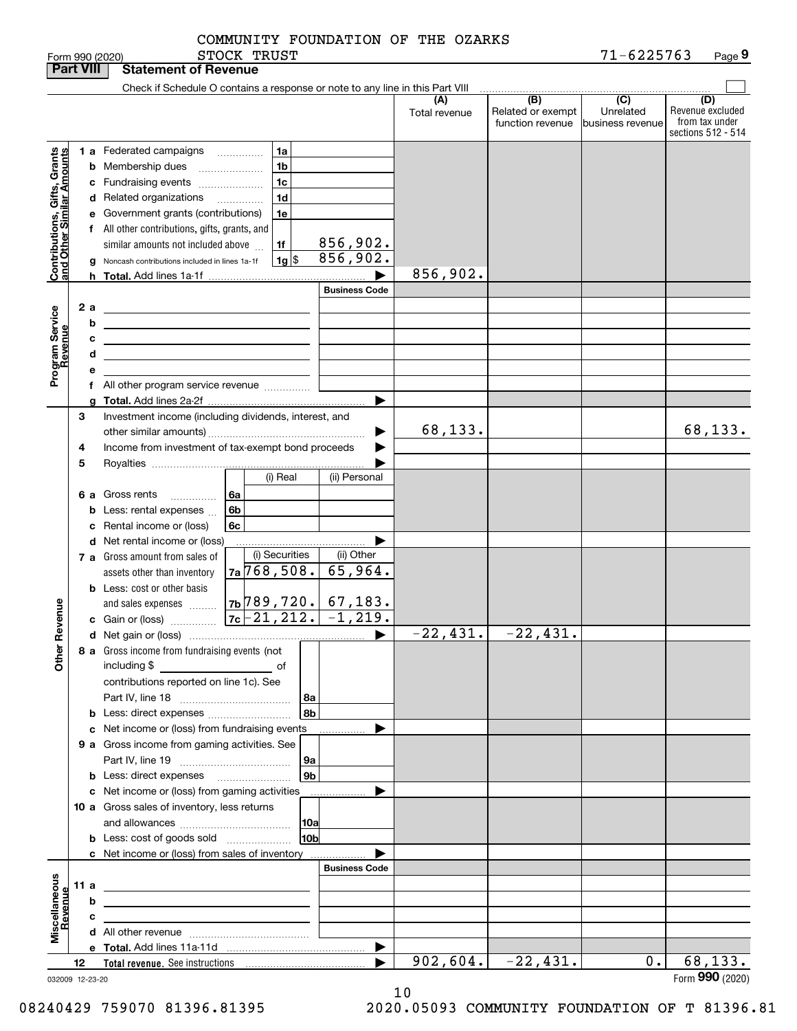| <b>Part VIII</b>                                          |    |                         | <b>Statement of Revenue</b>                                                                                                                                                                                                                                                                                                                                                                                                                             |                |                                                                                            |                             |                      |                                              |                                                 |                                                                 |
|-----------------------------------------------------------|----|-------------------------|---------------------------------------------------------------------------------------------------------------------------------------------------------------------------------------------------------------------------------------------------------------------------------------------------------------------------------------------------------------------------------------------------------------------------------------------------------|----------------|--------------------------------------------------------------------------------------------|-----------------------------|----------------------|----------------------------------------------|-------------------------------------------------|-----------------------------------------------------------------|
|                                                           |    |                         | Check if Schedule O contains a response or note to any line in this Part VIII                                                                                                                                                                                                                                                                                                                                                                           |                |                                                                                            |                             |                      |                                              |                                                 |                                                                 |
|                                                           |    |                         |                                                                                                                                                                                                                                                                                                                                                                                                                                                         |                |                                                                                            |                             | (A)<br>Total revenue | (B)<br>Related or exempt<br>function revenue | $\overline{C}$<br>Unrelated<br>business revenue | (D)<br>Revenue excluded<br>from tax under<br>sections 512 - 514 |
| Contributions, Gifts, Grants<br>and Other Similar Amounts |    |                         | <b>1 a</b> Federated campaigns<br><b>b</b> Membership dues<br>c Fundraising events<br>d Related organizations<br>e Government grants (contributions)<br>f All other contributions, gifts, grants, and<br>similar amounts not included above<br>Noncash contributions included in lines 1a-1f                                                                                                                                                            | $\cdots$<br>.  | 1a<br>1 <sub>b</sub><br>1 <sub>c</sub><br>1 <sub>d</sub><br>1e<br>1f<br>$1g$ $\frac{1}{3}$ | <u>856,902.</u><br>856,902. |                      |                                              |                                                 |                                                                 |
|                                                           |    | h.                      |                                                                                                                                                                                                                                                                                                                                                                                                                                                         |                |                                                                                            |                             | 856,902.             |                                              |                                                 |                                                                 |
| Program Service<br>Revenue                                |    | 2 a<br>b<br>с<br>d<br>е | <u> 1989 - Johann Barn, mars ann an t-Amhain Aonaich an t-Aonaich an t-Aonaich ann an t-Aonaich ann an t-Aonaich</u><br><u> 1989 - Johann Stein, marwolaethau a bhann an t-Amhain an t-Amhain an t-Amhain an t-Amhain an t-Amhain an t-A</u><br><u> 1989 - Johann Barbara, martin amerikan basar dan berasal dalam basa dalam basar dalam basar dalam basa dalam</u><br>the contract of the contract of the contract of the contract of the contract of |                |                                                                                            | <b>Business Code</b>        |                      |                                              |                                                 |                                                                 |
|                                                           |    |                         | f All other program service revenue                                                                                                                                                                                                                                                                                                                                                                                                                     |                |                                                                                            |                             |                      |                                              |                                                 |                                                                 |
|                                                           | З  |                         | Investment income (including dividends, interest, and                                                                                                                                                                                                                                                                                                                                                                                                   |                |                                                                                            | ▶                           | 68,133.              |                                              |                                                 | 68, 133.                                                        |
|                                                           | 4  |                         | Income from investment of tax-exempt bond proceeds                                                                                                                                                                                                                                                                                                                                                                                                      |                |                                                                                            |                             |                      |                                              |                                                 |                                                                 |
|                                                           | 5  |                         |                                                                                                                                                                                                                                                                                                                                                                                                                                                         |                | (i) Real                                                                                   | (ii) Personal               |                      |                                              |                                                 |                                                                 |
|                                                           |    | b<br>c                  | 6 a Gross rents<br>.<br>Less: rental expenses<br>Rental income or (loss)                                                                                                                                                                                                                                                                                                                                                                                | 6а<br>6b<br>6c |                                                                                            |                             |                      |                                              |                                                 |                                                                 |
|                                                           |    |                         | d Net rental income or (loss)<br>7 a Gross amount from sales of<br>assets other than inventory                                                                                                                                                                                                                                                                                                                                                          |                | (i) Securities<br>$7a$ 768, 508.                                                           | (ii) Other<br>65,964.       |                      |                                              |                                                 |                                                                 |
| Revenue                                                   |    |                         | <b>b</b> Less: cost or other basis                                                                                                                                                                                                                                                                                                                                                                                                                      |                |                                                                                            |                             |                      |                                              |                                                 |                                                                 |
|                                                           |    |                         |                                                                                                                                                                                                                                                                                                                                                                                                                                                         |                |                                                                                            | ▶                           | $-22, 431.$          | $-22,431.$                                   |                                                 |                                                                 |
| Other                                                     |    |                         | 8 a Gross income from fundraising events (not<br>including \$<br>contributions reported on line 1c). See                                                                                                                                                                                                                                                                                                                                                |                | 8a                                                                                         |                             |                      |                                              |                                                 |                                                                 |
|                                                           |    |                         | <b>b</b> Less: direct expenses                                                                                                                                                                                                                                                                                                                                                                                                                          |                | 8b                                                                                         |                             |                      |                                              |                                                 |                                                                 |
|                                                           |    |                         | c Net income or (loss) from fundraising events                                                                                                                                                                                                                                                                                                                                                                                                          |                |                                                                                            |                             |                      |                                              |                                                 |                                                                 |
|                                                           |    |                         | 9 a Gross income from gaming activities. See<br><b>b</b> Less: direct expenses <b>manually</b>                                                                                                                                                                                                                                                                                                                                                          |                | 9a<br>9 <sub>b</sub>                                                                       |                             |                      |                                              |                                                 |                                                                 |
|                                                           |    |                         | c Net income or (loss) from gaming activities                                                                                                                                                                                                                                                                                                                                                                                                           |                |                                                                                            | .                           |                      |                                              |                                                 |                                                                 |
|                                                           |    |                         | 10 a Gross sales of inventory, less returns                                                                                                                                                                                                                                                                                                                                                                                                             |                | 10a                                                                                        |                             |                      |                                              |                                                 |                                                                 |
|                                                           |    |                         | <b>b</b> Less: cost of goods sold                                                                                                                                                                                                                                                                                                                                                                                                                       |                | 10bl                                                                                       |                             |                      |                                              |                                                 |                                                                 |
|                                                           |    |                         | c Net income or (loss) from sales of inventory                                                                                                                                                                                                                                                                                                                                                                                                          |                |                                                                                            |                             |                      |                                              |                                                 |                                                                 |
|                                                           |    |                         |                                                                                                                                                                                                                                                                                                                                                                                                                                                         |                |                                                                                            | <b>Business Code</b>        |                      |                                              |                                                 |                                                                 |
|                                                           |    | 11 a                    | the contract of the contract of the contract of the contract of the                                                                                                                                                                                                                                                                                                                                                                                     |                |                                                                                            |                             |                      |                                              |                                                 |                                                                 |
|                                                           |    | b                       |                                                                                                                                                                                                                                                                                                                                                                                                                                                         |                |                                                                                            |                             |                      |                                              |                                                 |                                                                 |
| Miscellaneous<br>Revenue                                  |    | с                       | the control of the control of the control of the control of the control of                                                                                                                                                                                                                                                                                                                                                                              |                |                                                                                            |                             |                      |                                              |                                                 |                                                                 |
|                                                           |    |                         |                                                                                                                                                                                                                                                                                                                                                                                                                                                         |                |                                                                                            | ▶                           |                      |                                              |                                                 |                                                                 |
|                                                           | 12 |                         |                                                                                                                                                                                                                                                                                                                                                                                                                                                         |                |                                                                                            |                             | 902,604.             | $-22,431.$                                   | 0.                                              | 68,133.                                                         |
| 032009 12-23-20                                           |    |                         |                                                                                                                                                                                                                                                                                                                                                                                                                                                         |                |                                                                                            |                             |                      |                                              |                                                 | Form 990 (2020)                                                 |

10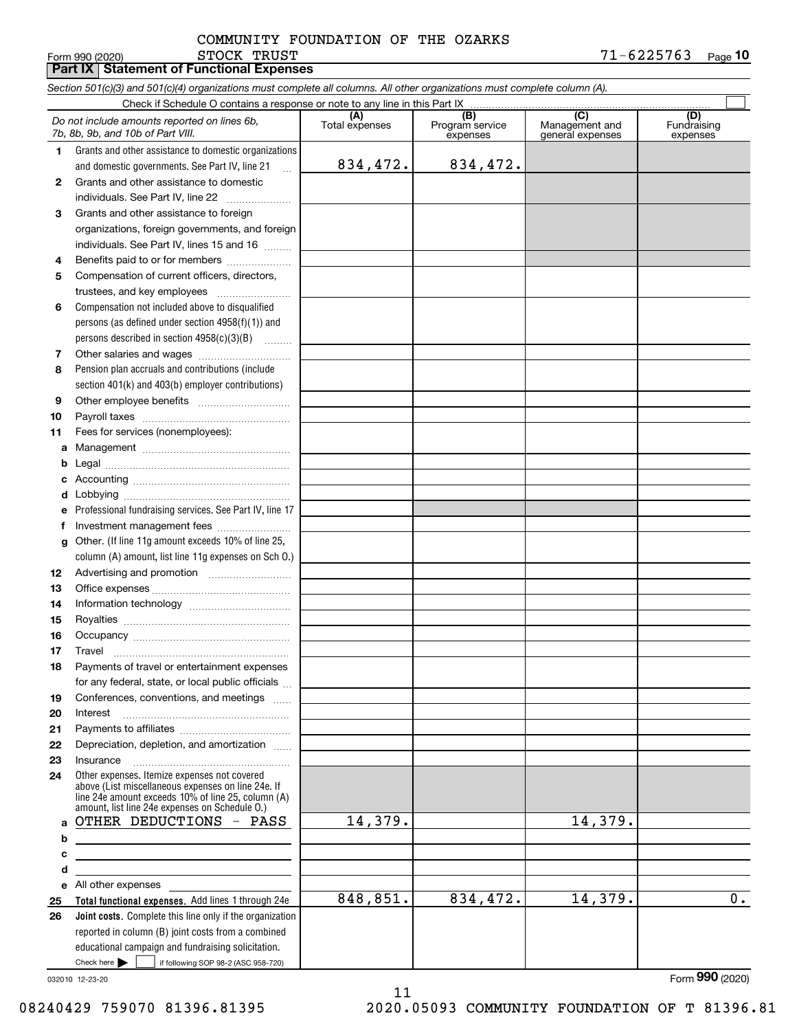Form 990 (2020) STOCK TRUST 7 1-6 2 2 5 7 6 3 <sub>Page</sub> 10 **Part IX Statement of Functional Expenses** STOCK TRUST

|    | Section 501(c)(3) and 501(c)(4) organizations must complete all columns. All other organizations must complete column (A).                                                                                 |                       |                                    |                                           |                                |
|----|------------------------------------------------------------------------------------------------------------------------------------------------------------------------------------------------------------|-----------------------|------------------------------------|-------------------------------------------|--------------------------------|
|    |                                                                                                                                                                                                            |                       |                                    |                                           |                                |
|    | Do not include amounts reported on lines 6b,<br>7b, 8b, 9b, and 10b of Part VIII.                                                                                                                          | (A)<br>Total expenses | (B)<br>Program service<br>expenses | (C)<br>Management and<br>general expenses | (D)<br>Fundraising<br>expenses |
| 1. | Grants and other assistance to domestic organizations                                                                                                                                                      |                       |                                    |                                           |                                |
|    | and domestic governments. See Part IV, line 21                                                                                                                                                             | 834,472.              | 834,472.                           |                                           |                                |
| 2  | Grants and other assistance to domestic                                                                                                                                                                    |                       |                                    |                                           |                                |
|    | individuals. See Part IV, line 22                                                                                                                                                                          |                       |                                    |                                           |                                |
| 3  | Grants and other assistance to foreign                                                                                                                                                                     |                       |                                    |                                           |                                |
|    | organizations, foreign governments, and foreign                                                                                                                                                            |                       |                                    |                                           |                                |
|    | individuals. See Part IV, lines 15 and 16                                                                                                                                                                  |                       |                                    |                                           |                                |
| 4  | Benefits paid to or for members                                                                                                                                                                            |                       |                                    |                                           |                                |
| 5  | Compensation of current officers, directors,                                                                                                                                                               |                       |                                    |                                           |                                |
|    | trustees, and key employees                                                                                                                                                                                |                       |                                    |                                           |                                |
| 6  | Compensation not included above to disqualified                                                                                                                                                            |                       |                                    |                                           |                                |
|    | persons (as defined under section $4958(f)(1)$ ) and                                                                                                                                                       |                       |                                    |                                           |                                |
|    | persons described in section 4958(c)(3)(B)                                                                                                                                                                 |                       |                                    |                                           |                                |
| 7  |                                                                                                                                                                                                            |                       |                                    |                                           |                                |
| 8  | Pension plan accruals and contributions (include                                                                                                                                                           |                       |                                    |                                           |                                |
|    | section 401(k) and 403(b) employer contributions)                                                                                                                                                          |                       |                                    |                                           |                                |
| 9  |                                                                                                                                                                                                            |                       |                                    |                                           |                                |
| 10 |                                                                                                                                                                                                            |                       |                                    |                                           |                                |
| 11 | Fees for services (nonemployees):                                                                                                                                                                          |                       |                                    |                                           |                                |
| a  |                                                                                                                                                                                                            |                       |                                    |                                           |                                |
| b  |                                                                                                                                                                                                            |                       |                                    |                                           |                                |
| c  |                                                                                                                                                                                                            |                       |                                    |                                           |                                |
|    |                                                                                                                                                                                                            |                       |                                    |                                           |                                |
| d  |                                                                                                                                                                                                            |                       |                                    |                                           |                                |
| e  | Professional fundraising services. See Part IV, line 17                                                                                                                                                    |                       |                                    |                                           |                                |
| f  | Investment management fees                                                                                                                                                                                 |                       |                                    |                                           |                                |
| g  | Other. (If line 11g amount exceeds 10% of line 25,                                                                                                                                                         |                       |                                    |                                           |                                |
|    | column (A) amount, list line 11g expenses on Sch O.)                                                                                                                                                       |                       |                                    |                                           |                                |
| 12 |                                                                                                                                                                                                            |                       |                                    |                                           |                                |
| 13 |                                                                                                                                                                                                            |                       |                                    |                                           |                                |
| 14 |                                                                                                                                                                                                            |                       |                                    |                                           |                                |
| 15 |                                                                                                                                                                                                            |                       |                                    |                                           |                                |
| 16 |                                                                                                                                                                                                            |                       |                                    |                                           |                                |
| 17 |                                                                                                                                                                                                            |                       |                                    |                                           |                                |
| 18 | Payments of travel or entertainment expenses                                                                                                                                                               |                       |                                    |                                           |                                |
|    | for any federal, state, or local public officials                                                                                                                                                          |                       |                                    |                                           |                                |
| 19 | Conferences, conventions, and meetings                                                                                                                                                                     |                       |                                    |                                           |                                |
| 20 | Interest                                                                                                                                                                                                   |                       |                                    |                                           |                                |
| 21 |                                                                                                                                                                                                            |                       |                                    |                                           |                                |
| 22 | Depreciation, depletion, and amortization                                                                                                                                                                  |                       |                                    |                                           |                                |
| 23 | Insurance                                                                                                                                                                                                  |                       |                                    |                                           |                                |
| 24 | Other expenses. Itemize expenses not covered<br>above (List miscellaneous expenses on line 24e. If<br>line 24e amount exceeds 10% of line 25, column (A)<br>amount, list line 24e expenses on Schedule 0.) |                       |                                    |                                           |                                |
| a  | OTHER DEDUCTIONS - PASS                                                                                                                                                                                    | 14,379.               |                                    | 14,379.                                   |                                |
| b  | the contract of the contract of the contract of the contract of the contract of                                                                                                                            |                       |                                    |                                           |                                |
| c  | <u> 1989 - Johann Stein, marwolaethau a bhann an t-Amhain an t-Amhain an t-Amhain an t-Amhain an t-Amhain an t-A</u>                                                                                       |                       |                                    |                                           |                                |
| d  | <u> 1980 - Johann Barbara, martxa alemaniar arg</u>                                                                                                                                                        |                       |                                    |                                           |                                |
| е  | All other expenses                                                                                                                                                                                         |                       |                                    |                                           |                                |
| 25 | Total functional expenses. Add lines 1 through 24e                                                                                                                                                         | 848,851.              | 834,472.                           | 14,379.                                   | 0.                             |
| 26 | Joint costs. Complete this line only if the organization                                                                                                                                                   |                       |                                    |                                           |                                |
|    | reported in column (B) joint costs from a combined                                                                                                                                                         |                       |                                    |                                           |                                |
|    | educational campaign and fundraising solicitation.                                                                                                                                                         |                       |                                    |                                           |                                |
|    | Check here       if following SOP 98-2 (ASC 958-720)                                                                                                                                                       |                       |                                    |                                           |                                |

11

032010 12-23-20

Form (2020) **990**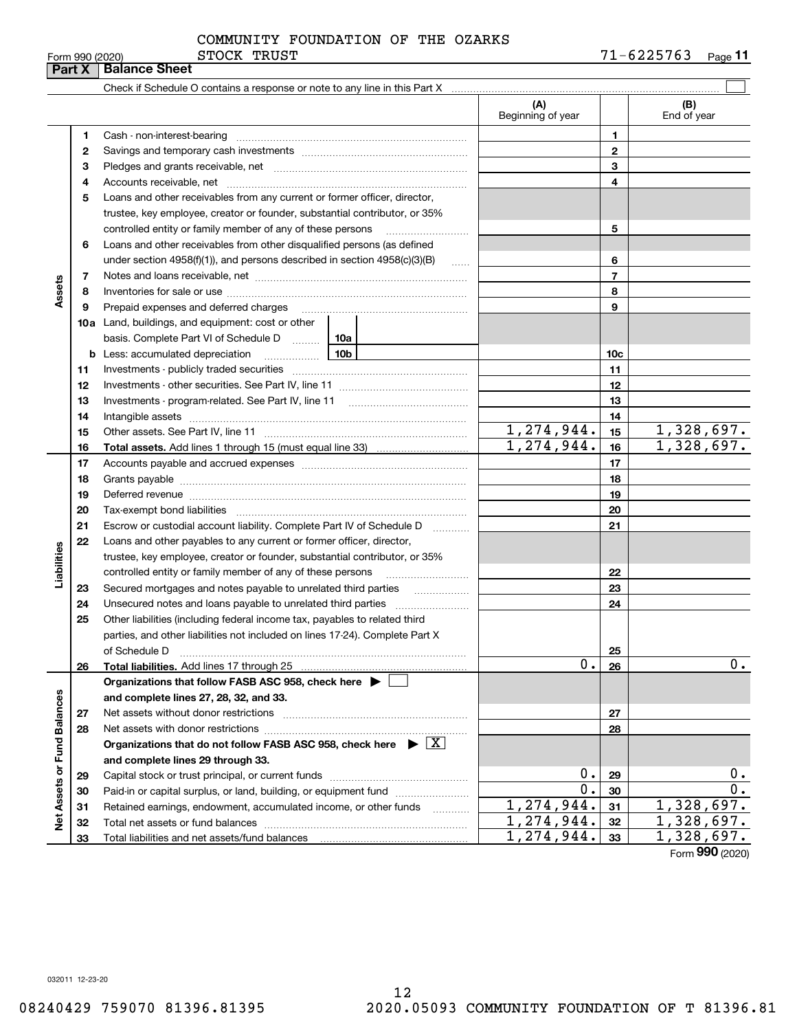|  | Form 990 (2020) |  |
|--|-----------------|--|
|  |                 |  |

### STOCK TRUST COMMUNITY FOUNDATION OF THE OZARKS

|                             | Part X | F0rm 990 (2020)<br>PINCU TUNDI<br><b>Balance Sheet</b>                                                                                                                                                                         |                          |                | $1 + 044$<br>Page II |
|-----------------------------|--------|--------------------------------------------------------------------------------------------------------------------------------------------------------------------------------------------------------------------------------|--------------------------|----------------|----------------------|
|                             |        |                                                                                                                                                                                                                                |                          |                |                      |
|                             |        |                                                                                                                                                                                                                                | (A)<br>Beginning of year |                | (B)<br>End of year   |
|                             | 1      | Cash - non-interest-bearing                                                                                                                                                                                                    |                          | 1              |                      |
|                             | 2      |                                                                                                                                                                                                                                |                          | $\mathbf{2}$   |                      |
|                             | 3      |                                                                                                                                                                                                                                |                          | 3              |                      |
|                             | 4      |                                                                                                                                                                                                                                |                          | 4              |                      |
|                             | 5      | Loans and other receivables from any current or former officer, director,                                                                                                                                                      |                          |                |                      |
|                             |        | trustee, key employee, creator or founder, substantial contributor, or 35%                                                                                                                                                     |                          |                |                      |
|                             |        | controlled entity or family member of any of these persons                                                                                                                                                                     |                          | 5              |                      |
|                             | 6      | Loans and other receivables from other disqualified persons (as defined                                                                                                                                                        |                          |                |                      |
|                             |        | under section $4958(f)(1)$ , and persons described in section $4958(c)(3)(B)$<br>$\ldots$                                                                                                                                      |                          | 6              |                      |
|                             | 7      |                                                                                                                                                                                                                                |                          | $\overline{7}$ |                      |
| Assets                      | 8      |                                                                                                                                                                                                                                |                          | 8              |                      |
|                             | 9      | Prepaid expenses and deferred charges                                                                                                                                                                                          |                          | 9              |                      |
|                             |        | 10a Land, buildings, and equipment: cost or other                                                                                                                                                                              |                          |                |                      |
|                             |        | basis. Complete Part VI of Schedule D  [10a                                                                                                                                                                                    |                          |                |                      |
|                             | b      | $\frac{10b}{2}$<br>Less: accumulated depreciation                                                                                                                                                                              |                          | 10c            |                      |
|                             | 11     |                                                                                                                                                                                                                                |                          | 11             |                      |
|                             | 12     |                                                                                                                                                                                                                                |                          | 12             |                      |
|                             | 13     |                                                                                                                                                                                                                                |                          | 13             |                      |
|                             | 14     |                                                                                                                                                                                                                                |                          | 14             |                      |
|                             | 15     |                                                                                                                                                                                                                                | 1,274,944.               | 15             | 1,328,697.           |
|                             | 16     |                                                                                                                                                                                                                                | 1, 274, 944.             | 16             | 1,328,697.           |
|                             | 17     |                                                                                                                                                                                                                                |                          | 17             |                      |
|                             | 18     |                                                                                                                                                                                                                                |                          | 18             |                      |
|                             | 19     | Deferred revenue material contracts and a contract of the contract of the contract of the contract of the contract of the contract of the contract of the contract of the contract of the contract of the contract of the cont |                          | 19             |                      |
|                             | 20     |                                                                                                                                                                                                                                |                          | 20             |                      |
|                             | 21     | Escrow or custodial account liability. Complete Part IV of Schedule D<br>1.1.1.1.1.1.1.1.1.1                                                                                                                                   |                          | 21             |                      |
|                             | 22     | Loans and other payables to any current or former officer, director,                                                                                                                                                           |                          |                |                      |
| Liabilities                 |        | trustee, key employee, creator or founder, substantial contributor, or 35%                                                                                                                                                     |                          |                |                      |
|                             |        | controlled entity or family member of any of these persons                                                                                                                                                                     |                          | 22             |                      |
|                             | 23     | Secured mortgages and notes payable to unrelated third parties                                                                                                                                                                 |                          | 23             |                      |
|                             | 24     |                                                                                                                                                                                                                                |                          | 24             |                      |
|                             | 25     | Other liabilities (including federal income tax, payables to related third                                                                                                                                                     |                          |                |                      |
|                             |        | parties, and other liabilities not included on lines 17-24). Complete Part X                                                                                                                                                   |                          |                |                      |
|                             |        | of Schedule D                                                                                                                                                                                                                  |                          | 25             |                      |
|                             | 26     |                                                                                                                                                                                                                                | 0.                       | 26             | 0.                   |
|                             |        | Organizations that follow FASB ASC 958, check here $\blacktriangleright$                                                                                                                                                       |                          |                |                      |
|                             |        | and complete lines 27, 28, 32, and 33.                                                                                                                                                                                         |                          |                |                      |
|                             | 27     | Net assets without donor restrictions                                                                                                                                                                                          |                          | 27             |                      |
|                             | 28     |                                                                                                                                                                                                                                |                          | 28             |                      |
|                             |        | Organizations that do not follow FASB ASC 958, check here $\triangleright \lfloor X \rfloor$                                                                                                                                   |                          |                |                      |
|                             |        | and complete lines 29 through 33.                                                                                                                                                                                              |                          |                |                      |
|                             | 29     |                                                                                                                                                                                                                                | 0.                       | 29             | 0.                   |
|                             | 30     | Paid-in or capital surplus, or land, building, or equipment fund                                                                                                                                                               | 0.                       | 30             | 0.                   |
|                             | 31     | Retained earnings, endowment, accumulated income, or other funds<br>1.1.1.1.1.1.1.1.1.1                                                                                                                                        | 1,274,944.               | 31             | 1,328,697.           |
| Net Assets or Fund Balances | 32     |                                                                                                                                                                                                                                | 1,274,944.               | 32             | 1,328,697.           |
|                             | 33     |                                                                                                                                                                                                                                | 1,274,944.               | 33             | 1,328,697.<br>nnn    |

Form (2020) **990**

032011 12-23-20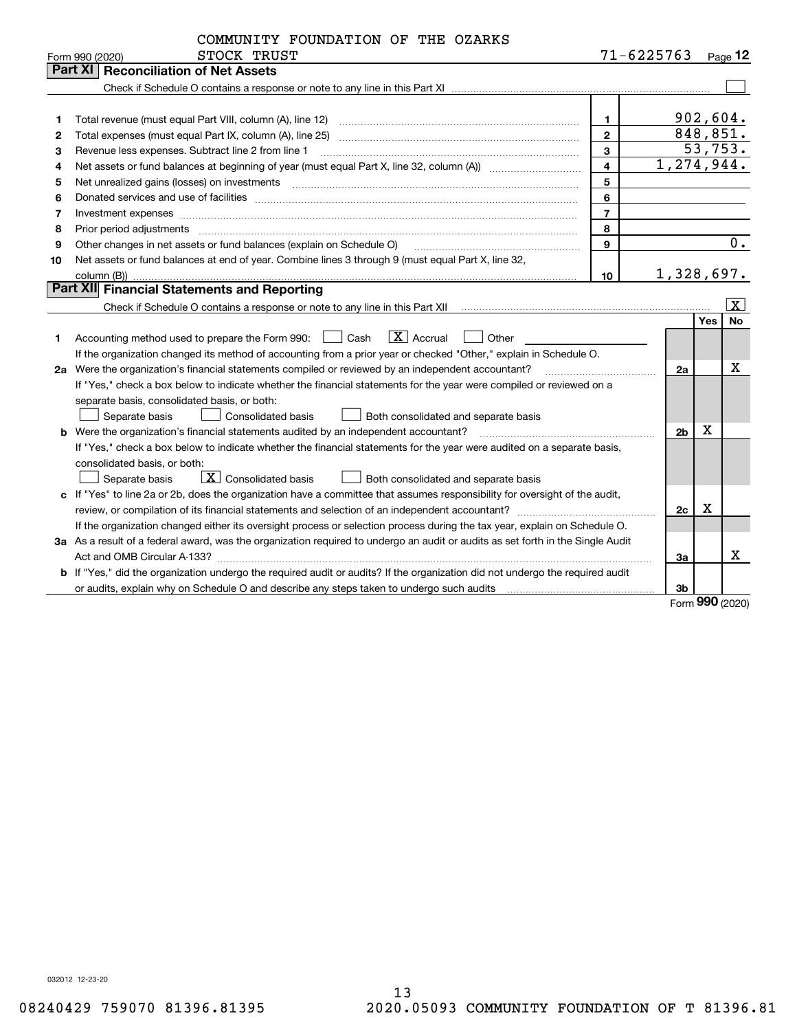|    | COMMUNITY FOUNDATION OF THE OZARKS                                                                                                                                                                                                                                                                                                                                                                                                                                      |                |                |             |                      |
|----|-------------------------------------------------------------------------------------------------------------------------------------------------------------------------------------------------------------------------------------------------------------------------------------------------------------------------------------------------------------------------------------------------------------------------------------------------------------------------|----------------|----------------|-------------|----------------------|
|    | STOCK TRUST<br>Form 990 (2020)                                                                                                                                                                                                                                                                                                                                                                                                                                          |                | $71 - 6225763$ |             | $_{\sf Page}$ 12     |
|    | Part XI<br><b>Reconciliation of Net Assets</b>                                                                                                                                                                                                                                                                                                                                                                                                                          |                |                |             |                      |
|    |                                                                                                                                                                                                                                                                                                                                                                                                                                                                         |                |                |             |                      |
|    |                                                                                                                                                                                                                                                                                                                                                                                                                                                                         |                |                |             |                      |
| 1  | Total revenue (must equal Part VIII, column (A), line 12)                                                                                                                                                                                                                                                                                                                                                                                                               | $\mathbf 1$    |                |             | 902,604.             |
| 2  | Total expenses (must equal Part IX, column (A), line 25)                                                                                                                                                                                                                                                                                                                                                                                                                | $\overline{2}$ |                |             | 848,851.             |
| з  | Revenue less expenses. Subtract line 2 from line 1                                                                                                                                                                                                                                                                                                                                                                                                                      | 3              |                |             | 53,753.              |
| 4  |                                                                                                                                                                                                                                                                                                                                                                                                                                                                         | $\overline{4}$ |                |             | 1,274,944.           |
| 5  | Net unrealized gains (losses) on investments [11] matter continuum matter is a set of the set of the set of the                                                                                                                                                                                                                                                                                                                                                         | 5              |                |             |                      |
| 6  |                                                                                                                                                                                                                                                                                                                                                                                                                                                                         | 6              |                |             |                      |
| 7  |                                                                                                                                                                                                                                                                                                                                                                                                                                                                         | $\overline{7}$ |                |             |                      |
| 8  | Prior period adjustments<br>$\begin{minipage}{0.5\textwidth} \begin{tabular}{ l l l } \hline \multicolumn{1}{ l l l } \hline \multicolumn{1}{ l l } \multicolumn{1}{ l } \multicolumn{1}{ l } \multicolumn{1}{ l } \multicolumn{1}{ l } \multicolumn{1}{ l } \multicolumn{1}{ l } \multicolumn{1}{ l } \multicolumn{1}{ l } \multicolumn{1}{ l } \multicolumn{1}{ l } \multicolumn{1}{ l } \multicolumn{1}{ l } \multicolumn{1}{ l } \multicolumn{1}{ l } \multicolumn$ | 8              |                |             |                      |
| 9  | Other changes in net assets or fund balances (explain on Schedule O)                                                                                                                                                                                                                                                                                                                                                                                                    | 9              |                |             | 0.                   |
| 10 | Net assets or fund balances at end of year. Combine lines 3 through 9 (must equal Part X, line 32,                                                                                                                                                                                                                                                                                                                                                                      |                |                |             |                      |
|    |                                                                                                                                                                                                                                                                                                                                                                                                                                                                         | 10             |                |             | 1,328,697.           |
|    | Part XII Financial Statements and Reporting                                                                                                                                                                                                                                                                                                                                                                                                                             |                |                |             |                      |
|    |                                                                                                                                                                                                                                                                                                                                                                                                                                                                         |                |                |             | $\boxed{\textbf{X}}$ |
|    |                                                                                                                                                                                                                                                                                                                                                                                                                                                                         |                |                | <b>Yes</b>  | <b>No</b>            |
| 1  | $ X $ Accrual<br>Cash<br>Other<br>Accounting method used to prepare the Form 990:                                                                                                                                                                                                                                                                                                                                                                                       |                |                |             |                      |
|    | If the organization changed its method of accounting from a prior year or checked "Other," explain in Schedule O.                                                                                                                                                                                                                                                                                                                                                       |                |                |             |                      |
|    | 2a Were the organization's financial statements compiled or reviewed by an independent accountant?                                                                                                                                                                                                                                                                                                                                                                      |                | 2a             |             | x                    |
|    | If "Yes," check a box below to indicate whether the financial statements for the year were compiled or reviewed on a                                                                                                                                                                                                                                                                                                                                                    |                |                |             |                      |
|    | separate basis, consolidated basis, or both:                                                                                                                                                                                                                                                                                                                                                                                                                            |                |                |             |                      |
|    | Separate basis<br><b>Consolidated basis</b><br>Both consolidated and separate basis                                                                                                                                                                                                                                                                                                                                                                                     |                |                |             |                      |
|    |                                                                                                                                                                                                                                                                                                                                                                                                                                                                         |                | 2 <sub>b</sub> | $\mathbf X$ |                      |
|    | If "Yes," check a box below to indicate whether the financial statements for the year were audited on a separate basis,                                                                                                                                                                                                                                                                                                                                                 |                |                |             |                      |
|    | consolidated basis, or both:                                                                                                                                                                                                                                                                                                                                                                                                                                            |                |                |             |                      |
|    | X Consolidated basis<br>Separate basis<br>Both consolidated and separate basis                                                                                                                                                                                                                                                                                                                                                                                          |                |                |             |                      |
|    | c If "Yes" to line 2a or 2b, does the organization have a committee that assumes responsibility for oversight of the audit,                                                                                                                                                                                                                                                                                                                                             |                |                |             |                      |
|    |                                                                                                                                                                                                                                                                                                                                                                                                                                                                         |                | 2c             | x           |                      |
|    | If the organization changed either its oversight process or selection process during the tax year, explain on Schedule O.                                                                                                                                                                                                                                                                                                                                               |                |                |             |                      |
|    | 3a As a result of a federal award, was the organization required to undergo an audit or audits as set forth in the Single Audit                                                                                                                                                                                                                                                                                                                                         |                |                |             |                      |
|    |                                                                                                                                                                                                                                                                                                                                                                                                                                                                         |                | Зa             |             | X                    |
|    | b If "Yes," did the organization undergo the required audit or audits? If the organization did not undergo the required audit                                                                                                                                                                                                                                                                                                                                           |                |                |             |                      |
|    |                                                                                                                                                                                                                                                                                                                                                                                                                                                                         |                | Зb             |             |                      |
|    |                                                                                                                                                                                                                                                                                                                                                                                                                                                                         |                |                | <u>nnn</u>  |                      |

Form (2020) **990**

032012 12-23-20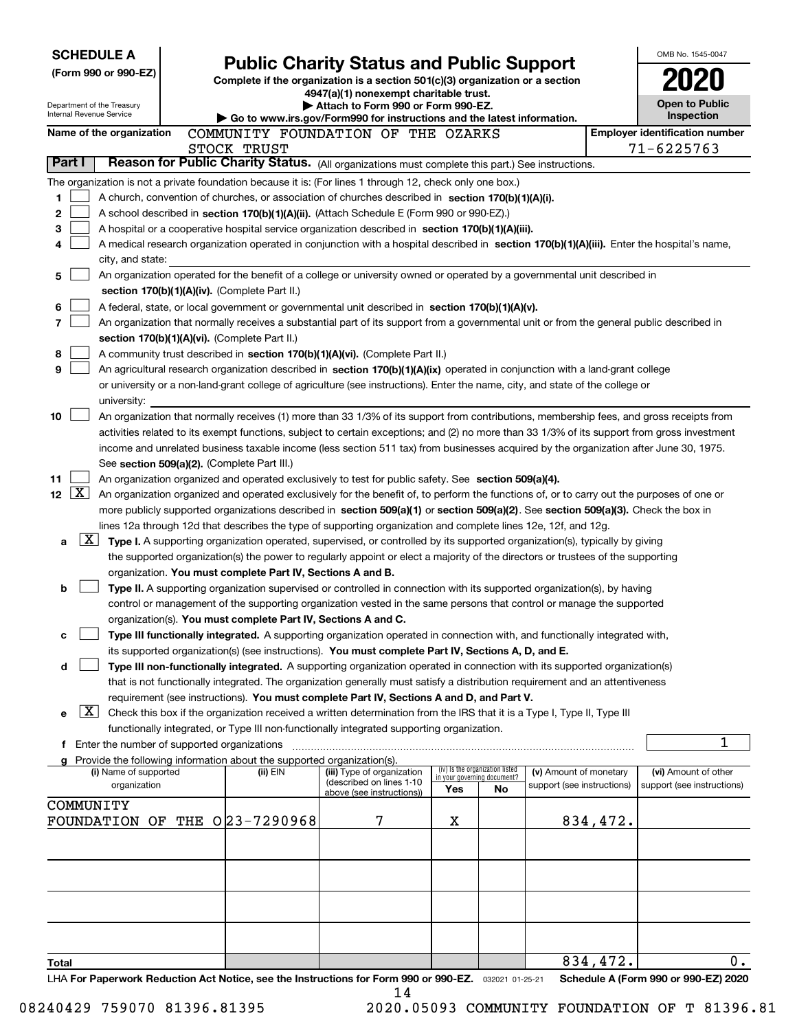| <b>SCHEDULE A</b>                                                                                         |                                                                                    |                                                                                                                                                                                                                                                                |     |                                   |                            |          | OMB No. 1545-0047                     |
|-----------------------------------------------------------------------------------------------------------|------------------------------------------------------------------------------------|----------------------------------------------------------------------------------------------------------------------------------------------------------------------------------------------------------------------------------------------------------------|-----|-----------------------------------|----------------------------|----------|---------------------------------------|
| (Form 990 or 990-EZ)                                                                                      |                                                                                    | <b>Public Charity Status and Public Support</b><br>Complete if the organization is a section $501(c)(3)$ organization or a section                                                                                                                             |     |                                   |                            |          |                                       |
|                                                                                                           |                                                                                    | 4947(a)(1) nonexempt charitable trust.                                                                                                                                                                                                                         |     |                                   |                            |          |                                       |
| Department of the Treasury<br>Internal Revenue Service                                                    |                                                                                    | Attach to Form 990 or Form 990-EZ.                                                                                                                                                                                                                             |     |                                   |                            |          | <b>Open to Public</b><br>Inspection   |
| Name of the organization                                                                                  |                                                                                    | Go to www.irs.gov/Form990 for instructions and the latest information.<br>COMMUNITY FOUNDATION OF THE OZARKS                                                                                                                                                   |     |                                   |                            |          | <b>Employer identification number</b> |
|                                                                                                           | STOCK TRUST                                                                        |                                                                                                                                                                                                                                                                |     |                                   |                            |          | 71-6225763                            |
| Part I                                                                                                    |                                                                                    | Reason for Public Charity Status. (All organizations must complete this part.) See instructions.                                                                                                                                                               |     |                                   |                            |          |                                       |
| The organization is not a private foundation because it is: (For lines 1 through 12, check only one box.) |                                                                                    |                                                                                                                                                                                                                                                                |     |                                   |                            |          |                                       |
| 1                                                                                                         |                                                                                    | A church, convention of churches, or association of churches described in section 170(b)(1)(A)(i).                                                                                                                                                             |     |                                   |                            |          |                                       |
| 2                                                                                                         |                                                                                    | A school described in section 170(b)(1)(A)(ii). (Attach Schedule E (Form 990 or 990-EZ).)                                                                                                                                                                      |     |                                   |                            |          |                                       |
| 3                                                                                                         |                                                                                    | A hospital or a cooperative hospital service organization described in section $170(b)(1)(A)(iii)$ .                                                                                                                                                           |     |                                   |                            |          |                                       |
| 4                                                                                                         |                                                                                    | A medical research organization operated in conjunction with a hospital described in section 170(b)(1)(A)(iii). Enter the hospital's name,                                                                                                                     |     |                                   |                            |          |                                       |
| city, and state:                                                                                          |                                                                                    | An organization operated for the benefit of a college or university owned or operated by a governmental unit described in                                                                                                                                      |     |                                   |                            |          |                                       |
| 5                                                                                                         | section 170(b)(1)(A)(iv). (Complete Part II.)                                      |                                                                                                                                                                                                                                                                |     |                                   |                            |          |                                       |
| 6                                                                                                         |                                                                                    | A federal, state, or local government or governmental unit described in section 170(b)(1)(A)(v).                                                                                                                                                               |     |                                   |                            |          |                                       |
| 7                                                                                                         |                                                                                    | An organization that normally receives a substantial part of its support from a governmental unit or from the general public described in                                                                                                                      |     |                                   |                            |          |                                       |
|                                                                                                           | section 170(b)(1)(A)(vi). (Complete Part II.)                                      |                                                                                                                                                                                                                                                                |     |                                   |                            |          |                                       |
| 8                                                                                                         |                                                                                    | A community trust described in section 170(b)(1)(A)(vi). (Complete Part II.)                                                                                                                                                                                   |     |                                   |                            |          |                                       |
| 9                                                                                                         |                                                                                    | An agricultural research organization described in section 170(b)(1)(A)(ix) operated in conjunction with a land-grant college                                                                                                                                  |     |                                   |                            |          |                                       |
|                                                                                                           |                                                                                    | or university or a non-land-grant college of agriculture (see instructions). Enter the name, city, and state of the college or                                                                                                                                 |     |                                   |                            |          |                                       |
| university:<br>10                                                                                         |                                                                                    | An organization that normally receives (1) more than 33 1/3% of its support from contributions, membership fees, and gross receipts from                                                                                                                       |     |                                   |                            |          |                                       |
|                                                                                                           |                                                                                    | activities related to its exempt functions, subject to certain exceptions; and (2) no more than 33 1/3% of its support from gross investment                                                                                                                   |     |                                   |                            |          |                                       |
|                                                                                                           |                                                                                    | income and unrelated business taxable income (less section 511 tax) from businesses acquired by the organization after June 30, 1975.                                                                                                                          |     |                                   |                            |          |                                       |
|                                                                                                           | See section 509(a)(2). (Complete Part III.)                                        |                                                                                                                                                                                                                                                                |     |                                   |                            |          |                                       |
| 11                                                                                                        |                                                                                    | An organization organized and operated exclusively to test for public safety. See section 509(a)(4).                                                                                                                                                           |     |                                   |                            |          |                                       |
| $\mathbf{X}$<br>12 <sub>2</sub>                                                                           |                                                                                    | An organization organized and operated exclusively for the benefit of, to perform the functions of, or to carry out the purposes of one or                                                                                                                     |     |                                   |                            |          |                                       |
|                                                                                                           |                                                                                    | more publicly supported organizations described in section 509(a)(1) or section 509(a)(2). See section 509(a)(3). Check the box in                                                                                                                             |     |                                   |                            |          |                                       |
| $\lfloor x \rfloor$                                                                                       |                                                                                    | lines 12a through 12d that describes the type of supporting organization and complete lines 12e, 12f, and 12g.                                                                                                                                                 |     |                                   |                            |          |                                       |
| a                                                                                                         |                                                                                    | Type I. A supporting organization operated, supervised, or controlled by its supported organization(s), typically by giving<br>the supported organization(s) the power to regularly appoint or elect a majority of the directors or trustees of the supporting |     |                                   |                            |          |                                       |
|                                                                                                           | organization. You must complete Part IV, Sections A and B.                         |                                                                                                                                                                                                                                                                |     |                                   |                            |          |                                       |
| b                                                                                                         |                                                                                    | Type II. A supporting organization supervised or controlled in connection with its supported organization(s), by having                                                                                                                                        |     |                                   |                            |          |                                       |
|                                                                                                           |                                                                                    | control or management of the supporting organization vested in the same persons that control or manage the supported                                                                                                                                           |     |                                   |                            |          |                                       |
|                                                                                                           | organization(s). You must complete Part IV, Sections A and C.                      |                                                                                                                                                                                                                                                                |     |                                   |                            |          |                                       |
| c                                                                                                         |                                                                                    | Type III functionally integrated. A supporting organization operated in connection with, and functionally integrated with,                                                                                                                                     |     |                                   |                            |          |                                       |
|                                                                                                           |                                                                                    | its supported organization(s) (see instructions). You must complete Part IV, Sections A, D, and E.                                                                                                                                                             |     |                                   |                            |          |                                       |
| d                                                                                                         |                                                                                    | Type III non-functionally integrated. A supporting organization operated in connection with its supported organization(s)<br>that is not functionally integrated. The organization generally must satisfy a distribution requirement and an attentiveness      |     |                                   |                            |          |                                       |
|                                                                                                           |                                                                                    | requirement (see instructions). You must complete Part IV, Sections A and D, and Part V.                                                                                                                                                                       |     |                                   |                            |          |                                       |
| $\lfloor x \rfloor$<br>е                                                                                  |                                                                                    | Check this box if the organization received a written determination from the IRS that it is a Type I, Type II, Type III                                                                                                                                        |     |                                   |                            |          |                                       |
|                                                                                                           |                                                                                    | functionally integrated, or Type III non-functionally integrated supporting organization.                                                                                                                                                                      |     |                                   |                            |          |                                       |
| f Enter the number of supported organizations                                                             |                                                                                    |                                                                                                                                                                                                                                                                |     |                                   |                            |          | 1                                     |
| (i) Name of supported                                                                                     | Provide the following information about the supported organization(s).<br>(ii) EIN | (iii) Type of organization                                                                                                                                                                                                                                     |     | (iv) Is the organization listed   | (v) Amount of monetary     |          | (vi) Amount of other                  |
| organization                                                                                              |                                                                                    | (described on lines 1-10                                                                                                                                                                                                                                       | Yes | in your governing document?<br>No | support (see instructions) |          | support (see instructions)            |
| COMMUNITY                                                                                                 |                                                                                    | above (see instructions))                                                                                                                                                                                                                                      |     |                                   |                            |          |                                       |
| FOUNDATION OF THE 023-7290968                                                                             |                                                                                    | 7                                                                                                                                                                                                                                                              | х   |                                   |                            | 834,472. |                                       |
|                                                                                                           |                                                                                    |                                                                                                                                                                                                                                                                |     |                                   |                            |          |                                       |
|                                                                                                           |                                                                                    |                                                                                                                                                                                                                                                                |     |                                   |                            |          |                                       |
|                                                                                                           |                                                                                    |                                                                                                                                                                                                                                                                |     |                                   |                            |          |                                       |
|                                                                                                           |                                                                                    |                                                                                                                                                                                                                                                                |     |                                   |                            |          |                                       |
|                                                                                                           |                                                                                    |                                                                                                                                                                                                                                                                |     |                                   |                            |          |                                       |
|                                                                                                           |                                                                                    |                                                                                                                                                                                                                                                                |     |                                   |                            |          |                                       |
|                                                                                                           |                                                                                    |                                                                                                                                                                                                                                                                |     |                                   |                            |          |                                       |
| <b>Total</b>                                                                                              |                                                                                    |                                                                                                                                                                                                                                                                |     |                                   |                            | 834,472. | 0.                                    |
| LHA For Paperwork Reduction Act Notice, see the Instructions for Form 990 or 990-EZ. 032021 01-25-21      |                                                                                    |                                                                                                                                                                                                                                                                |     |                                   |                            |          | Schedule A (Form 990 or 990-EZ) 2020  |
|                                                                                                           |                                                                                    | 14                                                                                                                                                                                                                                                             |     |                                   |                            |          |                                       |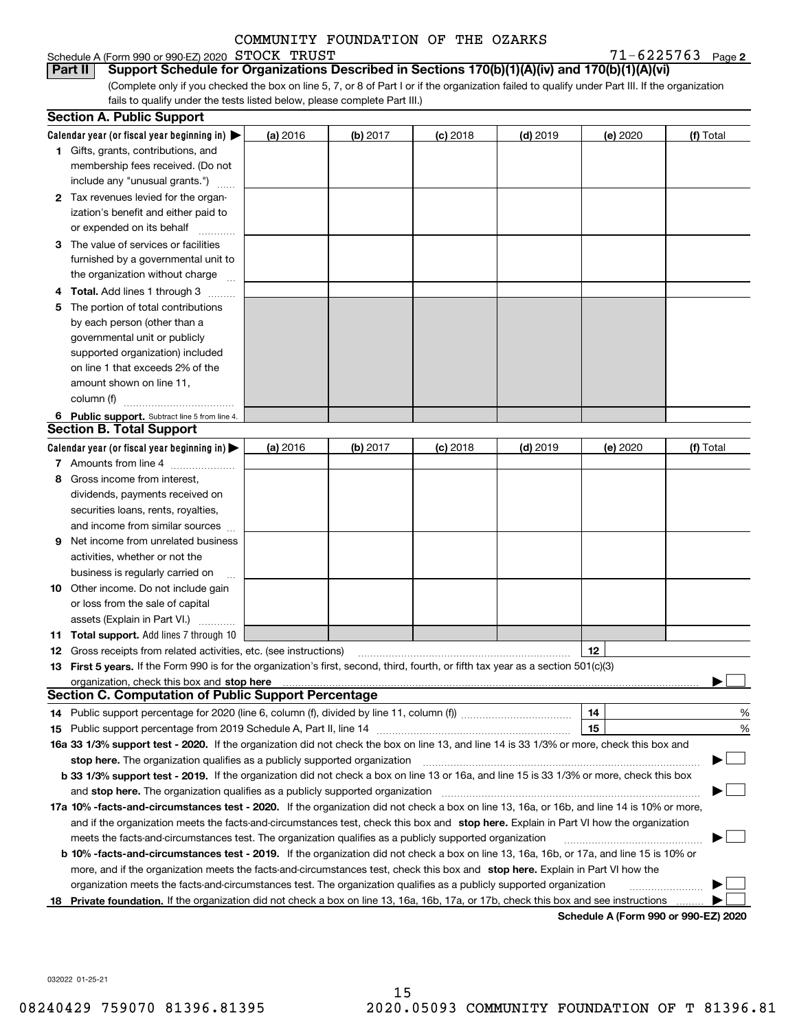### Schedule A (Form 990 or 990-EZ) 2020 Page STOCK TRUST 71-6225763

 $71 - 6225763$  Page 2

(Complete only if you checked the box on line 5, 7, or 8 of Part I or if the organization failed to qualify under Part III. If the organization fails to qualify under the tests listed below, please complete Part III.) **Part II** Support Schedule for Organizations Described in Sections 170(b)(1)(A)(iv) and 170(b)(1)(A)(vi)

|    | <b>Section A. Public Support</b>                                                                                                               |          |          |            |            |          |                                      |
|----|------------------------------------------------------------------------------------------------------------------------------------------------|----------|----------|------------|------------|----------|--------------------------------------|
|    | Calendar year (or fiscal year beginning in) $\blacktriangleright$                                                                              | (a) 2016 | (b) 2017 | $(c)$ 2018 | $(d)$ 2019 | (e) 2020 | (f) Total                            |
|    | 1 Gifts, grants, contributions, and                                                                                                            |          |          |            |            |          |                                      |
|    | membership fees received. (Do not                                                                                                              |          |          |            |            |          |                                      |
|    | include any "unusual grants.")                                                                                                                 |          |          |            |            |          |                                      |
|    | 2 Tax revenues levied for the organ-                                                                                                           |          |          |            |            |          |                                      |
|    | ization's benefit and either paid to                                                                                                           |          |          |            |            |          |                                      |
|    | or expended on its behalf                                                                                                                      |          |          |            |            |          |                                      |
|    | 3 The value of services or facilities                                                                                                          |          |          |            |            |          |                                      |
|    | furnished by a governmental unit to                                                                                                            |          |          |            |            |          |                                      |
|    | the organization without charge                                                                                                                |          |          |            |            |          |                                      |
|    | <b>Total.</b> Add lines 1 through 3                                                                                                            |          |          |            |            |          |                                      |
| 5  | The portion of total contributions                                                                                                             |          |          |            |            |          |                                      |
|    | by each person (other than a                                                                                                                   |          |          |            |            |          |                                      |
|    | governmental unit or publicly                                                                                                                  |          |          |            |            |          |                                      |
|    | supported organization) included                                                                                                               |          |          |            |            |          |                                      |
|    | on line 1 that exceeds 2% of the                                                                                                               |          |          |            |            |          |                                      |
|    | amount shown on line 11,                                                                                                                       |          |          |            |            |          |                                      |
|    | column (f)                                                                                                                                     |          |          |            |            |          |                                      |
|    | 6 Public support. Subtract line 5 from line 4.                                                                                                 |          |          |            |            |          |                                      |
|    | <b>Section B. Total Support</b>                                                                                                                |          |          |            |            |          |                                      |
|    | Calendar year (or fiscal year beginning in) >                                                                                                  | (a) 2016 | (b) 2017 | $(c)$ 2018 | $(d)$ 2019 | (e) 2020 | (f) Total                            |
|    | 7 Amounts from line 4                                                                                                                          |          |          |            |            |          |                                      |
| 8  | Gross income from interest,                                                                                                                    |          |          |            |            |          |                                      |
|    | dividends, payments received on                                                                                                                |          |          |            |            |          |                                      |
|    | securities loans, rents, royalties,                                                                                                            |          |          |            |            |          |                                      |
|    | and income from similar sources                                                                                                                |          |          |            |            |          |                                      |
| 9  | Net income from unrelated business                                                                                                             |          |          |            |            |          |                                      |
|    | activities, whether or not the                                                                                                                 |          |          |            |            |          |                                      |
|    | business is regularly carried on                                                                                                               |          |          |            |            |          |                                      |
|    | <b>10</b> Other income. Do not include gain                                                                                                    |          |          |            |            |          |                                      |
|    | or loss from the sale of capital                                                                                                               |          |          |            |            |          |                                      |
|    | assets (Explain in Part VI.)                                                                                                                   |          |          |            |            |          |                                      |
|    | <b>11 Total support.</b> Add lines 7 through 10                                                                                                |          |          |            |            |          |                                      |
|    | <b>12</b> Gross receipts from related activities, etc. (see instructions)                                                                      |          |          |            |            | 12       |                                      |
|    | 13 First 5 years. If the Form 990 is for the organization's first, second, third, fourth, or fifth tax year as a section 501(c)(3)             |          |          |            |            |          |                                      |
|    | organization, check this box and <b>stop here</b> with an intermal continuum and continuum and continuum and continuum                         |          |          |            |            |          |                                      |
|    | <b>Section C. Computation of Public Support Percentage</b>                                                                                     |          |          |            |            |          |                                      |
|    |                                                                                                                                                |          |          |            |            | 14       | %                                    |
|    |                                                                                                                                                |          |          |            |            | 15       | %                                    |
|    | 16a 33 1/3% support test - 2020. If the organization did not check the box on line 13, and line 14 is 33 1/3% or more, check this box and      |          |          |            |            |          |                                      |
|    | stop here. The organization qualifies as a publicly supported organization                                                                     |          |          |            |            |          |                                      |
|    | b 33 1/3% support test - 2019. If the organization did not check a box on line 13 or 16a, and line 15 is 33 1/3% or more, check this box       |          |          |            |            |          |                                      |
|    | and stop here. The organization qualifies as a publicly supported organization                                                                 |          |          |            |            |          |                                      |
|    | 17a 10% -facts-and-circumstances test - 2020. If the organization did not check a box on line 13, 16a, or 16b, and line 14 is 10% or more,     |          |          |            |            |          |                                      |
|    | and if the organization meets the facts-and-circumstances test, check this box and stop here. Explain in Part VI how the organization          |          |          |            |            |          |                                      |
|    | meets the facts-and-circumstances test. The organization qualifies as a publicly supported organization                                        |          |          |            |            |          |                                      |
|    | <b>b 10% -facts-and-circumstances test - 2019.</b> If the organization did not check a box on line 13, 16a, 16b, or 17a, and line 15 is 10% or |          |          |            |            |          |                                      |
|    | more, and if the organization meets the facts-and-circumstances test, check this box and stop here. Explain in Part VI how the                 |          |          |            |            |          |                                      |
|    | organization meets the facts-and-circumstances test. The organization qualifies as a publicly supported organization                           |          |          |            |            |          |                                      |
| 18 | Private foundation. If the organization did not check a box on line 13, 16a, 16b, 17a, or 17b, check this box and see instructions             |          |          |            |            |          |                                      |
|    |                                                                                                                                                |          |          |            |            |          | Schodule A (Form 000 or 000 F7) 2020 |

**Schedule A (Form 990 or 990-EZ) 2020**

032022 01-25-21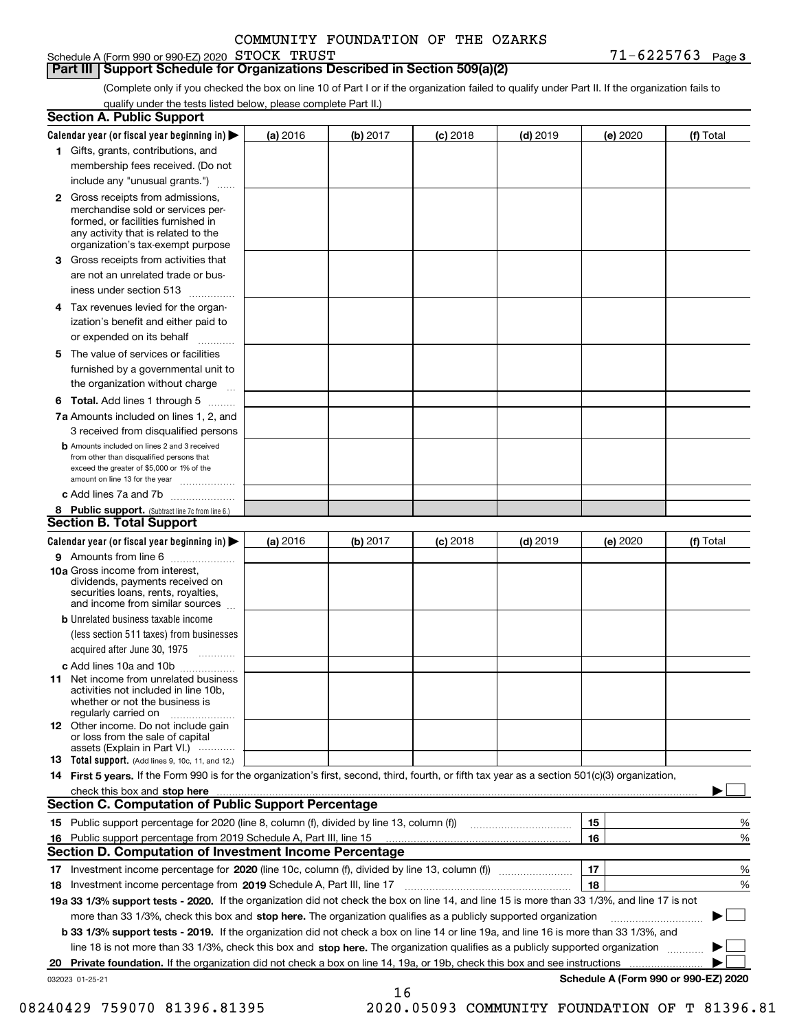Schedule A (Form 990 or 990-EZ) 2020 Page STOCK TRUST 71-6225763

**Part III Support Schedule for Organizations Described in Section 509(a)(2)** 

**3**

(Complete only if you checked the box on line 10 of Part I or if the organization failed to qualify under Part II. If the organization fails to qualify under the tests listed below, please complete Part II.)

|    | <b>Section A. Public Support</b>                                                                                                                                                                |          |          |            |            |          |                                      |
|----|-------------------------------------------------------------------------------------------------------------------------------------------------------------------------------------------------|----------|----------|------------|------------|----------|--------------------------------------|
|    | Calendar year (or fiscal year beginning in) $\blacktriangleright$                                                                                                                               | (a) 2016 | (b) 2017 | $(c)$ 2018 | $(d)$ 2019 | (e) 2020 | (f) Total                            |
|    | 1 Gifts, grants, contributions, and                                                                                                                                                             |          |          |            |            |          |                                      |
|    | membership fees received. (Do not                                                                                                                                                               |          |          |            |            |          |                                      |
|    | include any "unusual grants.")                                                                                                                                                                  |          |          |            |            |          |                                      |
|    | <b>2</b> Gross receipts from admissions,<br>merchandise sold or services per-<br>formed, or facilities furnished in<br>any activity that is related to the<br>organization's tax-exempt purpose |          |          |            |            |          |                                      |
|    | 3 Gross receipts from activities that<br>are not an unrelated trade or bus-                                                                                                                     |          |          |            |            |          |                                      |
|    | iness under section 513                                                                                                                                                                         |          |          |            |            |          |                                      |
|    | 4 Tax revenues levied for the organ-<br>ization's benefit and either paid to                                                                                                                    |          |          |            |            |          |                                      |
|    | or expended on its behalf<br>.                                                                                                                                                                  |          |          |            |            |          |                                      |
|    | 5 The value of services or facilities<br>furnished by a governmental unit to<br>the organization without charge                                                                                 |          |          |            |            |          |                                      |
|    |                                                                                                                                                                                                 |          |          |            |            |          |                                      |
|    | <b>6 Total.</b> Add lines 1 through 5<br>7a Amounts included on lines 1, 2, and<br>3 received from disqualified persons                                                                         |          |          |            |            |          |                                      |
|    | <b>b</b> Amounts included on lines 2 and 3 received<br>from other than disqualified persons that<br>exceed the greater of \$5,000 or 1% of the<br>amount on line 13 for the year                |          |          |            |            |          |                                      |
|    | c Add lines 7a and 7b                                                                                                                                                                           |          |          |            |            |          |                                      |
|    | 8 Public support. (Subtract line 7c from line 6.)                                                                                                                                               |          |          |            |            |          |                                      |
|    | <b>Section B. Total Support</b>                                                                                                                                                                 |          |          |            |            |          |                                      |
|    | Calendar year (or fiscal year beginning in)                                                                                                                                                     | (a) 2016 | (b) 2017 | $(c)$ 2018 | $(d)$ 2019 | (e) 2020 | (f) Total                            |
|    | 9 Amounts from line 6<br>10a Gross income from interest,                                                                                                                                        |          |          |            |            |          |                                      |
|    | dividends, payments received on<br>securities loans, rents, royalties,<br>and income from similar sources                                                                                       |          |          |            |            |          |                                      |
|    | <b>b</b> Unrelated business taxable income<br>(less section 511 taxes) from businesses<br>acquired after June 30, 1975                                                                          |          |          |            |            |          |                                      |
|    | c Add lines 10a and 10b                                                                                                                                                                         |          |          |            |            |          |                                      |
|    | 11 Net income from unrelated business<br>activities not included in line 10b,<br>whether or not the business is<br>regularly carried on                                                         |          |          |            |            |          |                                      |
|    | <b>12</b> Other income. Do not include gain<br>or loss from the sale of capital<br>assets (Explain in Part VI.)                                                                                 |          |          |            |            |          |                                      |
|    | <b>13</b> Total support. (Add lines 9, 10c, 11, and 12.)                                                                                                                                        |          |          |            |            |          |                                      |
|    | 14 First 5 years. If the Form 990 is for the organization's first, second, third, fourth, or fifth tax year as a section 501(c)(3) organization,                                                |          |          |            |            |          |                                      |
|    | check this box and stop here measurements are constructed as the state of the state of the state of the state o                                                                                 |          |          |            |            |          |                                      |
|    | Section C. Computation of Public Support Percentage                                                                                                                                             |          |          |            |            |          |                                      |
|    |                                                                                                                                                                                                 |          |          |            |            | 15       | %                                    |
|    | 16 Public support percentage from 2019 Schedule A, Part III, line 15                                                                                                                            |          |          |            |            | 16       | %                                    |
|    | <b>Section D. Computation of Investment Income Percentage</b>                                                                                                                                   |          |          |            |            |          |                                      |
|    | 17 Investment income percentage for 2020 (line 10c, column (f), divided by line 13, column (f))<br>18 Investment income percentage from 2019 Schedule A, Part III, line 17                      |          |          |            |            | 17<br>18 | %<br>%                               |
|    | 19a 33 1/3% support tests - 2020. If the organization did not check the box on line 14, and line 15 is more than 33 1/3%, and line 17 is not                                                    |          |          |            |            |          |                                      |
|    | more than 33 1/3%, check this box and stop here. The organization qualifies as a publicly supported organization                                                                                |          |          |            |            |          | $\sim$ 1                             |
|    | b 33 1/3% support tests - 2019. If the organization did not check a box on line 14 or line 19a, and line 16 is more than 33 1/3%, and                                                           |          |          |            |            |          |                                      |
|    | line 18 is not more than 33 1/3%, check this box and stop here. The organization qualifies as a publicly supported organization                                                                 |          |          |            |            |          |                                      |
| 20 | <b>Private foundation.</b> If the organization did not check a box on line 14, 19a, or 19b, check this box and see instructions                                                                 |          |          |            |            |          |                                      |
|    | 032023 01-25-21                                                                                                                                                                                 |          |          |            |            |          | Schedule A (Form 990 or 990-EZ) 2020 |
|    |                                                                                                                                                                                                 |          | 16       |            |            |          |                                      |

08240429 759070 81396.81395 2020.05093 COMMUNITY FOUNDATION OF T 81396.81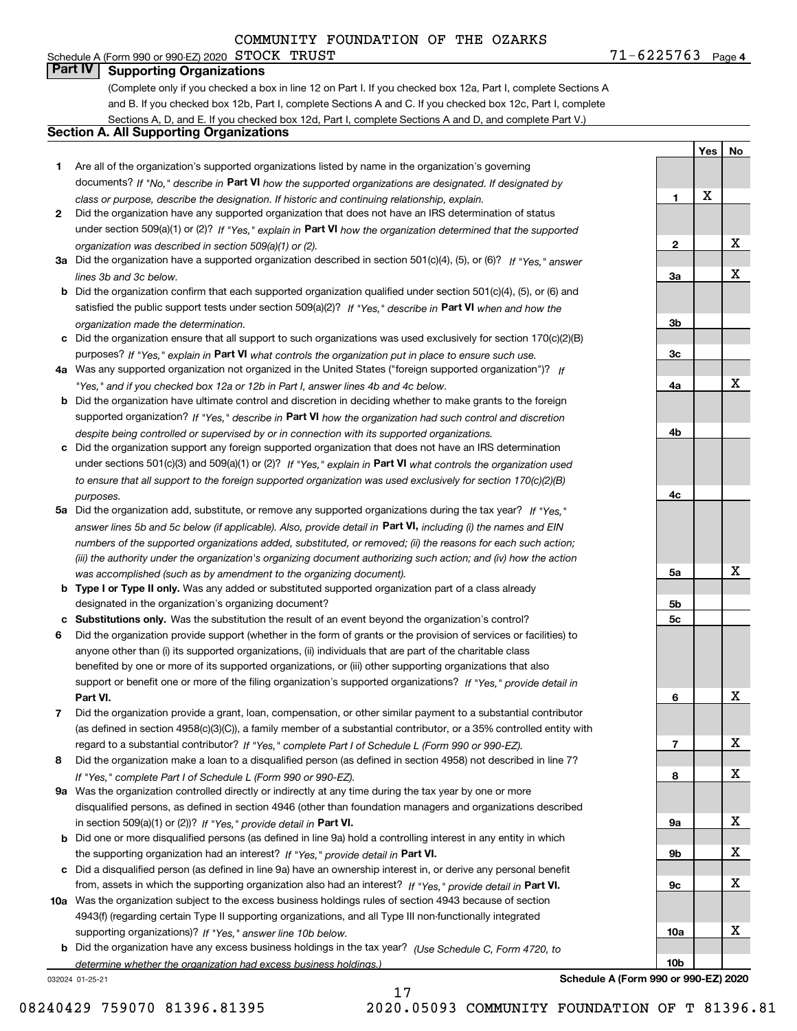### Schedule A (Form 990 or 990-EZ) 2020 Page STOCK TRUST 71-6225763 **Part IV Supporting Organizations**

(Complete only if you checked a box in line 12 on Part I. If you checked box 12a, Part I, complete Sections A and B. If you checked box 12b, Part I, complete Sections A and C. If you checked box 12c, Part I, complete Sections A, D, and E. If you checked box 12d, Part I, complete Sections A and D, and complete Part V.)

### **Section A. All Supporting Organizations**

- **1** Are all of the organization's supported organizations listed by name in the organization's governing documents? If "No," describe in **Part VI** how the supported organizations are designated. If designated by *class or purpose, describe the designation. If historic and continuing relationship, explain.*
- **2** Did the organization have any supported organization that does not have an IRS determination of status under section 509(a)(1) or (2)? If "Yes," explain in Part VI how the organization determined that the supported *organization was described in section 509(a)(1) or (2).*
- **3a** Did the organization have a supported organization described in section 501(c)(4), (5), or (6)? If "Yes," answer *lines 3b and 3c below.*
- **b** Did the organization confirm that each supported organization qualified under section 501(c)(4), (5), or (6) and satisfied the public support tests under section 509(a)(2)? If "Yes," describe in **Part VI** when and how the *organization made the determination.*
- **c**Did the organization ensure that all support to such organizations was used exclusively for section 170(c)(2)(B) purposes? If "Yes," explain in **Part VI** what controls the organization put in place to ensure such use.
- **4a***If* Was any supported organization not organized in the United States ("foreign supported organization")? *"Yes," and if you checked box 12a or 12b in Part I, answer lines 4b and 4c below.*
- **b** Did the organization have ultimate control and discretion in deciding whether to make grants to the foreign supported organization? If "Yes," describe in **Part VI** how the organization had such control and discretion *despite being controlled or supervised by or in connection with its supported organizations.*
- **c** Did the organization support any foreign supported organization that does not have an IRS determination under sections 501(c)(3) and 509(a)(1) or (2)? If "Yes," explain in **Part VI** what controls the organization used *to ensure that all support to the foreign supported organization was used exclusively for section 170(c)(2)(B) purposes.*
- **5a** Did the organization add, substitute, or remove any supported organizations during the tax year? If "Yes," answer lines 5b and 5c below (if applicable). Also, provide detail in **Part VI,** including (i) the names and EIN *numbers of the supported organizations added, substituted, or removed; (ii) the reasons for each such action; (iii) the authority under the organization's organizing document authorizing such action; and (iv) how the action was accomplished (such as by amendment to the organizing document).*
- **b** Type I or Type II only. Was any added or substituted supported organization part of a class already designated in the organization's organizing document?
- **cSubstitutions only.**  Was the substitution the result of an event beyond the organization's control?
- **6** Did the organization provide support (whether in the form of grants or the provision of services or facilities) to **Part VI.** *If "Yes," provide detail in* support or benefit one or more of the filing organization's supported organizations? anyone other than (i) its supported organizations, (ii) individuals that are part of the charitable class benefited by one or more of its supported organizations, or (iii) other supporting organizations that also
- **7**Did the organization provide a grant, loan, compensation, or other similar payment to a substantial contributor *If "Yes," complete Part I of Schedule L (Form 990 or 990-EZ).* regard to a substantial contributor? (as defined in section 4958(c)(3)(C)), a family member of a substantial contributor, or a 35% controlled entity with
- **8** Did the organization make a loan to a disqualified person (as defined in section 4958) not described in line 7? *If "Yes," complete Part I of Schedule L (Form 990 or 990-EZ).*
- **9a** Was the organization controlled directly or indirectly at any time during the tax year by one or more in section 509(a)(1) or (2))? If "Yes," *provide detail in* <code>Part VI.</code> disqualified persons, as defined in section 4946 (other than foundation managers and organizations described
- **b**the supporting organization had an interest? If "Yes," provide detail in P**art VI**. Did one or more disqualified persons (as defined in line 9a) hold a controlling interest in any entity in which
- **c**Did a disqualified person (as defined in line 9a) have an ownership interest in, or derive any personal benefit from, assets in which the supporting organization also had an interest? If "Yes," provide detail in P**art VI.**
- **10a** Was the organization subject to the excess business holdings rules of section 4943 because of section supporting organizations)? If "Yes," answer line 10b below. 4943(f) (regarding certain Type II supporting organizations, and all Type III non-functionally integrated
- **b** Did the organization have any excess business holdings in the tax year? (Use Schedule C, Form 4720, to *determine whether the organization had excess business holdings.)*

17

032024 01-25-21

**10bSchedule A (Form 990 or 990-EZ) 2020**

 $71 - 6225763$  Page 4

**1**

**2**

**3a**

**3b**

**3c**

**4a**

**4b**

**4c**

**5a**

**5b5c**

**6**

**7**

**8**

**9a**

**9b**

**9c**

**10a**

**Yes**

X

**No**

X

X

X

X

X

X

X

X

X

X

X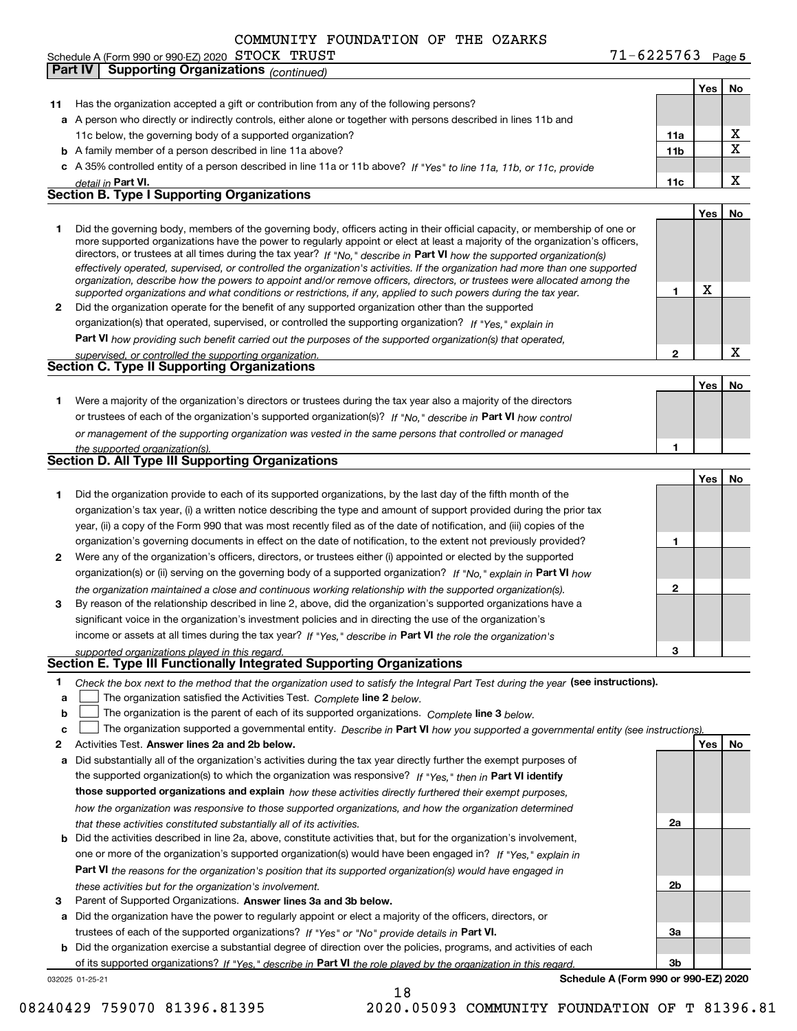|    | Schedule A (Form 990 or 990-EZ) 2020 $\,$ $\rm STOCK$ $\,$ $\rm TRUST$                                                                                                                                                                                      | $71 - 6225763$ Page 5 |     |    |
|----|-------------------------------------------------------------------------------------------------------------------------------------------------------------------------------------------------------------------------------------------------------------|-----------------------|-----|----|
|    | <b>Part IV</b><br><b>Supporting Organizations (continued)</b>                                                                                                                                                                                               |                       |     |    |
|    |                                                                                                                                                                                                                                                             |                       | Yes | No |
| 11 | Has the organization accepted a gift or contribution from any of the following persons?                                                                                                                                                                     |                       |     |    |
|    | a A person who directly or indirectly controls, either alone or together with persons described in lines 11b and                                                                                                                                            |                       |     |    |
|    | 11c below, the governing body of a supported organization?                                                                                                                                                                                                  | 11a                   |     | X  |
|    | <b>b</b> A family member of a person described in line 11a above?                                                                                                                                                                                           | 11 <sub>b</sub>       |     | X  |
|    | c A 35% controlled entity of a person described in line 11a or 11b above? If "Yes" to line 11a, 11b, or 11c, provide                                                                                                                                        |                       |     |    |
|    | detail in Part VI.                                                                                                                                                                                                                                          | 11c                   |     | X  |
|    | <b>Section B. Type I Supporting Organizations</b>                                                                                                                                                                                                           |                       |     |    |
|    |                                                                                                                                                                                                                                                             |                       |     |    |
|    |                                                                                                                                                                                                                                                             |                       | Yes | No |
| 1  | Did the governing body, members of the governing body, officers acting in their official capacity, or membership of one or<br>more supported organizations have the power to regularly appoint or elect at least a majority of the organization's officers, |                       |     |    |
|    | directors, or trustees at all times during the tax year? If "No," describe in Part VI how the supported organization(s)                                                                                                                                     |                       |     |    |
|    | effectively operated, supervised, or controlled the organization's activities. If the organization had more than one supported                                                                                                                              |                       |     |    |
|    | organization, describe how the powers to appoint and/or remove officers, directors, or trustees were allocated among the                                                                                                                                    |                       |     |    |
|    | supported organizations and what conditions or restrictions, if any, applied to such powers during the tax year.                                                                                                                                            | 1                     | X   |    |
| 2  | Did the organization operate for the benefit of any supported organization other than the supported                                                                                                                                                         |                       |     |    |
|    | organization(s) that operated, supervised, or controlled the supporting organization? If "Yes," explain in                                                                                                                                                  |                       |     |    |
|    | Part VI how providing such benefit carried out the purposes of the supported organization(s) that operated,                                                                                                                                                 |                       |     |    |
|    | supervised, or controlled the supporting organization.                                                                                                                                                                                                      | $\overline{2}$        |     | X  |
|    | <b>Section C. Type II Supporting Organizations</b>                                                                                                                                                                                                          |                       |     |    |
|    |                                                                                                                                                                                                                                                             |                       | Yes | No |
| 1  | Were a majority of the organization's directors or trustees during the tax year also a majority of the directors                                                                                                                                            |                       |     |    |
|    | or trustees of each of the organization's supported organization(s)? If "No," describe in Part VI how control                                                                                                                                               |                       |     |    |
|    | or management of the supporting organization was vested in the same persons that controlled or managed                                                                                                                                                      |                       |     |    |
|    | the supported organization(s).                                                                                                                                                                                                                              | 1                     |     |    |
|    | <b>Section D. All Type III Supporting Organizations</b>                                                                                                                                                                                                     |                       |     |    |
|    |                                                                                                                                                                                                                                                             |                       | Yes | No |
| 1. | Did the organization provide to each of its supported organizations, by the last day of the fifth month of the                                                                                                                                              |                       |     |    |
|    | organization's tax year, (i) a written notice describing the type and amount of support provided during the prior tax                                                                                                                                       |                       |     |    |
|    | year, (ii) a copy of the Form 990 that was most recently filed as of the date of notification, and (iii) copies of the                                                                                                                                      |                       |     |    |
|    | organization's governing documents in effect on the date of notification, to the extent not previously provided?                                                                                                                                            | 1                     |     |    |
| 2  | Were any of the organization's officers, directors, or trustees either (i) appointed or elected by the supported                                                                                                                                            |                       |     |    |
|    |                                                                                                                                                                                                                                                             |                       |     |    |
|    | organization(s) or (ii) serving on the governing body of a supported organization? If "No," explain in Part VI how                                                                                                                                          |                       |     |    |
|    | the organization maintained a close and continuous working relationship with the supported organization(s).                                                                                                                                                 | $\mathbf 2$           |     |    |
| 3  | By reason of the relationship described in line 2, above, did the organization's supported organizations have a                                                                                                                                             |                       |     |    |
|    | significant voice in the organization's investment policies and in directing the use of the organization's                                                                                                                                                  |                       |     |    |
|    | income or assets at all times during the tax year? If "Yes," describe in Part VI the role the organization's                                                                                                                                                |                       |     |    |
|    | supported organizations played in this regard.<br>Section E. Type III Functionally Integrated Supporting Organizations                                                                                                                                      | 3                     |     |    |
|    |                                                                                                                                                                                                                                                             |                       |     |    |
| 1  | Check the box next to the method that the organization used to satisfy the Integral Part Test during the year (see instructions).                                                                                                                           |                       |     |    |
| а  | The organization satisfied the Activities Test. Complete line 2 below.                                                                                                                                                                                      |                       |     |    |
| b  | The organization is the parent of each of its supported organizations. Complete line 3 below.                                                                                                                                                               |                       |     |    |
| c  | The organization supported a governmental entity. Describe in Part VI how you supported a governmental entity (see instructions)                                                                                                                            |                       |     |    |
| 2  | Activities Test. Answer lines 2a and 2b below.                                                                                                                                                                                                              |                       | Yes | No |
| а  | Did substantially all of the organization's activities during the tax year directly further the exempt purposes of                                                                                                                                          |                       |     |    |
|    | the supported organization(s) to which the organization was responsive? If "Yes," then in Part VI identify                                                                                                                                                  |                       |     |    |
|    | those supported organizations and explain how these activities directly furthered their exempt purposes,                                                                                                                                                    |                       |     |    |
|    | how the organization was responsive to those supported organizations, and how the organization determined                                                                                                                                                   |                       |     |    |
|    | that these activities constituted substantially all of its activities.                                                                                                                                                                                      | 2a                    |     |    |
| b  | Did the activities described in line 2a, above, constitute activities that, but for the organization's involvement,                                                                                                                                         |                       |     |    |
|    | one or more of the organization's supported organization(s) would have been engaged in? If "Yes," explain in                                                                                                                                                |                       |     |    |
|    | <b>Part VI</b> the reasons for the organization's position that its supported organization(s) would have engaged in                                                                                                                                         |                       |     |    |
|    |                                                                                                                                                                                                                                                             |                       |     |    |

- *these activities but for the organization's involvement.*
- **3** Parent of Supported Organizations. Answer lines 3a and 3b below.

**a** Did the organization have the power to regularly appoint or elect a majority of the officers, directors, or trustees of each of the supported organizations? If "Yes" or "No" provide details in **Part VI.** 

032025 01-25-21 **b** Did the organization exercise a substantial degree of direction over the policies, programs, and activities of each of its supported organizations? If "Yes," describe in Part VI the role played by the organization in this regard.

18

**Schedule A (Form 990 or 990-EZ) 2020**

**2b**

**3a**

**3b**

08240429 759070 81396.81395 2020.05093 COMMUNITY FOUNDATION OF T 81396.81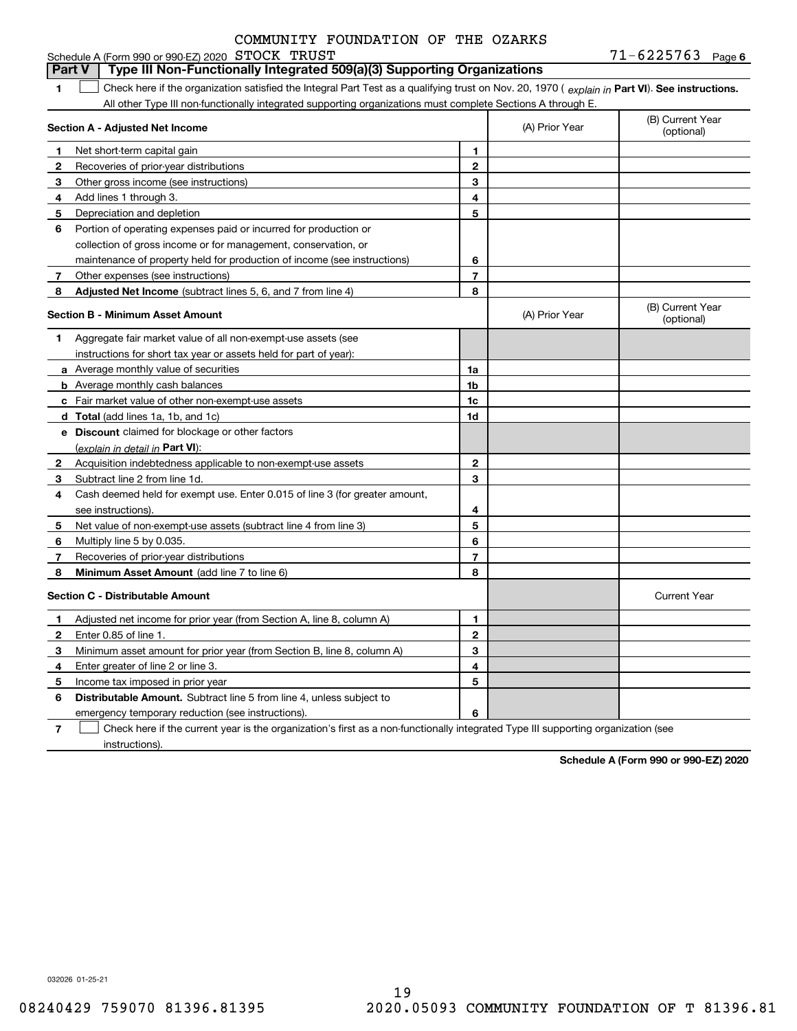#### **1Part VI** Check here if the organization satisfied the Integral Part Test as a qualifying trust on Nov. 20, 1970 ( explain in Part **VI**). See instructions. **Section A - Adjusted Net Income 123** Other gross income (see instructions) **4**Add lines 1 through 3. **56** Portion of operating expenses paid or incurred for production or **7** Other expenses (see instructions) **8** Adjusted Net Income (subtract lines 5, 6, and 7 from line 4) **8 8 1234567Section B - Minimum Asset Amount 1**Aggregate fair market value of all non-exempt-use assets (see **2**Acquisition indebtedness applicable to non-exempt-use assets **3** Subtract line 2 from line 1d. **4**Cash deemed held for exempt use. Enter 0.015 of line 3 (for greater amount, **5** Net value of non-exempt-use assets (subtract line 4 from line 3) **678a** Average monthly value of securities **b** Average monthly cash balances **c**Fair market value of other non-exempt-use assets **dTotal**  (add lines 1a, 1b, and 1c) **eDiscount** claimed for blockage or other factors **1a1b1c1d2345678**(explain in detail in Part VI): **Minimum Asset Amount**  (add line 7 to line 6) **Section C - Distributable Amount 12**Enter 0.85 of line 1. **3456123456Distributable Amount.** Subtract line 5 from line 4, unless subject to All other Type III non-functionally integrated supporting organizations must complete Sections A through E. (B) Current Year (optional)(A) Prior Year Net short-term capital gain Recoveries of prior-year distributions Depreciation and depletion collection of gross income or for management, conservation, or maintenance of property held for production of income (see instructions) (B) Current Year (optional)(A) Prior Year instructions for short tax year or assets held for part of year): see instructions). Multiply line 5 by 0.035. Recoveries of prior-year distributions Current Year Adjusted net income for prior year (from Section A, line 8, column A) Minimum asset amount for prior year (from Section B, line 8, column A) Enter greater of line 2 or line 3. Income tax imposed in prior year emergency temporary reduction (see instructions). **Part V Type III Non-Functionally Integrated 509(a)(3) Supporting Organizations**   $\mathcal{L}^{\text{max}}$

**7**Check here if the current year is the organization's first as a non-functionally integrated Type III supporting organization (see instructions). $\mathcal{L}^{\text{max}}$ 

**Schedule A (Form 990 or 990-EZ) 2020**

032026 01-25-21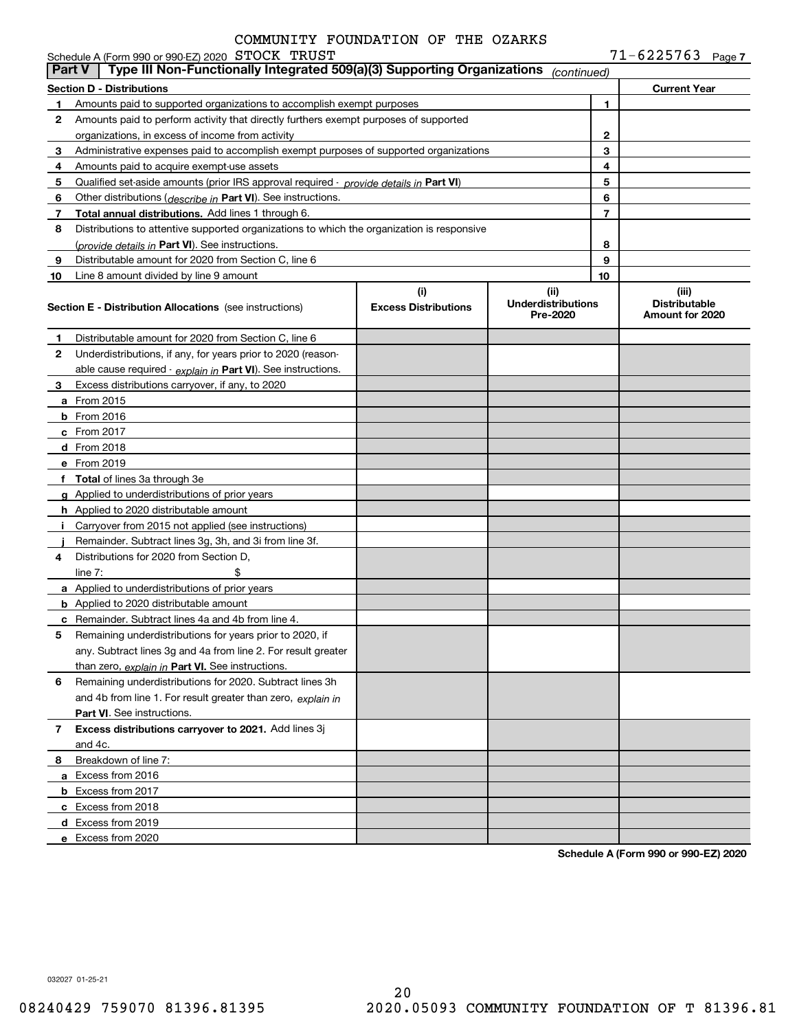**7** $71 - 6225763$ 

| Part V | Schedule A (Form 990 or 990-EZ) 2020 STOCK TRUST<br>Type III Non-Functionally Integrated 509(a)(3) Supporting Organizations        |                             |                                       | $11 - 6225163$ Page 7                   |
|--------|------------------------------------------------------------------------------------------------------------------------------------|-----------------------------|---------------------------------------|-----------------------------------------|
|        |                                                                                                                                    |                             | (continued)                           |                                         |
|        | Section D - Distributions                                                                                                          |                             |                                       | <b>Current Year</b>                     |
| 1      | Amounts paid to supported organizations to accomplish exempt purposes                                                              |                             |                                       | 1                                       |
| 2      | Amounts paid to perform activity that directly furthers exempt purposes of supported                                               |                             |                                       |                                         |
|        | organizations, in excess of income from activity                                                                                   |                             |                                       | 2<br>3                                  |
| 3<br>4 | Administrative expenses paid to accomplish exempt purposes of supported organizations<br>Amounts paid to acquire exempt-use assets |                             |                                       | 4                                       |
| 5      | Qualified set-aside amounts (prior IRS approval required - provide details in Part VI)                                             |                             |                                       | 5                                       |
| 6      | Other distributions (describe in Part VI). See instructions.                                                                       |                             |                                       | 6                                       |
| 7      | Total annual distributions. Add lines 1 through 6.                                                                                 |                             |                                       | 7                                       |
| 8      | Distributions to attentive supported organizations to which the organization is responsive                                         |                             |                                       |                                         |
|        | (provide details in Part VI). See instructions.                                                                                    |                             |                                       | 8                                       |
| 9      | Distributable amount for 2020 from Section C, line 6                                                                               |                             |                                       | 9                                       |
| 10     | Line 8 amount divided by line 9 amount                                                                                             |                             |                                       | 10                                      |
|        |                                                                                                                                    | (i)                         | (ii)                                  | (iii)                                   |
|        | <b>Section E - Distribution Allocations</b> (see instructions)                                                                     | <b>Excess Distributions</b> | <b>Underdistributions</b><br>Pre-2020 | <b>Distributable</b><br>Amount for 2020 |
| 1      | Distributable amount for 2020 from Section C, line 6                                                                               |                             |                                       |                                         |
| 2      | Underdistributions, if any, for years prior to 2020 (reason-                                                                       |                             |                                       |                                         |
|        | able cause required - explain in Part VI). See instructions.                                                                       |                             |                                       |                                         |
| З.     | Excess distributions carryover, if any, to 2020                                                                                    |                             |                                       |                                         |
|        | a From 2015                                                                                                                        |                             |                                       |                                         |
|        | $b$ From 2016                                                                                                                      |                             |                                       |                                         |
|        | c From 2017                                                                                                                        |                             |                                       |                                         |
|        | d From 2018                                                                                                                        |                             |                                       |                                         |
|        | e From 2019                                                                                                                        |                             |                                       |                                         |
|        | f Total of lines 3a through 3e                                                                                                     |                             |                                       |                                         |
|        | g Applied to underdistributions of prior years                                                                                     |                             |                                       |                                         |
|        | h Applied to 2020 distributable amount                                                                                             |                             |                                       |                                         |
| Î.     | Carryover from 2015 not applied (see instructions)                                                                                 |                             |                                       |                                         |
|        | Remainder. Subtract lines 3g, 3h, and 3i from line 3f.                                                                             |                             |                                       |                                         |
| 4      | Distributions for 2020 from Section D,                                                                                             |                             |                                       |                                         |
|        | \$<br>line $7:$                                                                                                                    |                             |                                       |                                         |
|        | a Applied to underdistributions of prior years                                                                                     |                             |                                       |                                         |
|        | <b>b</b> Applied to 2020 distributable amount                                                                                      |                             |                                       |                                         |
|        | <b>c</b> Remainder. Subtract lines 4a and 4b from line 4.                                                                          |                             |                                       |                                         |
| 5      | Remaining underdistributions for years prior to 2020, if                                                                           |                             |                                       |                                         |
|        | any. Subtract lines 3g and 4a from line 2. For result greater                                                                      |                             |                                       |                                         |
|        | than zero, explain in Part VI. See instructions.                                                                                   |                             |                                       |                                         |
| 6      | Remaining underdistributions for 2020. Subtract lines 3h                                                                           |                             |                                       |                                         |
|        | and 4b from line 1. For result greater than zero, explain in                                                                       |                             |                                       |                                         |
|        | Part VI. See instructions.                                                                                                         |                             |                                       |                                         |
| 7      | Excess distributions carryover to 2021. Add lines 3j                                                                               |                             |                                       |                                         |
|        | and 4c.                                                                                                                            |                             |                                       |                                         |
| 8      | Breakdown of line 7:<br>a Excess from 2016                                                                                         |                             |                                       |                                         |
|        | <b>b</b> Excess from 2017                                                                                                          |                             |                                       |                                         |
|        | c Excess from 2018                                                                                                                 |                             |                                       |                                         |
|        | d Excess from 2019                                                                                                                 |                             |                                       |                                         |
|        | e Excess from 2020                                                                                                                 |                             |                                       |                                         |
|        |                                                                                                                                    |                             |                                       | Cabadula A (Faum 000 au 000 EZ) 0000    |

**Schedule A (Form 990 or 990-EZ) 2020**

032027 01-25-21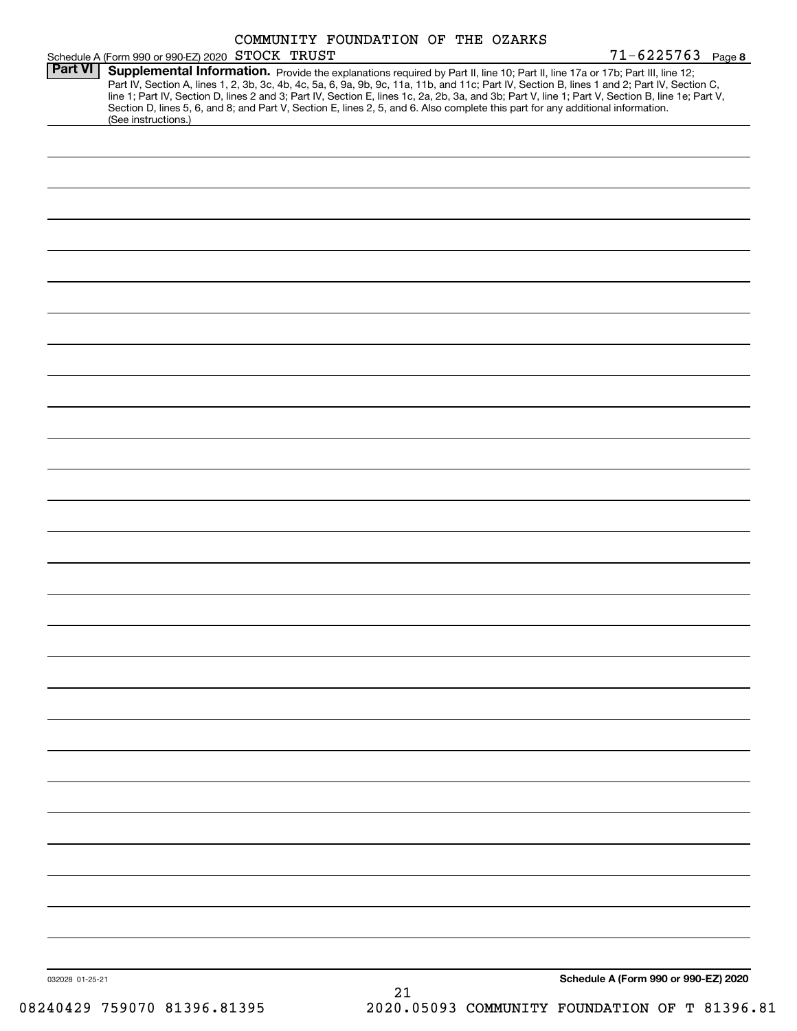|                 |                                                  | COMMUNITY FOUNDATION OF THE OZARKS                                                                                                                                                                                                                                                                                                                                                                                                                                                                                                                                   |                                      |
|-----------------|--------------------------------------------------|----------------------------------------------------------------------------------------------------------------------------------------------------------------------------------------------------------------------------------------------------------------------------------------------------------------------------------------------------------------------------------------------------------------------------------------------------------------------------------------------------------------------------------------------------------------------|--------------------------------------|
| <b>Part VI</b>  | Schedule A (Form 990 or 990-EZ) 2020 STOCK TRUST |                                                                                                                                                                                                                                                                                                                                                                                                                                                                                                                                                                      | $71 - 6225763$ Page 8                |
|                 |                                                  | Supplemental Information. Provide the explanations required by Part II, line 10; Part II, line 17a or 17b; Part III, line 12;<br>Part IV, Section A, lines 1, 2, 3b, 3c, 4b, 4c, 5a, 6, 9a, 9b, 9c, 11a, 11b, and 11c; Part IV, Section B, lines 1 and 2; Part IV, Section C,<br>line 1; Part IV, Section D, lines 2 and 3; Part IV, Section E, lines 1c, 2a, 2b, 3a, and 3b; Part V, line 1; Part V, Section B, line 1e; Part V,<br>Section D, lines 5, 6, and 8; and Part V, Section E, lines 2, 5, and 6. Also complete this part for any additional information. |                                      |
|                 | (See instructions.)                              |                                                                                                                                                                                                                                                                                                                                                                                                                                                                                                                                                                      |                                      |
|                 |                                                  |                                                                                                                                                                                                                                                                                                                                                                                                                                                                                                                                                                      |                                      |
|                 |                                                  |                                                                                                                                                                                                                                                                                                                                                                                                                                                                                                                                                                      |                                      |
|                 |                                                  |                                                                                                                                                                                                                                                                                                                                                                                                                                                                                                                                                                      |                                      |
|                 |                                                  |                                                                                                                                                                                                                                                                                                                                                                                                                                                                                                                                                                      |                                      |
|                 |                                                  |                                                                                                                                                                                                                                                                                                                                                                                                                                                                                                                                                                      |                                      |
|                 |                                                  |                                                                                                                                                                                                                                                                                                                                                                                                                                                                                                                                                                      |                                      |
|                 |                                                  |                                                                                                                                                                                                                                                                                                                                                                                                                                                                                                                                                                      |                                      |
|                 |                                                  |                                                                                                                                                                                                                                                                                                                                                                                                                                                                                                                                                                      |                                      |
|                 |                                                  |                                                                                                                                                                                                                                                                                                                                                                                                                                                                                                                                                                      |                                      |
|                 |                                                  |                                                                                                                                                                                                                                                                                                                                                                                                                                                                                                                                                                      |                                      |
|                 |                                                  |                                                                                                                                                                                                                                                                                                                                                                                                                                                                                                                                                                      |                                      |
|                 |                                                  |                                                                                                                                                                                                                                                                                                                                                                                                                                                                                                                                                                      |                                      |
|                 |                                                  |                                                                                                                                                                                                                                                                                                                                                                                                                                                                                                                                                                      |                                      |
|                 |                                                  |                                                                                                                                                                                                                                                                                                                                                                                                                                                                                                                                                                      |                                      |
|                 |                                                  |                                                                                                                                                                                                                                                                                                                                                                                                                                                                                                                                                                      |                                      |
|                 |                                                  |                                                                                                                                                                                                                                                                                                                                                                                                                                                                                                                                                                      |                                      |
|                 |                                                  |                                                                                                                                                                                                                                                                                                                                                                                                                                                                                                                                                                      |                                      |
|                 |                                                  |                                                                                                                                                                                                                                                                                                                                                                                                                                                                                                                                                                      |                                      |
|                 |                                                  |                                                                                                                                                                                                                                                                                                                                                                                                                                                                                                                                                                      |                                      |
|                 |                                                  |                                                                                                                                                                                                                                                                                                                                                                                                                                                                                                                                                                      |                                      |
|                 |                                                  |                                                                                                                                                                                                                                                                                                                                                                                                                                                                                                                                                                      |                                      |
|                 |                                                  |                                                                                                                                                                                                                                                                                                                                                                                                                                                                                                                                                                      |                                      |
|                 |                                                  |                                                                                                                                                                                                                                                                                                                                                                                                                                                                                                                                                                      |                                      |
|                 |                                                  |                                                                                                                                                                                                                                                                                                                                                                                                                                                                                                                                                                      |                                      |
|                 |                                                  |                                                                                                                                                                                                                                                                                                                                                                                                                                                                                                                                                                      |                                      |
|                 |                                                  |                                                                                                                                                                                                                                                                                                                                                                                                                                                                                                                                                                      |                                      |
|                 |                                                  |                                                                                                                                                                                                                                                                                                                                                                                                                                                                                                                                                                      |                                      |
|                 |                                                  |                                                                                                                                                                                                                                                                                                                                                                                                                                                                                                                                                                      |                                      |
|                 |                                                  |                                                                                                                                                                                                                                                                                                                                                                                                                                                                                                                                                                      |                                      |
|                 |                                                  |                                                                                                                                                                                                                                                                                                                                                                                                                                                                                                                                                                      |                                      |
|                 |                                                  |                                                                                                                                                                                                                                                                                                                                                                                                                                                                                                                                                                      |                                      |
|                 |                                                  |                                                                                                                                                                                                                                                                                                                                                                                                                                                                                                                                                                      |                                      |
| 032028 01-25-21 |                                                  |                                                                                                                                                                                                                                                                                                                                                                                                                                                                                                                                                                      | Schedule A (Form 990 or 990-EZ) 2020 |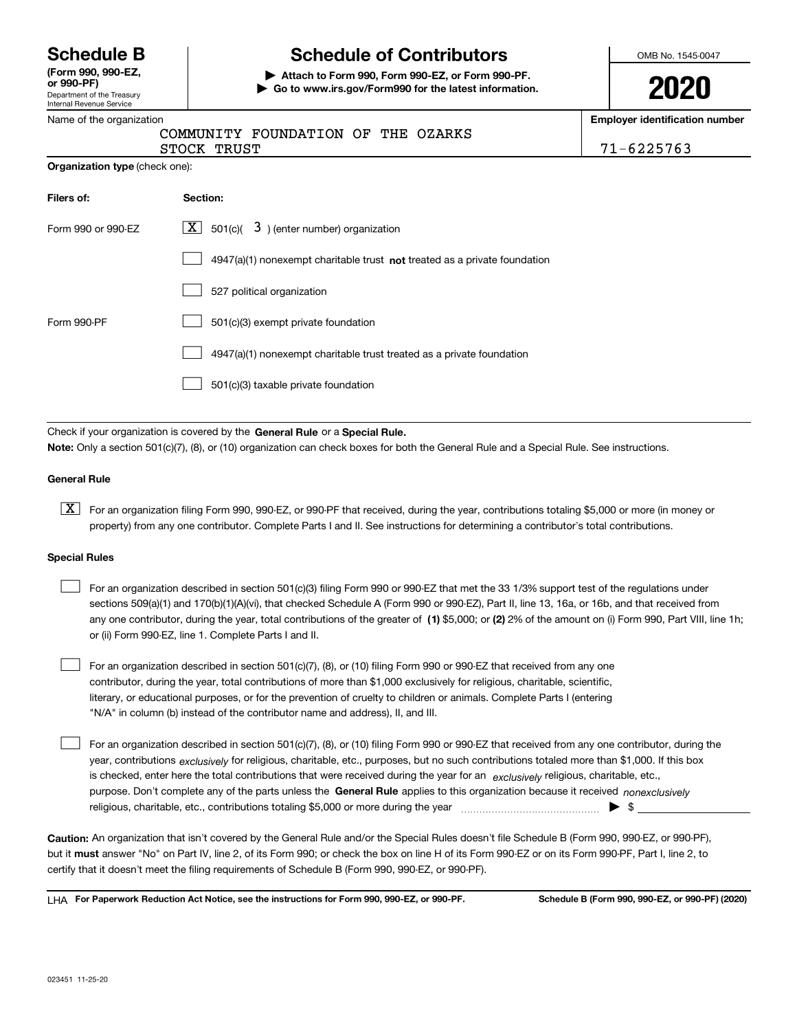Department of the Treasury Internal Revenue Service **(Form 990, 990-EZ, or 990-PF)**

## **Schedule B Schedule of Contributors**

**| Attach to Form 990, Form 990-EZ, or Form 990-PF. | Go to www.irs.gov/Form990 for the latest information.** OMB No. 1545-0047

| ٦ | s |  |
|---|---|--|
|   |   |  |

**Employer identification number**

|  | Name of the organization |  |
|--|--------------------------|--|
|  | $\sim$                   |  |

|             | COMMUNITY FOUNDATION OF THE OZARKS |  |  |
|-------------|------------------------------------|--|--|
| STOCK TRUST |                                    |  |  |

71-6225763

| Filers of:         | Section:                                                                           |
|--------------------|------------------------------------------------------------------------------------|
| Form 990 or 990-EZ | $\lfloor x \rfloor$ 501(c)( 3) (enter number) organization                         |
|                    | $4947(a)(1)$ nonexempt charitable trust <b>not</b> treated as a private foundation |
|                    | 527 political organization                                                         |
| Form 990-PF        | 501(c)(3) exempt private foundation                                                |
|                    | 4947(a)(1) nonexempt charitable trust treated as a private foundation              |
|                    | 501(c)(3) taxable private foundation                                               |

Check if your organization is covered by the **General Rule** or a **Special Rule. Note:**  Only a section 501(c)(7), (8), or (10) organization can check boxes for both the General Rule and a Special Rule. See instructions.

### **General Rule**

 $\boxed{\textbf{X}}$  For an organization filing Form 990, 990-EZ, or 990-PF that received, during the year, contributions totaling \$5,000 or more (in money or property) from any one contributor. Complete Parts I and II. See instructions for determining a contributor's total contributions.

### **Special Rules**

 $\mathcal{L}^{\text{max}}$ 

| For an organization described in section 501(c)(3) filing Form 990 or 990-EZ that met the 33 1/3% support test of the regulations under               |
|-------------------------------------------------------------------------------------------------------------------------------------------------------|
| sections 509(a)(1) and 170(b)(1)(A)(vi), that checked Schedule A (Form 990 or 990-EZ), Part II, line 13, 16a, or 16b, and that received from          |
| any one contributor, during the year, total contributions of the greater of (1) \$5,000; or (2) 2% of the amount on (i) Form 990, Part VIII, line 1h; |
| or (ii) Form 990-EZ, line 1. Complete Parts I and II.                                                                                                 |

For an organization described in section 501(c)(7), (8), or (10) filing Form 990 or 990-EZ that received from any one contributor, during the year, total contributions of more than \$1,000 exclusively for religious, charitable, scientific, literary, or educational purposes, or for the prevention of cruelty to children or animals. Complete Parts I (entering "N/A" in column (b) instead of the contributor name and address), II, and III.  $\mathcal{L}^{\text{max}}$ 

purpose. Don't complete any of the parts unless the **General Rule** applies to this organization because it received *nonexclusively* year, contributions <sub>exclusively</sub> for religious, charitable, etc., purposes, but no such contributions totaled more than \$1,000. If this box is checked, enter here the total contributions that were received during the year for an  $\;$ exclusively religious, charitable, etc., For an organization described in section 501(c)(7), (8), or (10) filing Form 990 or 990-EZ that received from any one contributor, during the religious, charitable, etc., contributions totaling \$5,000 or more during the year  $\Box$ — $\Box$   $\Box$ 

**Caution:**  An organization that isn't covered by the General Rule and/or the Special Rules doesn't file Schedule B (Form 990, 990-EZ, or 990-PF),  **must** but it answer "No" on Part IV, line 2, of its Form 990; or check the box on line H of its Form 990-EZ or on its Form 990-PF, Part I, line 2, to certify that it doesn't meet the filing requirements of Schedule B (Form 990, 990-EZ, or 990-PF).

**For Paperwork Reduction Act Notice, see the instructions for Form 990, 990-EZ, or 990-PF. Schedule B (Form 990, 990-EZ, or 990-PF) (2020)** LHA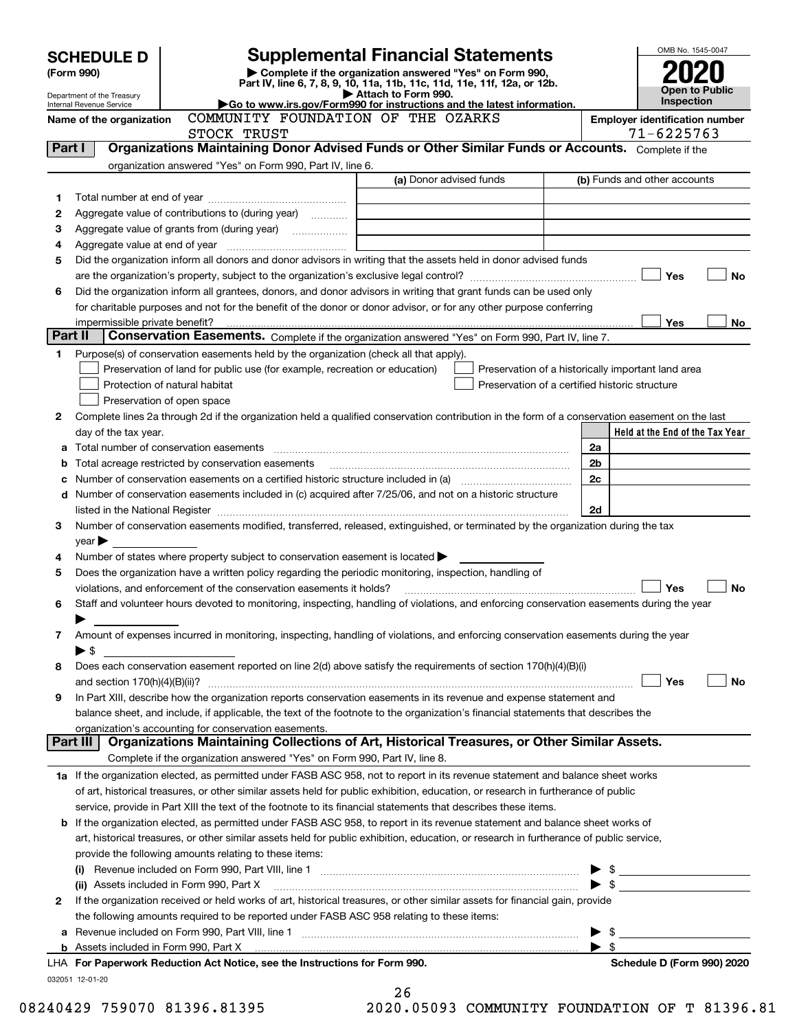|            | <b>SCHEDULE D</b>              |                                                                                                        | <b>Supplemental Financial Statements</b>                                                                                                                                                                                                                                                                                                  |                          | OMB No. 1545-0047                                   |  |  |
|------------|--------------------------------|--------------------------------------------------------------------------------------------------------|-------------------------------------------------------------------------------------------------------------------------------------------------------------------------------------------------------------------------------------------------------------------------------------------------------------------------------------------|--------------------------|-----------------------------------------------------|--|--|
| (Form 990) |                                | Complete if the organization answered "Yes" on Form 990,                                               |                                                                                                                                                                                                                                                                                                                                           |                          |                                                     |  |  |
|            | Department of the Treasury     |                                                                                                        | Part IV, line 6, 7, 8, 9, 10, 11a, 11b, 11c, 11d, 11e, 11f, 12a, or 12b.<br>Attach to Form 990.                                                                                                                                                                                                                                           |                          |                                                     |  |  |
|            | Internal Revenue Service       |                                                                                                        | Go to www.irs.gov/Form990 for instructions and the latest information.                                                                                                                                                                                                                                                                    |                          | Inspection                                          |  |  |
|            | Name of the organization       | COMMUNITY FOUNDATION OF THE OZARKS<br>STOCK TRUST                                                      |                                                                                                                                                                                                                                                                                                                                           |                          | <b>Employer identification number</b><br>71-6225763 |  |  |
| Part I     |                                |                                                                                                        | Organizations Maintaining Donor Advised Funds or Other Similar Funds or Accounts. Complete if the                                                                                                                                                                                                                                         |                          |                                                     |  |  |
|            |                                | organization answered "Yes" on Form 990, Part IV, line 6.                                              |                                                                                                                                                                                                                                                                                                                                           |                          |                                                     |  |  |
|            |                                |                                                                                                        | (a) Donor advised funds                                                                                                                                                                                                                                                                                                                   |                          | (b) Funds and other accounts                        |  |  |
| 1          |                                |                                                                                                        |                                                                                                                                                                                                                                                                                                                                           |                          |                                                     |  |  |
| 2          |                                | Aggregate value of contributions to (during year)                                                      |                                                                                                                                                                                                                                                                                                                                           |                          |                                                     |  |  |
| з          |                                |                                                                                                        |                                                                                                                                                                                                                                                                                                                                           |                          |                                                     |  |  |
| 4          |                                |                                                                                                        |                                                                                                                                                                                                                                                                                                                                           |                          |                                                     |  |  |
| 5          |                                |                                                                                                        | Did the organization inform all donors and donor advisors in writing that the assets held in donor advised funds                                                                                                                                                                                                                          |                          |                                                     |  |  |
| 6          |                                |                                                                                                        | Did the organization inform all grantees, donors, and donor advisors in writing that grant funds can be used only                                                                                                                                                                                                                         |                          | Yes<br>No                                           |  |  |
|            |                                |                                                                                                        | for charitable purposes and not for the benefit of the donor or donor advisor, or for any other purpose conferring                                                                                                                                                                                                                        |                          |                                                     |  |  |
|            | impermissible private benefit? |                                                                                                        |                                                                                                                                                                                                                                                                                                                                           |                          | Yes<br>No                                           |  |  |
| Part II    |                                |                                                                                                        | Conservation Easements. Complete if the organization answered "Yes" on Form 990, Part IV, line 7.                                                                                                                                                                                                                                         |                          |                                                     |  |  |
| 1.         |                                | Purpose(s) of conservation easements held by the organization (check all that apply).                  |                                                                                                                                                                                                                                                                                                                                           |                          |                                                     |  |  |
|            |                                | Preservation of land for public use (for example, recreation or education)                             | Preservation of a historically important land area                                                                                                                                                                                                                                                                                        |                          |                                                     |  |  |
|            |                                | Protection of natural habitat                                                                          | Preservation of a certified historic structure                                                                                                                                                                                                                                                                                            |                          |                                                     |  |  |
|            |                                | Preservation of open space                                                                             |                                                                                                                                                                                                                                                                                                                                           |                          |                                                     |  |  |
| 2          |                                |                                                                                                        | Complete lines 2a through 2d if the organization held a qualified conservation contribution in the form of a conservation easement on the last                                                                                                                                                                                            |                          |                                                     |  |  |
|            | day of the tax year.           |                                                                                                        |                                                                                                                                                                                                                                                                                                                                           |                          | Held at the End of the Tax Year                     |  |  |
| a          |                                |                                                                                                        |                                                                                                                                                                                                                                                                                                                                           | 2a                       |                                                     |  |  |
| b          |                                | Total acreage restricted by conservation easements                                                     |                                                                                                                                                                                                                                                                                                                                           | 2 <sub>b</sub>           |                                                     |  |  |
| с          |                                |                                                                                                        |                                                                                                                                                                                                                                                                                                                                           | 2c                       |                                                     |  |  |
| d          |                                |                                                                                                        | Number of conservation easements included in (c) acquired after 7/25/06, and not on a historic structure<br>listed in the National Register [11, 1200] [12] The National Register [11, 1200] [12] The National Register [11, 1200] [12] The National Register [11, 1200] [12] The National Register [11, 1200] [12] The National Register | 2d                       |                                                     |  |  |
| 3          |                                |                                                                                                        | Number of conservation easements modified, transferred, released, extinguished, or terminated by the organization during the tax                                                                                                                                                                                                          |                          |                                                     |  |  |
|            | $\mathsf{year}$                |                                                                                                        |                                                                                                                                                                                                                                                                                                                                           |                          |                                                     |  |  |
| 4          |                                | Number of states where property subject to conservation easement is located >                          |                                                                                                                                                                                                                                                                                                                                           |                          |                                                     |  |  |
| 5          |                                | Does the organization have a written policy regarding the periodic monitoring, inspection, handling of |                                                                                                                                                                                                                                                                                                                                           |                          |                                                     |  |  |
|            |                                | violations, and enforcement of the conservation easements it holds?                                    |                                                                                                                                                                                                                                                                                                                                           |                          | <b>No</b><br>Yes                                    |  |  |
| 6          |                                |                                                                                                        | Staff and volunteer hours devoted to monitoring, inspecting, handling of violations, and enforcing conservation easements during the year                                                                                                                                                                                                 |                          |                                                     |  |  |
|            |                                |                                                                                                        |                                                                                                                                                                                                                                                                                                                                           |                          |                                                     |  |  |
| 7          |                                |                                                                                                        | Amount of expenses incurred in monitoring, inspecting, handling of violations, and enforcing conservation easements during the year                                                                                                                                                                                                       |                          |                                                     |  |  |
|            | $\blacktriangleright$ \$       |                                                                                                        |                                                                                                                                                                                                                                                                                                                                           |                          |                                                     |  |  |
| 8          |                                |                                                                                                        | Does each conservation easement reported on line 2(d) above satisfy the requirements of section 170(h)(4)(B)(i)                                                                                                                                                                                                                           |                          |                                                     |  |  |
| 9          |                                |                                                                                                        | In Part XIII, describe how the organization reports conservation easements in its revenue and expense statement and                                                                                                                                                                                                                       |                          | Yes<br>No                                           |  |  |
|            |                                |                                                                                                        | balance sheet, and include, if applicable, the text of the footnote to the organization's financial statements that describes the                                                                                                                                                                                                         |                          |                                                     |  |  |
|            |                                | organization's accounting for conservation easements.                                                  |                                                                                                                                                                                                                                                                                                                                           |                          |                                                     |  |  |
|            | Part III                       |                                                                                                        | Organizations Maintaining Collections of Art, Historical Treasures, or Other Similar Assets.                                                                                                                                                                                                                                              |                          |                                                     |  |  |
|            |                                | Complete if the organization answered "Yes" on Form 990, Part IV, line 8.                              |                                                                                                                                                                                                                                                                                                                                           |                          |                                                     |  |  |
|            |                                |                                                                                                        | 1a If the organization elected, as permitted under FASB ASC 958, not to report in its revenue statement and balance sheet works                                                                                                                                                                                                           |                          |                                                     |  |  |
|            |                                |                                                                                                        | of art, historical treasures, or other similar assets held for public exhibition, education, or research in furtherance of public                                                                                                                                                                                                         |                          |                                                     |  |  |
|            |                                |                                                                                                        | service, provide in Part XIII the text of the footnote to its financial statements that describes these items.                                                                                                                                                                                                                            |                          |                                                     |  |  |
| b          |                                |                                                                                                        | If the organization elected, as permitted under FASB ASC 958, to report in its revenue statement and balance sheet works of                                                                                                                                                                                                               |                          |                                                     |  |  |
|            |                                |                                                                                                        | art, historical treasures, or other similar assets held for public exhibition, education, or research in furtherance of public service,                                                                                                                                                                                                   |                          |                                                     |  |  |
|            |                                | provide the following amounts relating to these items:                                                 |                                                                                                                                                                                                                                                                                                                                           |                          |                                                     |  |  |
|            | $\frac{1}{2}$                  |                                                                                                        |                                                                                                                                                                                                                                                                                                                                           |                          |                                                     |  |  |
|            |                                | (ii) Assets included in Form 990, Part X                                                               |                                                                                                                                                                                                                                                                                                                                           | $\blacktriangleright$ \$ |                                                     |  |  |
| 2          |                                |                                                                                                        | If the organization received or held works of art, historical treasures, or other similar assets for financial gain, provide                                                                                                                                                                                                              |                          |                                                     |  |  |
| a          |                                | the following amounts required to be reported under FASB ASC 958 relating to these items:              |                                                                                                                                                                                                                                                                                                                                           | \$                       |                                                     |  |  |
|            |                                |                                                                                                        |                                                                                                                                                                                                                                                                                                                                           | $\blacktriangleright$ s  |                                                     |  |  |
|            |                                | LHA For Paperwork Reduction Act Notice, see the Instructions for Form 990.                             |                                                                                                                                                                                                                                                                                                                                           |                          | Schedule D (Form 990) 2020                          |  |  |
|            | 032051 12-01-20                |                                                                                                        |                                                                                                                                                                                                                                                                                                                                           |                          |                                                     |  |  |
|            |                                |                                                                                                        | ኅ ፎ                                                                                                                                                                                                                                                                                                                                       |                          |                                                     |  |  |

| ΖO   |  |        |  |  |
|------|--|--------|--|--|
| ົາ ∩ |  | n Enno |  |  |

08240429 759070 81396.81395 2020.05093 COMMUNITY FOUNDATION OF T 81396.81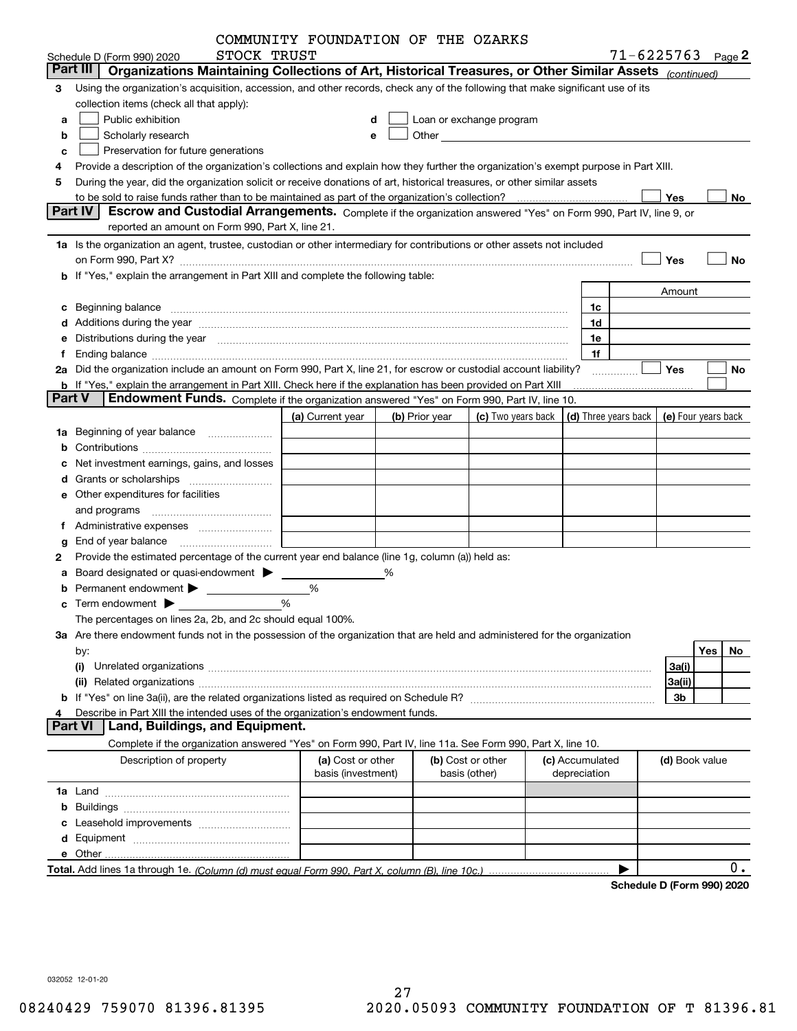|               |                                                                                                                                                                                                                                | COMMUNITY FOUNDATION OF THE OZARKS |   |                |                                                                                                                                                                                                                                |                 |              |                                            |                |     |    |
|---------------|--------------------------------------------------------------------------------------------------------------------------------------------------------------------------------------------------------------------------------|------------------------------------|---|----------------|--------------------------------------------------------------------------------------------------------------------------------------------------------------------------------------------------------------------------------|-----------------|--------------|--------------------------------------------|----------------|-----|----|
|               | STOCK TRUST<br>Schedule D (Form 990) 2020                                                                                                                                                                                      |                                    |   |                |                                                                                                                                                                                                                                |                 |              | $71 - 6225763$ Page 2                      |                |     |    |
|               | Organizations Maintaining Collections of Art, Historical Treasures, or Other Similar Assets (continued)<br>Part III                                                                                                            |                                    |   |                |                                                                                                                                                                                                                                |                 |              |                                            |                |     |    |
| 3             | Using the organization's acquisition, accession, and other records, check any of the following that make significant use of its                                                                                                |                                    |   |                |                                                                                                                                                                                                                                |                 |              |                                            |                |     |    |
|               | collection items (check all that apply):                                                                                                                                                                                       |                                    |   |                |                                                                                                                                                                                                                                |                 |              |                                            |                |     |    |
| a             | Public exhibition                                                                                                                                                                                                              |                                    | d |                | Loan or exchange program                                                                                                                                                                                                       |                 |              |                                            |                |     |    |
| b             | Scholarly research                                                                                                                                                                                                             |                                    | е |                | Other and the control of the control of the control of the control of the control of the control of the control of the control of the control of the control of the control of the control of the control of the control of th |                 |              |                                            |                |     |    |
| c             | Preservation for future generations                                                                                                                                                                                            |                                    |   |                |                                                                                                                                                                                                                                |                 |              |                                            |                |     |    |
|               | Provide a description of the organization's collections and explain how they further the organization's exempt purpose in Part XIII.                                                                                           |                                    |   |                |                                                                                                                                                                                                                                |                 |              |                                            |                |     |    |
| 5             | During the year, did the organization solicit or receive donations of art, historical treasures, or other similar assets                                                                                                       |                                    |   |                |                                                                                                                                                                                                                                |                 |              |                                            |                |     |    |
|               | Part IV<br>Escrow and Custodial Arrangements. Complete if the organization answered "Yes" on Form 990, Part IV, line 9, or                                                                                                     |                                    |   |                |                                                                                                                                                                                                                                |                 |              |                                            | Yes            |     | No |
|               | reported an amount on Form 990, Part X, line 21.                                                                                                                                                                               |                                    |   |                |                                                                                                                                                                                                                                |                 |              |                                            |                |     |    |
|               | 1a Is the organization an agent, trustee, custodian or other intermediary for contributions or other assets not included                                                                                                       |                                    |   |                |                                                                                                                                                                                                                                |                 |              |                                            |                |     |    |
|               |                                                                                                                                                                                                                                |                                    |   |                |                                                                                                                                                                                                                                |                 |              |                                            | Yes            |     | No |
|               | on Form 990, Part X? [11] matter contracts and contracts and contracts are contracted as a form 990, Part X?<br>b If "Yes," explain the arrangement in Part XIII and complete the following table:                             |                                    |   |                |                                                                                                                                                                                                                                |                 |              |                                            |                |     |    |
|               |                                                                                                                                                                                                                                |                                    |   |                |                                                                                                                                                                                                                                |                 |              |                                            | Amount         |     |    |
|               |                                                                                                                                                                                                                                |                                    |   |                |                                                                                                                                                                                                                                |                 | 1c           |                                            |                |     |    |
|               | c Beginning balance measurements and the contract of the contract of the contract of the contract of the contract of the contract of the contract of the contract of the contract of the contract of the contract of the contr |                                    |   |                |                                                                                                                                                                                                                                |                 | 1d           |                                            |                |     |    |
|               |                                                                                                                                                                                                                                |                                    |   |                |                                                                                                                                                                                                                                |                 | 1e           |                                            |                |     |    |
|               | Distributions during the year manufactured and continuum and the year manufactured and the year manufactured and the year manufactured and the year manufactured and the year manufactured and the year manufactured and the y |                                    |   |                |                                                                                                                                                                                                                                |                 | 1f           |                                            |                |     |    |
|               | 2a Did the organization include an amount on Form 990, Part X, line 21, for escrow or custodial account liability?                                                                                                             |                                    |   |                |                                                                                                                                                                                                                                |                 |              |                                            | Yes            |     | No |
|               | <b>b</b> If "Yes," explain the arrangement in Part XIII. Check here if the explanation has been provided on Part XIII                                                                                                          |                                    |   |                |                                                                                                                                                                                                                                |                 |              | .                                          |                |     |    |
| <b>Part V</b> | <b>Endowment Funds.</b> Complete if the organization answered "Yes" on Form 990, Part IV, line 10.                                                                                                                             |                                    |   |                |                                                                                                                                                                                                                                |                 |              |                                            |                |     |    |
|               |                                                                                                                                                                                                                                | (a) Current year                   |   | (b) Prior year | (c) Two years back                                                                                                                                                                                                             |                 |              | (d) Three years back   (e) Four years back |                |     |    |
| 1a            | Beginning of year balance                                                                                                                                                                                                      |                                    |   |                |                                                                                                                                                                                                                                |                 |              |                                            |                |     |    |
|               |                                                                                                                                                                                                                                |                                    |   |                |                                                                                                                                                                                                                                |                 |              |                                            |                |     |    |
|               | Net investment earnings, gains, and losses                                                                                                                                                                                     |                                    |   |                |                                                                                                                                                                                                                                |                 |              |                                            |                |     |    |
|               |                                                                                                                                                                                                                                |                                    |   |                |                                                                                                                                                                                                                                |                 |              |                                            |                |     |    |
|               | e Other expenditures for facilities                                                                                                                                                                                            |                                    |   |                |                                                                                                                                                                                                                                |                 |              |                                            |                |     |    |
|               |                                                                                                                                                                                                                                |                                    |   |                |                                                                                                                                                                                                                                |                 |              |                                            |                |     |    |
|               |                                                                                                                                                                                                                                |                                    |   |                |                                                                                                                                                                                                                                |                 |              |                                            |                |     |    |
|               | End of year balance                                                                                                                                                                                                            |                                    |   |                |                                                                                                                                                                                                                                |                 |              |                                            |                |     |    |
| 2             | Provide the estimated percentage of the current year end balance (line 1g, column (a)) held as:                                                                                                                                |                                    |   |                |                                                                                                                                                                                                                                |                 |              |                                            |                |     |    |
|               | Board designated or quasi-endowment >                                                                                                                                                                                          |                                    | % |                |                                                                                                                                                                                                                                |                 |              |                                            |                |     |    |
|               | Permanent endowment > 1                                                                                                                                                                                                        | %                                  |   |                |                                                                                                                                                                                                                                |                 |              |                                            |                |     |    |
|               | $\mathbf c$ Term endowment $\blacktriangleright$                                                                                                                                                                               | %                                  |   |                |                                                                                                                                                                                                                                |                 |              |                                            |                |     |    |
|               | The percentages on lines 2a, 2b, and 2c should equal 100%.                                                                                                                                                                     |                                    |   |                |                                                                                                                                                                                                                                |                 |              |                                            |                |     |    |
|               | 3a Are there endowment funds not in the possession of the organization that are held and administered for the organization                                                                                                     |                                    |   |                |                                                                                                                                                                                                                                |                 |              |                                            |                |     |    |
|               |                                                                                                                                                                                                                                |                                    |   |                |                                                                                                                                                                                                                                |                 |              |                                            |                | Yes | No |
|               | by:<br>(i)                                                                                                                                                                                                                     |                                    |   |                |                                                                                                                                                                                                                                |                 |              |                                            | 3a(i)          |     |    |
|               |                                                                                                                                                                                                                                |                                    |   |                |                                                                                                                                                                                                                                |                 |              |                                            | 3a(ii)         |     |    |
|               |                                                                                                                                                                                                                                |                                    |   |                |                                                                                                                                                                                                                                |                 |              |                                            | 3b             |     |    |
| 4             | Describe in Part XIII the intended uses of the organization's endowment funds.                                                                                                                                                 |                                    |   |                |                                                                                                                                                                                                                                |                 |              |                                            |                |     |    |
|               | Land, Buildings, and Equipment.<br><b>Part VI</b>                                                                                                                                                                              |                                    |   |                |                                                                                                                                                                                                                                |                 |              |                                            |                |     |    |
|               | Complete if the organization answered "Yes" on Form 990, Part IV, line 11a. See Form 990, Part X, line 10.                                                                                                                     |                                    |   |                |                                                                                                                                                                                                                                |                 |              |                                            |                |     |    |
|               | Description of property                                                                                                                                                                                                        | (a) Cost or other                  |   |                | (b) Cost or other                                                                                                                                                                                                              | (c) Accumulated |              |                                            | (d) Book value |     |    |
|               |                                                                                                                                                                                                                                | basis (investment)                 |   |                | basis (other)                                                                                                                                                                                                                  |                 | depreciation |                                            |                |     |    |
|               |                                                                                                                                                                                                                                |                                    |   |                |                                                                                                                                                                                                                                |                 |              |                                            |                |     |    |
| b             |                                                                                                                                                                                                                                |                                    |   |                |                                                                                                                                                                                                                                |                 |              |                                            |                |     |    |
|               |                                                                                                                                                                                                                                |                                    |   |                |                                                                                                                                                                                                                                |                 |              |                                            |                |     |    |
| d             |                                                                                                                                                                                                                                |                                    |   |                |                                                                                                                                                                                                                                |                 |              |                                            |                |     |    |
|               |                                                                                                                                                                                                                                |                                    |   |                |                                                                                                                                                                                                                                |                 |              |                                            |                |     |    |
|               |                                                                                                                                                                                                                                |                                    |   |                |                                                                                                                                                                                                                                |                 |              |                                            |                |     | 0. |
|               |                                                                                                                                                                                                                                |                                    |   |                |                                                                                                                                                                                                                                |                 |              | Schedule D (Form 990) 2020                 |                |     |    |

032052 12-01-20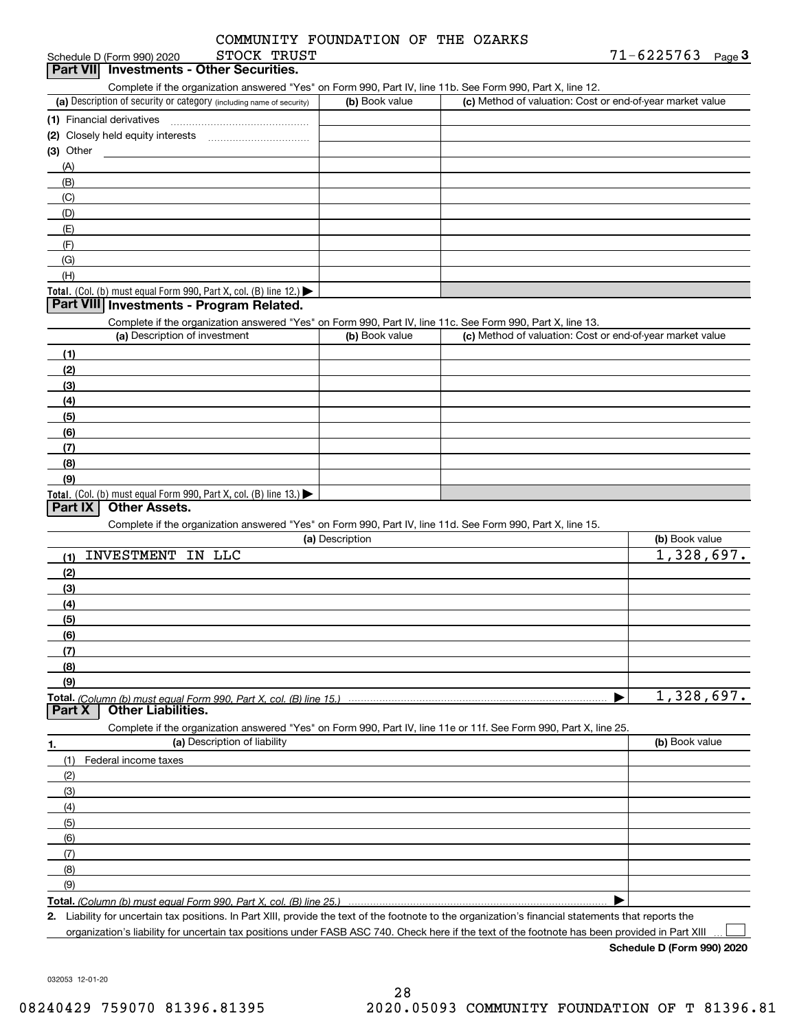|             | COMMUNITY FOUNDATION OF THE OZARKS |  |  |
|-------------|------------------------------------|--|--|
| STOCK TRUST |                                    |  |  |

| Schedule D (Form 990) 2020                      | STOCK '<br>TRUST | 71-6225763 | Page |
|-------------------------------------------------|------------------|------------|------|
| <b>Part VII</b> Investments - Other Securities. |                  |            |      |

| Complete if the organization answered "Yes" on Form 990, Part IV, line 11b, See Form 990, Part X, line 12, |  |  |  |  |
|------------------------------------------------------------------------------------------------------------|--|--|--|--|
|                                                                                                            |  |  |  |  |

| (a) Description of security or category (including name of security)                          | (b) Book value | (c) Method of valuation: Cost or end-of-year market value |
|-----------------------------------------------------------------------------------------------|----------------|-----------------------------------------------------------|
| (1) Financial derivatives                                                                     |                |                                                           |
| (2) Closely held equity interests                                                             |                |                                                           |
| $(3)$ Other                                                                                   |                |                                                           |
| (A)                                                                                           |                |                                                           |
| (B)                                                                                           |                |                                                           |
| (C)                                                                                           |                |                                                           |
| (D)                                                                                           |                |                                                           |
| (E)                                                                                           |                |                                                           |
| (F)                                                                                           |                |                                                           |
| (G)                                                                                           |                |                                                           |
| (H)                                                                                           |                |                                                           |
| <b>Total.</b> (Col. (b) must equal Form 990, Part X, col. (B) line 12.) $\blacktriangleright$ |                |                                                           |

### **Part VIII Investments - Program Related.**

Complete if the organization answered "Yes" on Form 990, Part IV, line 11c. See Form 990, Part X, line 13.

| (a) Description of investment                                    | (b) Book value | (c) Method of valuation: Cost or end-of-year market value |
|------------------------------------------------------------------|----------------|-----------------------------------------------------------|
| (1)                                                              |                |                                                           |
| (2)                                                              |                |                                                           |
| $\left(3\right)$                                                 |                |                                                           |
| (4)                                                              |                |                                                           |
| $\left(5\right)$                                                 |                |                                                           |
| (6)                                                              |                |                                                           |
| (7)                                                              |                |                                                           |
| (8)                                                              |                |                                                           |
| (9)                                                              |                |                                                           |
| Total. (Col. (b) must equal Form 990, Part X, col. (B) line 13.) |                |                                                           |

### **Part IX Other Assets.**

Complete if the organization answered "Yes" on Form 990, Part IV, line 11d. See Form 990, Part X, line 15.

|     | (a) Description                                                                                                   | (b) Book value |
|-----|-------------------------------------------------------------------------------------------------------------------|----------------|
| (1) | <b>INVESTMENT</b><br>IN LLC                                                                                       | 1,328,697.     |
| (2) |                                                                                                                   |                |
| (3) |                                                                                                                   |                |
| (4) |                                                                                                                   |                |
| (5) |                                                                                                                   |                |
| (6) |                                                                                                                   |                |
| (7) |                                                                                                                   |                |
| (8) |                                                                                                                   |                |
| (9) |                                                                                                                   |                |
|     | Total. (Column (b) must equal Form 990, Part X, col. (B) line 15.)<br><b>Part X</b>   Other Liabilities.          | 1,328,697.     |
|     |                                                                                                                   |                |
|     | Complete if the organization answered "Yes" on Form 990, Part IV, line 11e or 11f. See Form 990, Part X, line 25. |                |
|     |                                                                                                                   |                |
| 1.  | (a) Description of liability                                                                                      | (b) Book value |
| (1) | Federal income taxes                                                                                              |                |
| (2) |                                                                                                                   |                |
| (3) |                                                                                                                   |                |
| (4) |                                                                                                                   |                |
| (5) |                                                                                                                   |                |
| (6) |                                                                                                                   |                |
| (7) |                                                                                                                   |                |
| (8) |                                                                                                                   |                |
| (9) |                                                                                                                   |                |

**Total.**  *(Column (b) must equal Form 990, Part X, col. (B) line 25.)*

**2.** Liability for uncertain tax positions. In Part XIII, provide the text of the footnote to the organization's financial statements that reports the organization's liability for uncertain tax positions under FASB ASC 740. Check here if the text of the footnote has been provided in Part XIII

**Schedule D (Form 990) 2020**

 $\mathcal{L}^{\text{max}}$ 

032053 12-01-20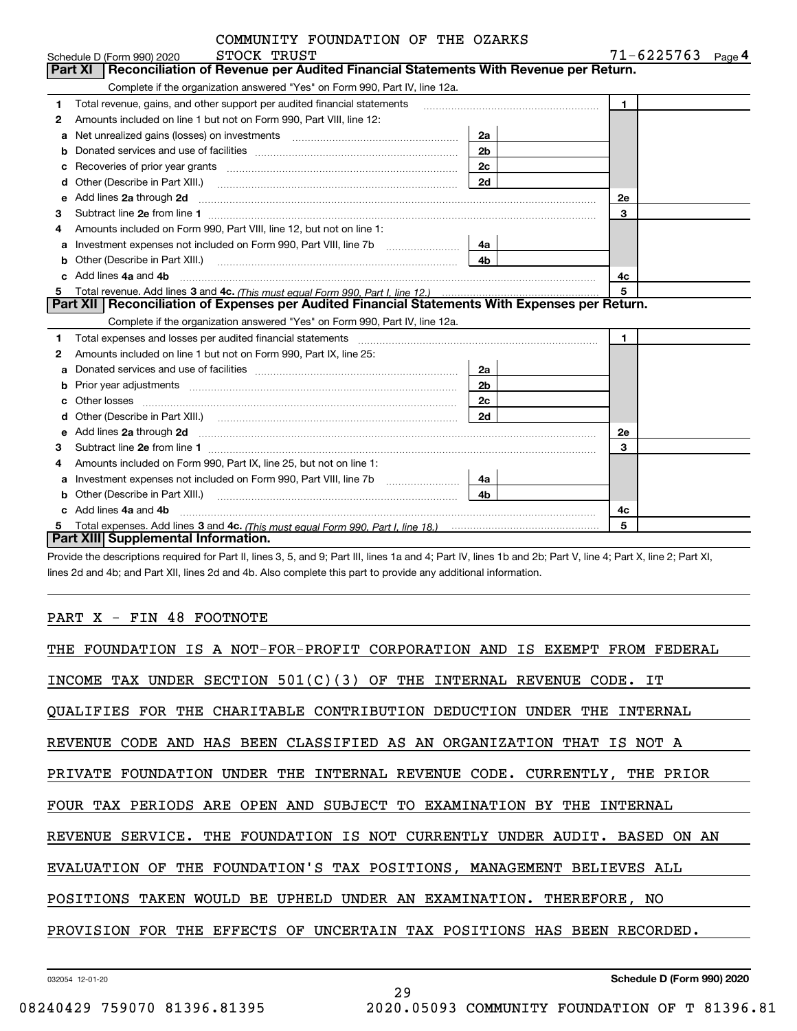|              | COMMUNITY FOUNDATION OF THE OZARKS |  |            |
|--------------|------------------------------------|--|------------|
| CMOCV MOTICM |                                    |  | 71.6005762 |

|   | STOCK TRUST<br>Schedule D (Form 990) 2020                                                                                                                                                                                          |                | 71-6225763<br>Page 4 |
|---|------------------------------------------------------------------------------------------------------------------------------------------------------------------------------------------------------------------------------------|----------------|----------------------|
|   | <b>Part XI</b><br>Reconciliation of Revenue per Audited Financial Statements With Revenue per Return.                                                                                                                              |                |                      |
|   | Complete if the organization answered "Yes" on Form 990, Part IV, line 12a.                                                                                                                                                        |                |                      |
| 1 | Total revenue, gains, and other support per audited financial statements                                                                                                                                                           |                | $\blacksquare$       |
| 2 | Amounts included on line 1 but not on Form 990, Part VIII, line 12:                                                                                                                                                                |                |                      |
| a |                                                                                                                                                                                                                                    | 2a             |                      |
| b |                                                                                                                                                                                                                                    | 2 <sub>b</sub> |                      |
| c | Recoveries of prior year grants [11,111] Recoveries of prior year grants [11,111] Recoveries of prior year grants                                                                                                                  | 2c             |                      |
| d |                                                                                                                                                                                                                                    | 2d             |                      |
| e | Add lines 2a through 2d                                                                                                                                                                                                            |                | <b>2e</b>            |
| 3 |                                                                                                                                                                                                                                    |                | 3                    |
| 4 | Amounts included on Form 990, Part VIII, line 12, but not on line 1:                                                                                                                                                               |                |                      |
| a | Investment expenses not included on Form 990, Part VIII, line 7b [100] [100] [100] [100] [100] [100] [100] [10                                                                                                                     | 4a             |                      |
| b | Other (Describe in Part XIII.) <b>Construction Contract Construction</b> Chern Construction Construction Construction                                                                                                              | 4 <sub>b</sub> |                      |
|   | Add lines 4a and 4b                                                                                                                                                                                                                |                | 4c                   |
| 5 |                                                                                                                                                                                                                                    |                | 5                    |
|   | Part XII   Reconciliation of Expenses per Audited Financial Statements With Expenses per Return.                                                                                                                                   |                |                      |
|   | Complete if the organization answered "Yes" on Form 990, Part IV, line 12a.                                                                                                                                                        |                |                      |
| 1 |                                                                                                                                                                                                                                    |                | $\mathbf{1}$         |
| 2 | Amounts included on line 1 but not on Form 990, Part IX, line 25:                                                                                                                                                                  |                |                      |
| a |                                                                                                                                                                                                                                    | 2a             |                      |
| b | Prior year adjustments www.communication.com/www.communication.com/www.com/                                                                                                                                                        | 2 <sub>b</sub> |                      |
|   | Other losses                                                                                                                                                                                                                       | 2c             |                      |
| d |                                                                                                                                                                                                                                    | 2d             |                      |
| е | Add lines 2a through 2d <b>must be a constructed as the constant of the construction</b> and the state of the state of the state of the state of the state of the state of the state of the state of the state of the state of the |                | <b>2e</b>            |
| 3 |                                                                                                                                                                                                                                    |                | 3                    |
| 4 | Amounts included on Form 990, Part IX, line 25, but not on line 1:                                                                                                                                                                 |                |                      |
| a |                                                                                                                                                                                                                                    | 4a             |                      |
| b | Other (Describe in Part XIII.)                                                                                                                                                                                                     | 4 <sub>b</sub> |                      |
|   | c Add lines 4a and 4b                                                                                                                                                                                                              |                | 4c                   |
|   |                                                                                                                                                                                                                                    |                | 5                    |
|   | <b>Part XIII Supplemental Information.</b>                                                                                                                                                                                         |                |                      |

Provide the descriptions required for Part II, lines 3, 5, and 9; Part III, lines 1a and 4; Part IV, lines 1b and 2b; Part V, line 4; Part X, line 2; Part XI, lines 2d and 4b; and Part XII, lines 2d and 4b. Also complete this part to provide any additional information.

### PART X - FIN 48 FOOTNOTE

| THE FOUNDATION IS A NOT-FOR-PROFIT CORPORATION AND IS EXEMPT FROM FEDERAL |
|---------------------------------------------------------------------------|
| INCOME TAX UNDER SECTION $501(C)(3)$ OF THE INTERNAL REVENUE CODE. IT     |
| QUALIFIES FOR THE CHARITABLE CONTRIBUTION DEDUCTION UNDER THE INTERNAL    |
| REVENUE CODE AND HAS BEEN CLASSIFIED AS AN ORGANIZATION THAT IS NOT A     |
| PRIVATE FOUNDATION UNDER THE INTERNAL REVENUE CODE. CURRENTLY, THE PRIOR  |
| FOUR TAX PERIODS ARE OPEN AND SUBJECT TO EXAMINATION BY THE INTERNAL      |
| REVENUE SERVICE. THE FOUNDATION IS NOT CURRENTLY UNDER AUDIT. BASED ON AN |
| EVALUATION OF THE FOUNDATION'S TAX POSITIONS, MANAGEMENT BELIEVES ALL     |
| POSITIONS TAKEN WOULD BE UPHELD UNDER AN EXAMINATION. THEREFORE, NO       |
| PROVISION FOR THE EFFECTS OF UNCERTAIN TAX POSITIONS HAS BEEN RECORDED.   |
|                                                                           |

29

032054 12-01-20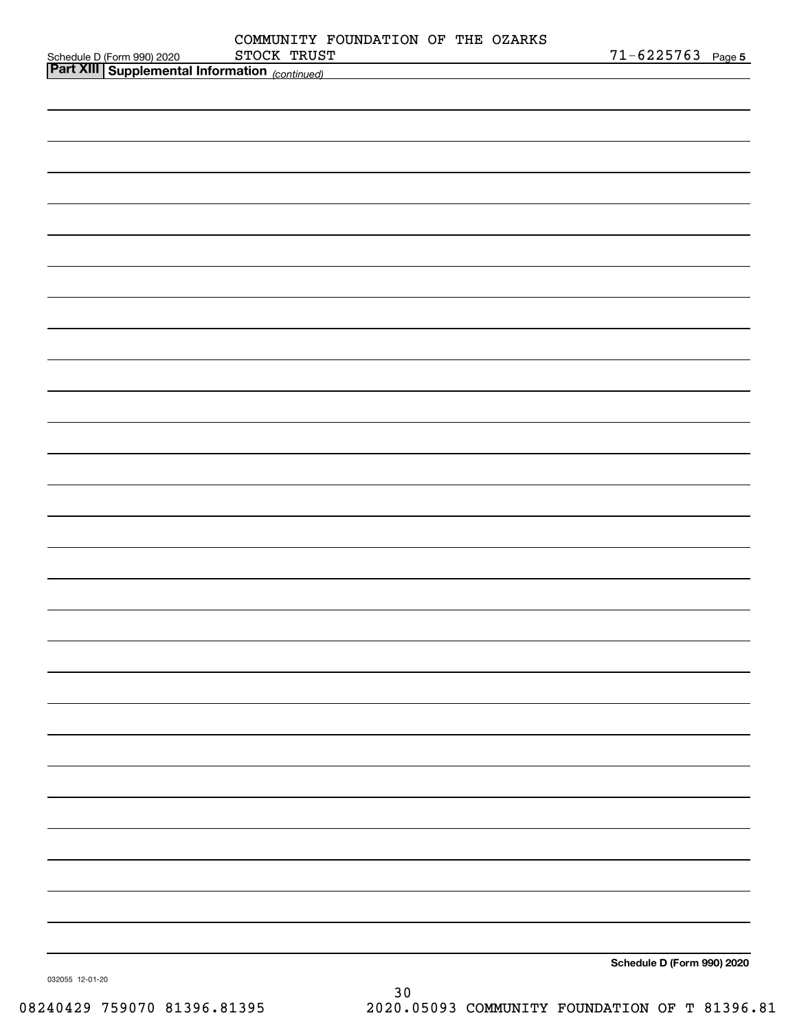|                                        | COMMUNITY FOUNDATION OF THE OZARKS                                                                                                  |                            |
|----------------------------------------|-------------------------------------------------------------------------------------------------------------------------------------|----------------------------|
| Schedule D (Form 990) 2020 STOCK TRUS' | STOCK TRUST<br><u> 1989 - Johann Barn, mars ann an t-Amhain Aonaich an t-Aonaich an t-Aonaich ann an t-Aonaich ann an t-Aonaich</u> | $71 - 6225763$ Page 5      |
|                                        |                                                                                                                                     |                            |
|                                        |                                                                                                                                     |                            |
|                                        |                                                                                                                                     |                            |
|                                        |                                                                                                                                     |                            |
|                                        |                                                                                                                                     |                            |
|                                        |                                                                                                                                     |                            |
|                                        |                                                                                                                                     |                            |
|                                        |                                                                                                                                     |                            |
|                                        |                                                                                                                                     |                            |
|                                        |                                                                                                                                     |                            |
|                                        |                                                                                                                                     |                            |
|                                        |                                                                                                                                     |                            |
|                                        |                                                                                                                                     |                            |
|                                        |                                                                                                                                     |                            |
|                                        |                                                                                                                                     |                            |
|                                        |                                                                                                                                     |                            |
|                                        |                                                                                                                                     |                            |
|                                        |                                                                                                                                     |                            |
|                                        |                                                                                                                                     |                            |
|                                        |                                                                                                                                     |                            |
|                                        |                                                                                                                                     |                            |
|                                        |                                                                                                                                     |                            |
|                                        |                                                                                                                                     |                            |
|                                        |                                                                                                                                     |                            |
|                                        |                                                                                                                                     |                            |
|                                        |                                                                                                                                     |                            |
|                                        |                                                                                                                                     |                            |
|                                        |                                                                                                                                     |                            |
|                                        |                                                                                                                                     |                            |
|                                        |                                                                                                                                     |                            |
|                                        |                                                                                                                                     |                            |
|                                        |                                                                                                                                     |                            |
|                                        |                                                                                                                                     |                            |
|                                        |                                                                                                                                     |                            |
|                                        |                                                                                                                                     |                            |
|                                        |                                                                                                                                     |                            |
|                                        |                                                                                                                                     |                            |
|                                        |                                                                                                                                     |                            |
|                                        |                                                                                                                                     |                            |
|                                        |                                                                                                                                     |                            |
|                                        |                                                                                                                                     |                            |
|                                        |                                                                                                                                     | Schedule D (Form 990) 2020 |
| 032055 12-01-20                        |                                                                                                                                     |                            |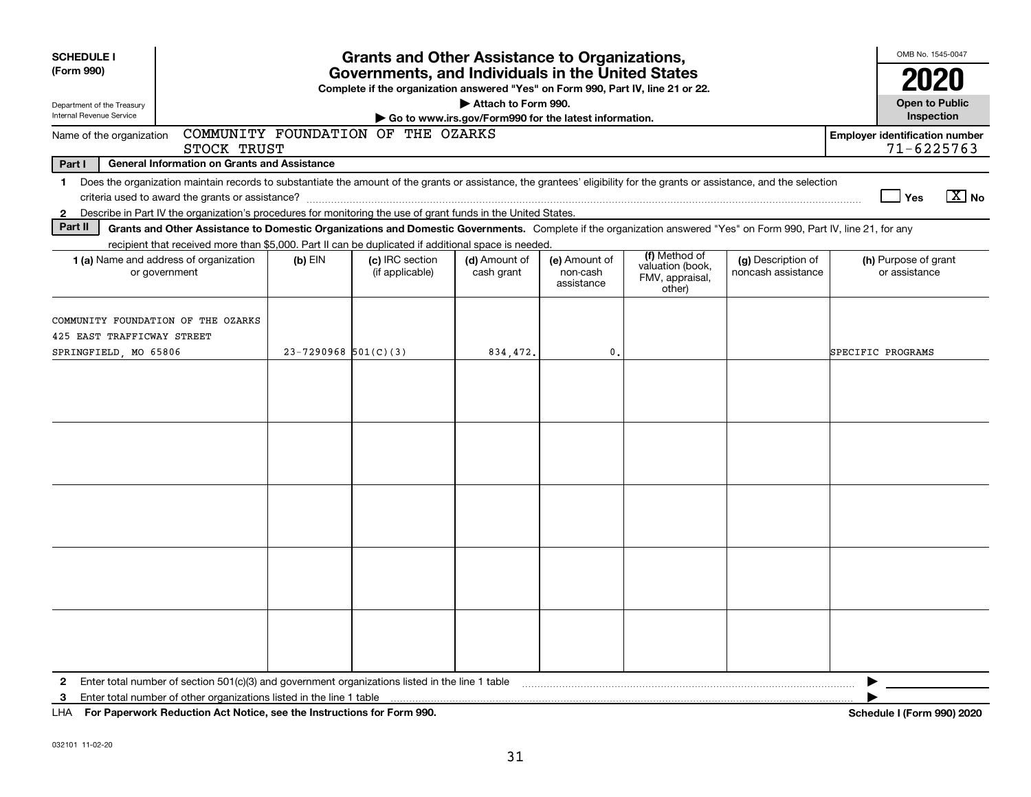| <b>SCHEDULE I</b>                                                                                                                                                                                                                                                                                                        |                                                     |                          | <b>Grants and Other Assistance to Organizations,</b>                                                                                      |                                                                              |                                         |                                                                |                                                                                                                                                                    |                                       | OMB No. 1545-0047                       |                       |  |
|--------------------------------------------------------------------------------------------------------------------------------------------------------------------------------------------------------------------------------------------------------------------------------------------------------------------------|-----------------------------------------------------|--------------------------|-------------------------------------------------------------------------------------------------------------------------------------------|------------------------------------------------------------------------------|-----------------------------------------|----------------------------------------------------------------|--------------------------------------------------------------------------------------------------------------------------------------------------------------------|---------------------------------------|-----------------------------------------|-----------------------|--|
| (Form 990)                                                                                                                                                                                                                                                                                                               |                                                     |                          | Governments, and Individuals in the United States<br>Complete if the organization answered "Yes" on Form 990, Part IV, line 21 or 22.     |                                                                              |                                         |                                                                |                                                                                                                                                                    |                                       | 2020                                    |                       |  |
| Department of the Treasury<br>Internal Revenue Service                                                                                                                                                                                                                                                                   |                                                     |                          |                                                                                                                                           | Attach to Form 990.<br>Go to www.irs.gov/Form990 for the latest information. |                                         |                                                                |                                                                                                                                                                    |                                       | <b>Open to Public</b><br>Inspection     |                       |  |
| Name of the organization                                                                                                                                                                                                                                                                                                 | STOCK TRUST                                         |                          | COMMUNITY FOUNDATION OF THE OZARKS                                                                                                        |                                                                              |                                         |                                                                |                                                                                                                                                                    | <b>Employer identification number</b> | $71 - 6225763$                          |                       |  |
| Part I                                                                                                                                                                                                                                                                                                                   | <b>General Information on Grants and Assistance</b> |                          |                                                                                                                                           |                                                                              |                                         |                                                                |                                                                                                                                                                    |                                       |                                         |                       |  |
| Does the organization maintain records to substantiate the amount of the grants or assistance, the grantees' eligibility for the grants or assistance, and the selection<br>$\mathbf 1$<br>Describe in Part IV the organization's procedures for monitoring the use of grant funds in the United States.<br>$\mathbf{2}$ |                                                     |                          |                                                                                                                                           |                                                                              |                                         |                                                                |                                                                                                                                                                    |                                       | ∣ Yes                                   | $\boxed{\text{X}}$ No |  |
| Part II                                                                                                                                                                                                                                                                                                                  |                                                     |                          |                                                                                                                                           |                                                                              |                                         |                                                                | Grants and Other Assistance to Domestic Organizations and Domestic Governments. Complete if the organization answered "Yes" on Form 990, Part IV, line 21, for any |                                       |                                         |                       |  |
| 1 (a) Name and address of organization<br>or government                                                                                                                                                                                                                                                                  |                                                     | $(b)$ EIN                | recipient that received more than \$5,000. Part II can be duplicated if additional space is needed.<br>(c) IRC section<br>(if applicable) | (d) Amount of<br>cash grant                                                  | (e) Amount of<br>non-cash<br>assistance | (f) Method of<br>valuation (book,<br>FMV, appraisal,<br>other) | (g) Description of<br>noncash assistance                                                                                                                           |                                       | (h) Purpose of grant<br>or assistance   |                       |  |
| COMMUNITY FOUNDATION OF THE OZARKS<br>425 EAST TRAFFICWAY STREET<br>SPRINGFIELD, MO 65806                                                                                                                                                                                                                                |                                                     | $23 - 7290968$ 501(C)(3) |                                                                                                                                           | 834,472.                                                                     | $\mathbf{0}$ .                          |                                                                |                                                                                                                                                                    | SPECIFIC PROGRAMS                     |                                         |                       |  |
|                                                                                                                                                                                                                                                                                                                          |                                                     |                          |                                                                                                                                           |                                                                              |                                         |                                                                |                                                                                                                                                                    |                                       |                                         |                       |  |
|                                                                                                                                                                                                                                                                                                                          |                                                     |                          |                                                                                                                                           |                                                                              |                                         |                                                                |                                                                                                                                                                    |                                       |                                         |                       |  |
|                                                                                                                                                                                                                                                                                                                          |                                                     |                          |                                                                                                                                           |                                                                              |                                         |                                                                |                                                                                                                                                                    |                                       |                                         |                       |  |
|                                                                                                                                                                                                                                                                                                                          |                                                     |                          |                                                                                                                                           |                                                                              |                                         |                                                                |                                                                                                                                                                    |                                       |                                         |                       |  |
|                                                                                                                                                                                                                                                                                                                          |                                                     |                          |                                                                                                                                           |                                                                              |                                         |                                                                |                                                                                                                                                                    |                                       |                                         |                       |  |
| $\mathbf{2}$<br>3<br>LUA Des Des concede Deduction Act Notice and the Instructions for Form 000                                                                                                                                                                                                                          |                                                     |                          |                                                                                                                                           |                                                                              |                                         |                                                                |                                                                                                                                                                    | $0 - h$                               | $A$ and $A$ in $B$ in $A$ in the second | 0.001000              |  |

**For Paperwork Reduction Act Notice, see the Instructions for Form 990. Schedule I (Form 990) 2020** LHA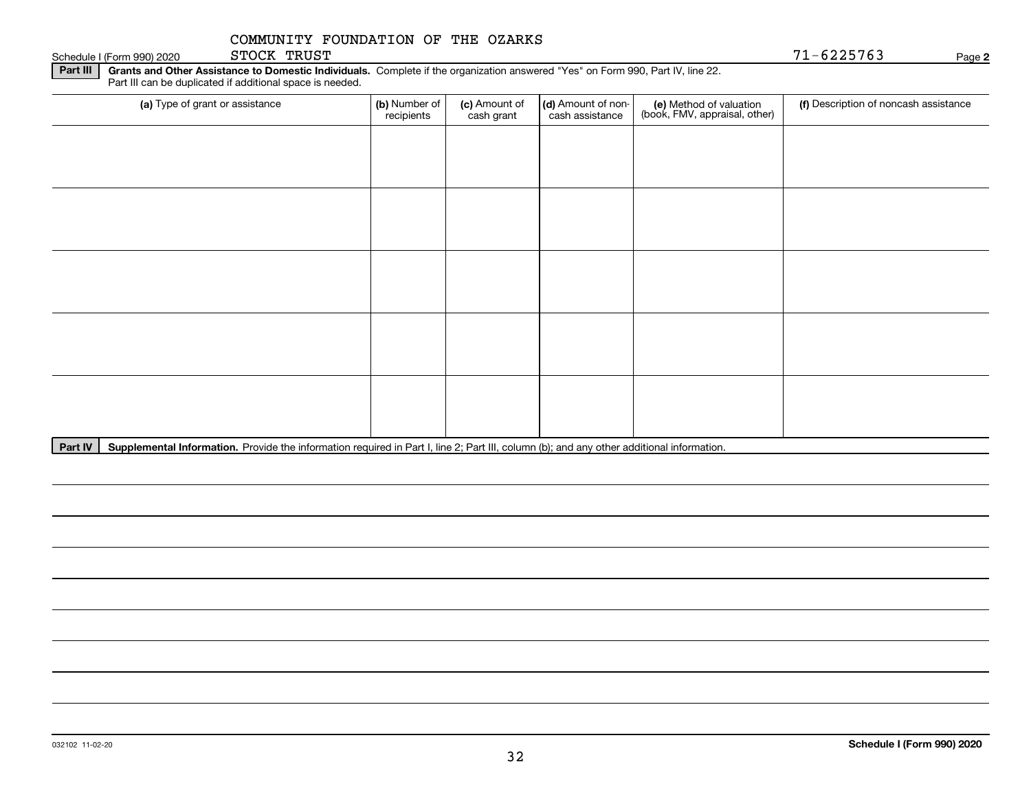Schedule I (Form 990) 2020 STOCK TRUST SALL STOCK TRUS EXECUTE 225763 STOCK TRUST

**2**

**Part III | Grants and Other Assistance to Domestic Individuals. Complete if the organization answered "Yes" on Form 990, Part IV, line 22.** Part III can be duplicated if additional space is needed.

| (a) Type of grant or assistance | (b) Number of<br>recipients | (c) Amount of<br>cash grant | (d) Amount of non-<br>cash assistance | (e) Method of valuation<br>(book, FMV, appraisal, other) | (f) Description of noncash assistance |
|---------------------------------|-----------------------------|-----------------------------|---------------------------------------|----------------------------------------------------------|---------------------------------------|
|                                 |                             |                             |                                       |                                                          |                                       |
|                                 |                             |                             |                                       |                                                          |                                       |
|                                 |                             |                             |                                       |                                                          |                                       |
|                                 |                             |                             |                                       |                                                          |                                       |
|                                 |                             |                             |                                       |                                                          |                                       |
|                                 |                             |                             |                                       |                                                          |                                       |
|                                 |                             |                             |                                       |                                                          |                                       |
|                                 |                             |                             |                                       |                                                          |                                       |
|                                 |                             |                             |                                       |                                                          |                                       |
|                                 |                             |                             |                                       |                                                          |                                       |

Part IV | Supplemental Information. Provide the information required in Part I, line 2; Part III, column (b); and any other additional information.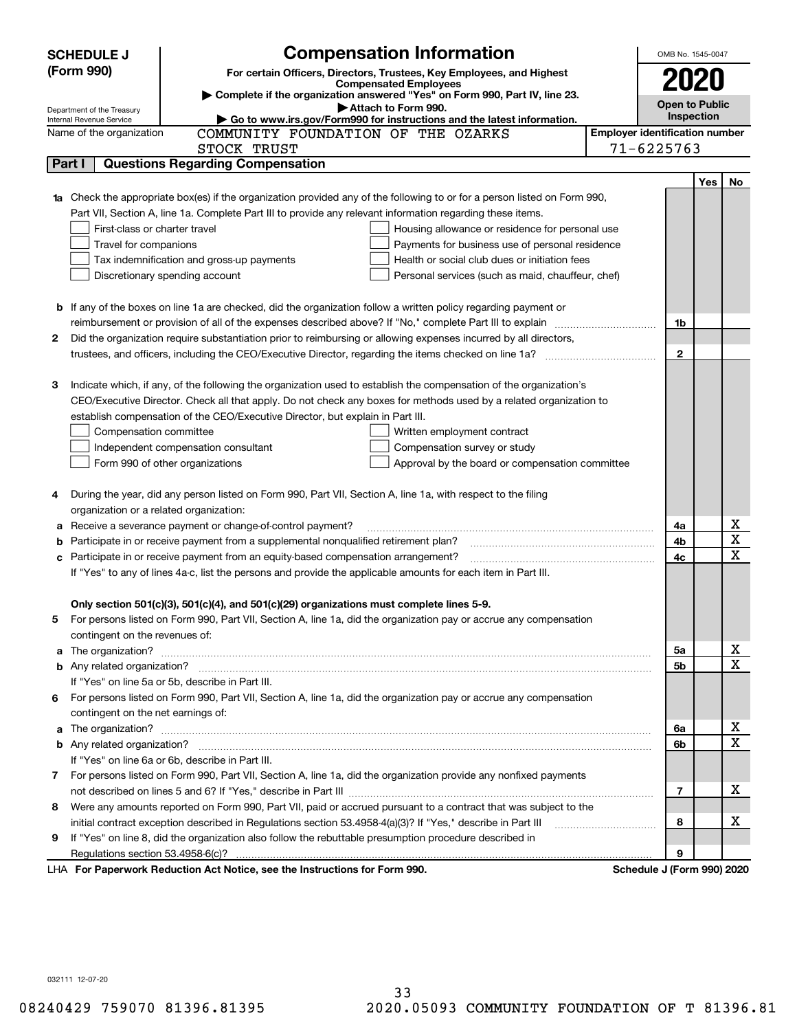|        | <b>Compensation Information</b><br><b>SCHEDULE J</b>                                                                             |                                       | OMB No. 1545-0047     |     |    |  |  |
|--------|----------------------------------------------------------------------------------------------------------------------------------|---------------------------------------|-----------------------|-----|----|--|--|
|        | (Form 990)<br>For certain Officers, Directors, Trustees, Key Employees, and Highest                                              |                                       |                       |     |    |  |  |
|        | <b>Compensated Employees</b>                                                                                                     |                                       | 2020                  |     |    |  |  |
|        | Complete if the organization answered "Yes" on Form 990, Part IV, line 23.<br>Attach to Form 990.                                |                                       | <b>Open to Public</b> |     |    |  |  |
|        | Department of the Treasury<br>Go to www.irs.gov/Form990 for instructions and the latest information.<br>Internal Revenue Service |                                       | Inspection            |     |    |  |  |
|        | COMMUNITY FOUNDATION OF THE OZARKS<br>Name of the organization                                                                   | <b>Employer identification number</b> |                       |     |    |  |  |
|        | STOCK TRUST                                                                                                                      | $71 - 6225763$                        |                       |     |    |  |  |
| Part I | <b>Questions Regarding Compensation</b>                                                                                          |                                       |                       |     |    |  |  |
|        |                                                                                                                                  |                                       |                       | Yes | No |  |  |
|        | Check the appropriate box(es) if the organization provided any of the following to or for a person listed on Form 990,           |                                       |                       |     |    |  |  |
|        | Part VII, Section A, line 1a. Complete Part III to provide any relevant information regarding these items.                       |                                       |                       |     |    |  |  |
|        | First-class or charter travel<br>Housing allowance or residence for personal use                                                 |                                       |                       |     |    |  |  |
|        | Travel for companions<br>Payments for business use of personal residence                                                         |                                       |                       |     |    |  |  |
|        | Tax indemnification and gross-up payments<br>Health or social club dues or initiation fees                                       |                                       |                       |     |    |  |  |
|        | Discretionary spending account<br>Personal services (such as maid, chauffeur, chef)                                              |                                       |                       |     |    |  |  |
|        |                                                                                                                                  |                                       |                       |     |    |  |  |
|        | <b>b</b> If any of the boxes on line 1a are checked, did the organization follow a written policy regarding payment or           |                                       |                       |     |    |  |  |
|        | reimbursement or provision of all of the expenses described above? If "No," complete Part III to explain                         |                                       | 1b                    |     |    |  |  |
| 2      | Did the organization require substantiation prior to reimbursing or allowing expenses incurred by all directors,                 |                                       |                       |     |    |  |  |
|        |                                                                                                                                  |                                       | $\mathbf{2}$          |     |    |  |  |
|        |                                                                                                                                  |                                       |                       |     |    |  |  |
| з      | Indicate which, if any, of the following the organization used to establish the compensation of the organization's               |                                       |                       |     |    |  |  |
|        | CEO/Executive Director. Check all that apply. Do not check any boxes for methods used by a related organization to               |                                       |                       |     |    |  |  |
|        | establish compensation of the CEO/Executive Director, but explain in Part III.                                                   |                                       |                       |     |    |  |  |
|        | Compensation committee<br>Written employment contract                                                                            |                                       |                       |     |    |  |  |
|        | Independent compensation consultant<br>Compensation survey or study                                                              |                                       |                       |     |    |  |  |
|        | Form 990 of other organizations<br>Approval by the board or compensation committee                                               |                                       |                       |     |    |  |  |
| 4      | During the year, did any person listed on Form 990, Part VII, Section A, line 1a, with respect to the filing                     |                                       |                       |     |    |  |  |
|        | organization or a related organization:                                                                                          |                                       |                       |     |    |  |  |
| а      | Receive a severance payment or change-of-control payment?                                                                        |                                       | 4a                    |     | х  |  |  |
| b      | Participate in or receive payment from a supplemental nonqualified retirement plan?                                              |                                       | 4b                    |     | X  |  |  |
| с      | Participate in or receive payment from an equity-based compensation arrangement?                                                 |                                       | 4c                    |     | X  |  |  |
|        | If "Yes" to any of lines 4a-c, list the persons and provide the applicable amounts for each item in Part III.                    |                                       |                       |     |    |  |  |
|        |                                                                                                                                  |                                       |                       |     |    |  |  |
|        | Only section 501(c)(3), 501(c)(4), and 501(c)(29) organizations must complete lines 5-9.                                         |                                       |                       |     |    |  |  |
| 5      | For persons listed on Form 990, Part VII, Section A, line 1a, did the organization pay or accrue any compensation                |                                       |                       |     |    |  |  |
|        | contingent on the revenues of:                                                                                                   |                                       |                       |     |    |  |  |
| a      |                                                                                                                                  |                                       | 5a                    |     | x  |  |  |
|        |                                                                                                                                  |                                       | 5b                    |     | X  |  |  |
|        | If "Yes" on line 5a or 5b, describe in Part III.                                                                                 |                                       |                       |     |    |  |  |
|        | 6 For persons listed on Form 990, Part VII, Section A, line 1a, did the organization pay or accrue any compensation              |                                       |                       |     |    |  |  |
|        | contingent on the net earnings of:                                                                                               |                                       |                       |     |    |  |  |
| a      |                                                                                                                                  |                                       | 6a                    |     | x  |  |  |
|        |                                                                                                                                  |                                       | 6b                    |     | X  |  |  |
|        | If "Yes" on line 6a or 6b, describe in Part III.                                                                                 |                                       |                       |     |    |  |  |
|        | 7 For persons listed on Form 990, Part VII, Section A, line 1a, did the organization provide any nonfixed payments               |                                       |                       |     |    |  |  |
|        |                                                                                                                                  |                                       | 7                     |     | х  |  |  |
| 8      | Were any amounts reported on Form 990, Part VII, paid or accrued pursuant to a contract that was subject to the                  |                                       |                       |     |    |  |  |
|        | initial contract exception described in Regulations section 53.4958-4(a)(3)? If "Yes," describe in Part III                      |                                       | 8                     |     | х  |  |  |
| 9      | If "Yes" on line 8, did the organization also follow the rebuttable presumption procedure described in                           |                                       |                       |     |    |  |  |
|        |                                                                                                                                  |                                       | 9                     |     |    |  |  |
|        | LHA For Paperwork Reduction Act Notice, see the Instructions for Form 990.                                                       | Schedule J (Form 990) 2020            |                       |     |    |  |  |

032111 12-07-20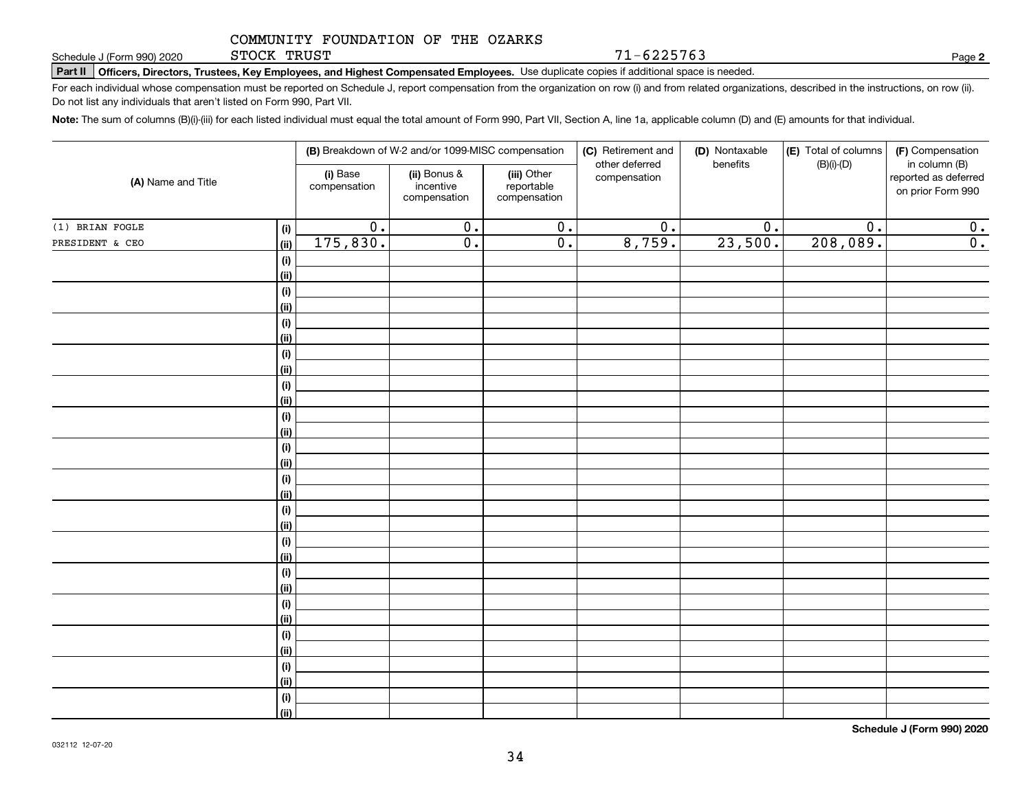STOCK TRUST

71-6225763

**2**

**Part II Officers, Directors, Trustees, Key Employees, and Highest Compensated Employees.**  Schedule J (Form 990) 2020 Page Use duplicate copies if additional space is needed.

For each individual whose compensation must be reported on Schedule J, report compensation from the organization on row (i) and from related organizations, described in the instructions, on row (ii). Do not list any individuals that aren't listed on Form 990, Part VII.

**Note:**  The sum of columns (B)(i)-(iii) for each listed individual must equal the total amount of Form 990, Part VII, Section A, line 1a, applicable column (D) and (E) amounts for that individual.

| (A) Name and Title |                    | (B) Breakdown of W-2 and/or 1099-MISC compensation |                                           |                                           | (C) Retirement and<br>other deferred | (D) Nontaxable | (E) Total of columns<br>$(B)(i)-(D)$<br>benefits |                                                            |  |
|--------------------|--------------------|----------------------------------------------------|-------------------------------------------|-------------------------------------------|--------------------------------------|----------------|--------------------------------------------------|------------------------------------------------------------|--|
|                    |                    | (i) Base<br>compensation                           | (ii) Bonus &<br>incentive<br>compensation | (iii) Other<br>reportable<br>compensation | compensation                         |                |                                                  | in column (B)<br>reported as deferred<br>on prior Form 990 |  |
| (1) BRIAN FOGLE    | (i)                | $\overline{0}$ .                                   | $\overline{0}$ .                          | $\overline{0}$ .                          | $\overline{0}$ .                     | 0.             | $\overline{0}$ .                                 | 0.                                                         |  |
| PRESIDENT & CEO    | <u>(ii)</u>        | 175,830.                                           | $\overline{0}$ .                          | $\overline{0}$ .                          | 8,759.                               | 23,500.        | 208,089.                                         | 0.                                                         |  |
|                    | (i)                |                                                    |                                           |                                           |                                      |                |                                                  |                                                            |  |
|                    | <u>(ii)</u>        |                                                    |                                           |                                           |                                      |                |                                                  |                                                            |  |
|                    | (i)                |                                                    |                                           |                                           |                                      |                |                                                  |                                                            |  |
|                    | <u>(ii)</u>        |                                                    |                                           |                                           |                                      |                |                                                  |                                                            |  |
|                    | (i)                |                                                    |                                           |                                           |                                      |                |                                                  |                                                            |  |
|                    | <u>(ii)</u>        |                                                    |                                           |                                           |                                      |                |                                                  |                                                            |  |
|                    | (i)                |                                                    |                                           |                                           |                                      |                |                                                  |                                                            |  |
|                    | <u>(ii)</u>        |                                                    |                                           |                                           |                                      |                |                                                  |                                                            |  |
|                    | (i)<br><u>(ii)</u> |                                                    |                                           |                                           |                                      |                |                                                  |                                                            |  |
|                    | (i)                |                                                    |                                           |                                           |                                      |                |                                                  |                                                            |  |
|                    | <u>(ii)</u>        |                                                    |                                           |                                           |                                      |                |                                                  |                                                            |  |
|                    | (i)                |                                                    |                                           |                                           |                                      |                |                                                  |                                                            |  |
|                    | <u>(ii)</u>        |                                                    |                                           |                                           |                                      |                |                                                  |                                                            |  |
|                    | (i)                |                                                    |                                           |                                           |                                      |                |                                                  |                                                            |  |
|                    | <u>(ii)</u>        |                                                    |                                           |                                           |                                      |                |                                                  |                                                            |  |
|                    | (i)                |                                                    |                                           |                                           |                                      |                |                                                  |                                                            |  |
|                    | <u>(ii)</u>        |                                                    |                                           |                                           |                                      |                |                                                  |                                                            |  |
|                    | (i)                |                                                    |                                           |                                           |                                      |                |                                                  |                                                            |  |
|                    | <u>(ii)</u>        |                                                    |                                           |                                           |                                      |                |                                                  |                                                            |  |
|                    | (i)                |                                                    |                                           |                                           |                                      |                |                                                  |                                                            |  |
|                    | <u>(ii)</u>        |                                                    |                                           |                                           |                                      |                |                                                  |                                                            |  |
|                    | (i)<br><u>(ii)</u> |                                                    |                                           |                                           |                                      |                |                                                  |                                                            |  |
|                    | (i)                |                                                    |                                           |                                           |                                      |                |                                                  |                                                            |  |
|                    | <u>(ii)</u>        |                                                    |                                           |                                           |                                      |                |                                                  |                                                            |  |
|                    | (i)                |                                                    |                                           |                                           |                                      |                |                                                  |                                                            |  |
|                    | <u>(ii)</u>        |                                                    |                                           |                                           |                                      |                |                                                  |                                                            |  |
|                    | (i)                |                                                    |                                           |                                           |                                      |                |                                                  |                                                            |  |
|                    | $\overline{}}$     |                                                    |                                           |                                           |                                      |                |                                                  |                                                            |  |
|                    |                    |                                                    |                                           |                                           |                                      |                |                                                  |                                                            |  |

**Schedule J (Form 990) 2020**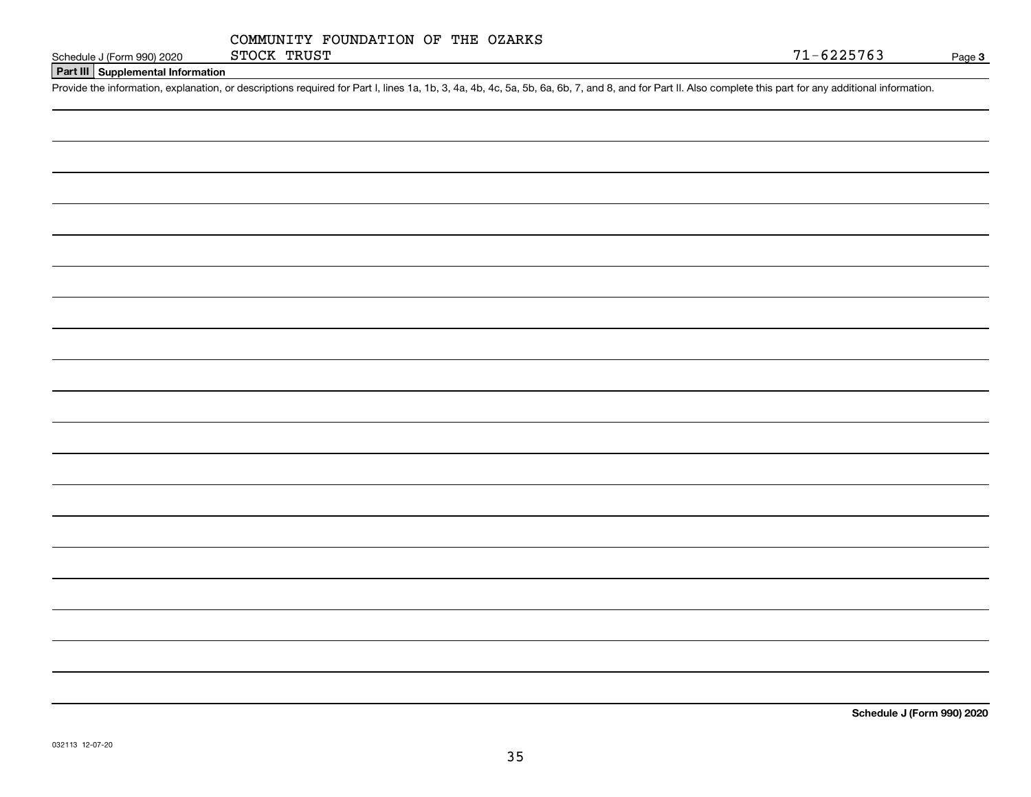|             | COMMUNITY FOUNDATION OF THE OZARKS |  |  |
|-------------|------------------------------------|--|--|
| STOCK TRUST |                                    |  |  |

**Part III Supplemental Information**

Schedule J (Form 990) 2020 STOCK TRUST<br>Part III Supplemental Information<br>Provide the information, explanation, or descriptions required for Part I, lines 1a, 1b, 3, 4a, 4b, 4c, 5a, 5b, 6a, 6b, 7, and 8, and for Part II. Al

**Schedule J (Form 990) 2020**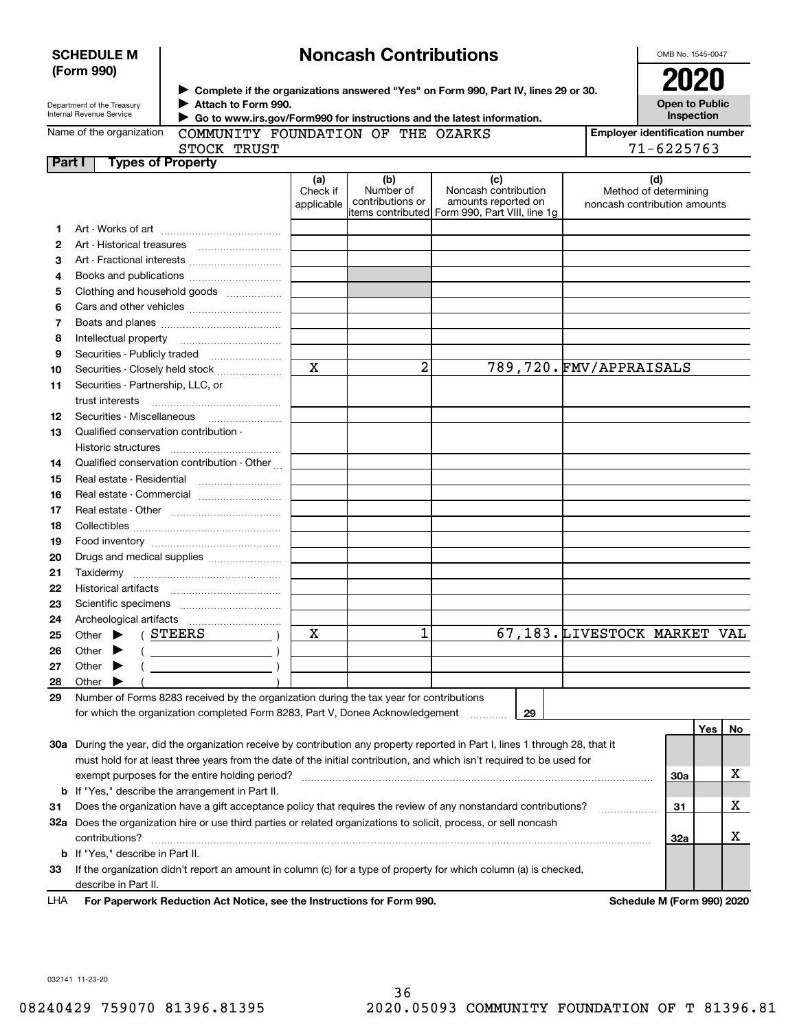| <b>SCHEDULE M</b> |  |
|-------------------|--|
| (Form 990)        |  |

# **Noncash Contributions**

OMB No. 1545-0047

| Department of the Treasury |
|----------------------------|
| Internal Revenue Service   |

**1213**

**Complete if the organizations answered "Yes" on Form 990, Part IV, lines 29 or 30.** <sup>J</sup>**2020 Attach to Form 990.** J

**Open to Public Inspection**

|  | Name of the organization |
|--|--------------------------|
|  |                          |

 **Go to www.irs.gov/Form990 for instructions and the latest information.** J MMUNITY FOUNDATION OF THE OZARKS

| ne organization |              | COMMUNITY FOUNDATI |
|-----------------|--------------|--------------------|
|                 | CMOCV MOTICM |                    |

**Employer identification number** 71-6225763

|               | JIULA INUDI              |                 |    |
|---------------|--------------------------|-----------------|----|
| <b>Part I</b> | <b>Types of Property</b> |                 |    |
|               |                          | 'aì<br>Check if | Nu |

| <b>Types of Property</b><br>t I             |                               |                                      |                                                                                                       |                                                              |
|---------------------------------------------|-------------------------------|--------------------------------------|-------------------------------------------------------------------------------------------------------|--------------------------------------------------------------|
|                                             | (a)<br>Check if<br>applicable | (b)<br>Number of<br>contributions or | (c)<br>Noncash contribution<br>amounts reported on<br>litems contributed Form 990, Part VIII, line 1g | (d)<br>Method of determining<br>noncash contribution amounts |
|                                             |                               |                                      |                                                                                                       |                                                              |
|                                             |                               |                                      |                                                                                                       |                                                              |
|                                             |                               |                                      |                                                                                                       |                                                              |
|                                             |                               |                                      |                                                                                                       |                                                              |
| Clothing and household goods                |                               |                                      |                                                                                                       |                                                              |
|                                             |                               |                                      |                                                                                                       |                                                              |
|                                             |                               |                                      |                                                                                                       |                                                              |
|                                             |                               |                                      |                                                                                                       |                                                              |
|                                             |                               |                                      |                                                                                                       |                                                              |
| Securities - Closely held stock             | X                             | 2                                    |                                                                                                       | 789,720. FMV/APPRAISALS                                      |
| Securities - Partnership, LLC, or           |                               |                                      |                                                                                                       |                                                              |
| trust interests                             |                               |                                      |                                                                                                       |                                                              |
| Securities - Miscellaneous                  |                               |                                      |                                                                                                       |                                                              |
| Qualified conservation contribution -       |                               |                                      |                                                                                                       |                                                              |
| Historic structures                         |                               |                                      |                                                                                                       |                                                              |
| Qualified conservation contribution - Other |                               |                                      |                                                                                                       |                                                              |
|                                             |                               |                                      |                                                                                                       |                                                              |
| Real estate - Commercial                    |                               |                                      |                                                                                                       |                                                              |
|                                             |                               |                                      |                                                                                                       |                                                              |
|                                             |                               |                                      |                                                                                                       |                                                              |
|                                             |                               |                                      |                                                                                                       |                                                              |
| Drugs and medical supplies                  |                               |                                      |                                                                                                       |                                                              |
| Taxidermy                                   |                               |                                      |                                                                                                       |                                                              |
|                                             |                               |                                      |                                                                                                       |                                                              |
|                                             |                               |                                      |                                                                                                       |                                                              |
|                                             |                               |                                      |                                                                                                       |                                                              |

| 25 | Other                                                                                   |  |  | STEERS                                                                        | A |  |  |    | 67,183.LIVESTOCK MARKET VAL |  |
|----|-----------------------------------------------------------------------------------------|--|--|-------------------------------------------------------------------------------|---|--|--|----|-----------------------------|--|
| 26 | Other                                                                                   |  |  |                                                                               |   |  |  |    |                             |  |
| 27 | Other                                                                                   |  |  |                                                                               |   |  |  |    |                             |  |
| 28 | Other                                                                                   |  |  |                                                                               |   |  |  |    |                             |  |
| 29 | Number of Forms 8283 received by the organization during the tax year for contributions |  |  |                                                                               |   |  |  |    |                             |  |
|    |                                                                                         |  |  | for which the organization completed Form 8283, Part V, Donee Acknowledgement |   |  |  | 29 |                             |  |

|     |                                                                                                                            |     | Yes | No |
|-----|----------------------------------------------------------------------------------------------------------------------------|-----|-----|----|
| 30a | During the year, did the organization receive by contribution any property reported in Part I, lines 1 through 28, that it |     |     |    |
|     | must hold for at least three years from the date of the initial contribution, and which isn't required to be used for      |     |     |    |
|     | exempt purposes for the entire holding period?                                                                             | 30a |     |    |
|     | <b>b</b> If "Yes," describe the arrangement in Part II.                                                                    |     |     |    |
| 31  | Does the organization have a gift acceptance policy that requires the review of any nonstandard contributions?             | 31  |     |    |
| 32a | Does the organization hire or use third parties or related organizations to solicit, process, or sell noncash              |     |     |    |
|     | contributions?                                                                                                             | 32a |     |    |
|     | <b>b</b> If "Yes," describe in Part II.                                                                                    |     |     |    |
| 33  | If the organization didn't report an amount in column (c) for a type of property for which column (a) is checked,          |     |     |    |
|     | describe in Part II.                                                                                                       |     |     |    |

**For Paperwork Reduction Act Notice, see the Instructions for Form 990. Schedule M (Form 990) 2020** LHA

032141 11-23-20

 $\frac{1}{67}$  103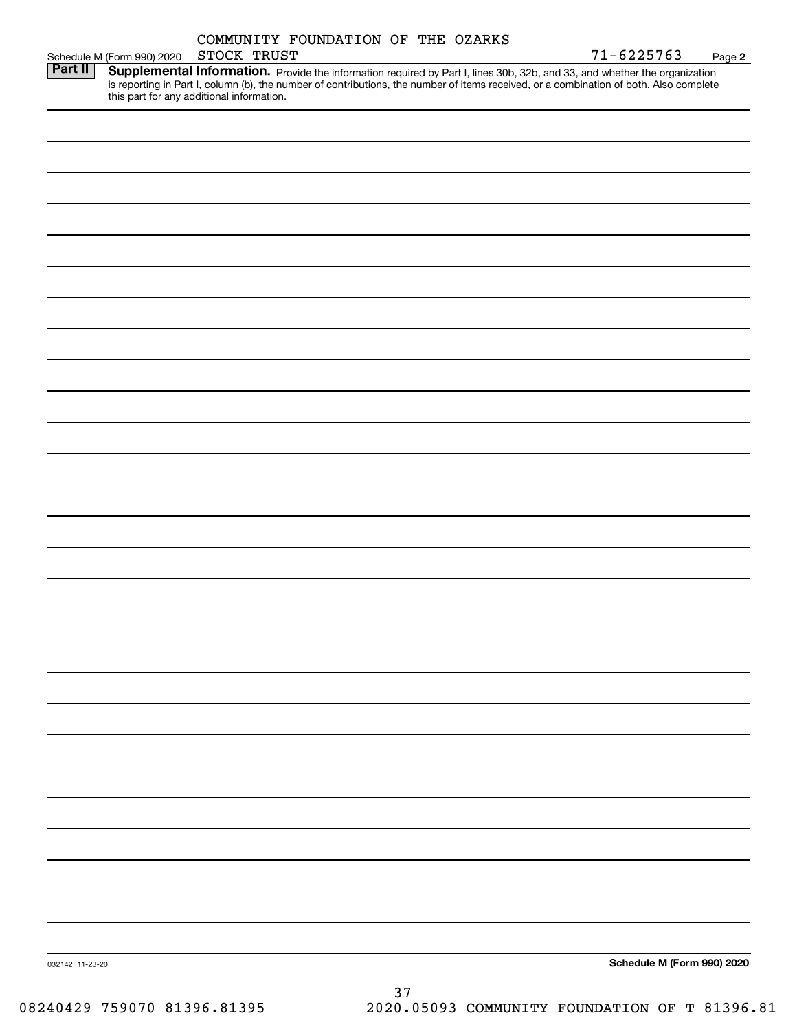|         | Schedule M (Form 990) 2020                | STOCK TRUST |  | COMMUNITY FOUNDATION OF THE OZARKS | $71 - 6225763$                                                                                                                                                                                                                                                       | Page 2 |
|---------|-------------------------------------------|-------------|--|------------------------------------|----------------------------------------------------------------------------------------------------------------------------------------------------------------------------------------------------------------------------------------------------------------------|--------|
| Part II | this part for any additional information. |             |  |                                    | Supplemental Information. Provide the information required by Part I, lines 30b, 32b, and 33, and whether the organization<br>is reporting in Part I, column (b), the number of contributions, the number of items received, or a combination of both. Also complete |        |
|         |                                           |             |  |                                    |                                                                                                                                                                                                                                                                      |        |
|         |                                           |             |  |                                    |                                                                                                                                                                                                                                                                      |        |
|         |                                           |             |  |                                    |                                                                                                                                                                                                                                                                      |        |
|         |                                           |             |  |                                    |                                                                                                                                                                                                                                                                      |        |
|         |                                           |             |  |                                    |                                                                                                                                                                                                                                                                      |        |
|         |                                           |             |  |                                    |                                                                                                                                                                                                                                                                      |        |
|         |                                           |             |  |                                    |                                                                                                                                                                                                                                                                      |        |
|         |                                           |             |  |                                    |                                                                                                                                                                                                                                                                      |        |
|         |                                           |             |  |                                    |                                                                                                                                                                                                                                                                      |        |
|         |                                           |             |  |                                    |                                                                                                                                                                                                                                                                      |        |
|         |                                           |             |  |                                    |                                                                                                                                                                                                                                                                      |        |
|         |                                           |             |  |                                    |                                                                                                                                                                                                                                                                      |        |
|         |                                           |             |  |                                    |                                                                                                                                                                                                                                                                      |        |
|         |                                           |             |  |                                    |                                                                                                                                                                                                                                                                      |        |
|         |                                           |             |  |                                    |                                                                                                                                                                                                                                                                      |        |
|         |                                           |             |  |                                    |                                                                                                                                                                                                                                                                      |        |
|         |                                           |             |  |                                    |                                                                                                                                                                                                                                                                      |        |
|         |                                           |             |  |                                    |                                                                                                                                                                                                                                                                      |        |
|         |                                           |             |  |                                    |                                                                                                                                                                                                                                                                      |        |
|         |                                           |             |  |                                    |                                                                                                                                                                                                                                                                      |        |
|         |                                           |             |  |                                    |                                                                                                                                                                                                                                                                      |        |
|         |                                           |             |  |                                    |                                                                                                                                                                                                                                                                      |        |
|         |                                           |             |  |                                    |                                                                                                                                                                                                                                                                      |        |
|         |                                           |             |  |                                    |                                                                                                                                                                                                                                                                      |        |
|         |                                           |             |  |                                    |                                                                                                                                                                                                                                                                      |        |
|         |                                           |             |  |                                    |                                                                                                                                                                                                                                                                      |        |
|         |                                           |             |  |                                    |                                                                                                                                                                                                                                                                      |        |
|         |                                           |             |  |                                    |                                                                                                                                                                                                                                                                      |        |
|         |                                           |             |  |                                    |                                                                                                                                                                                                                                                                      |        |
|         |                                           |             |  |                                    |                                                                                                                                                                                                                                                                      |        |
|         |                                           |             |  |                                    |                                                                                                                                                                                                                                                                      |        |
|         |                                           |             |  |                                    |                                                                                                                                                                                                                                                                      |        |
|         |                                           |             |  |                                    |                                                                                                                                                                                                                                                                      |        |
|         |                                           |             |  |                                    |                                                                                                                                                                                                                                                                      |        |
|         |                                           |             |  |                                    |                                                                                                                                                                                                                                                                      |        |
|         |                                           |             |  |                                    |                                                                                                                                                                                                                                                                      |        |
|         |                                           |             |  |                                    |                                                                                                                                                                                                                                                                      |        |
|         |                                           |             |  |                                    |                                                                                                                                                                                                                                                                      |        |
|         |                                           |             |  |                                    |                                                                                                                                                                                                                                                                      |        |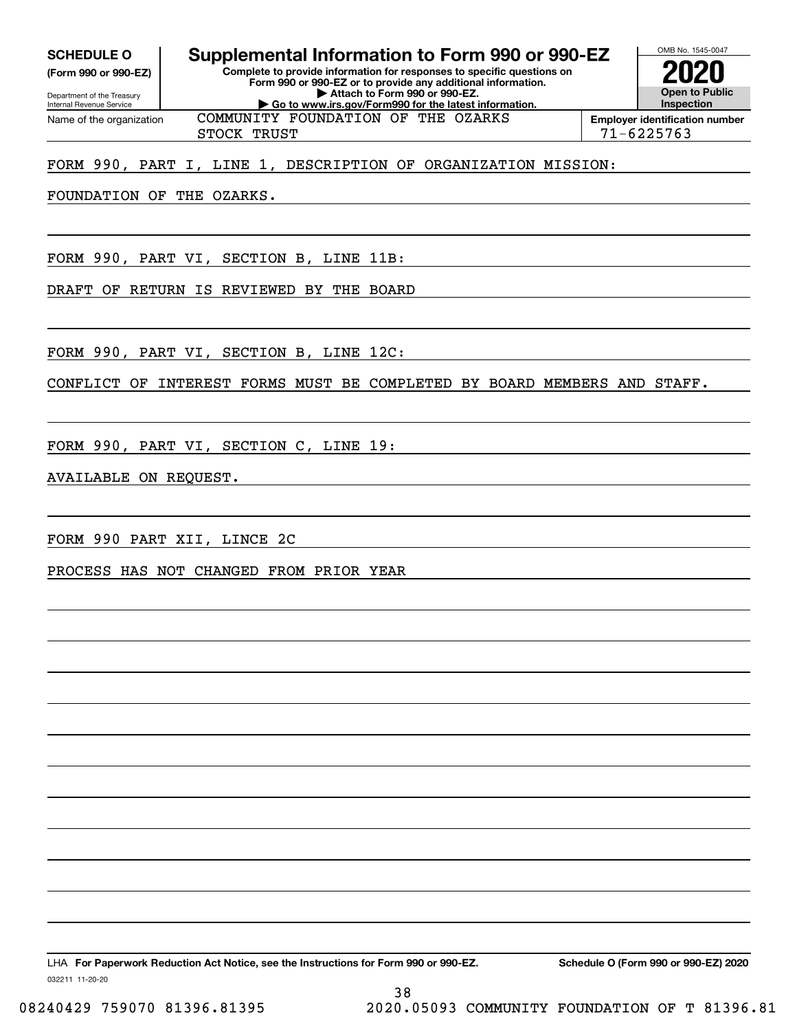**(Form 990 or 990-EZ)**

Department of the Treasury Internal Revenue Service Name of the organization

## **SCHEDULE O Supplemental Information to Form 990 or 990-EZ**

**Complete to provide information for responses to specific questions on Form 990 or 990-EZ or to provide any additional information. | Attach to Form 990 or 990-EZ. | Go to www.irs.gov/Form990 for the latest information.**



STOCK TRUST 71-6225763 COMMUNITY FOUNDATION OF THE OZARKS

### FORM 990, PART I, LINE 1, DESCRIPTION OF ORGANIZATION MISSION:

FOUNDATION OF THE OZARKS.

FORM 990, PART VI, SECTION B, LINE 11B:

DRAFT OF RETURN IS REVIEWED BY THE BOARD

FORM 990, PART VI, SECTION B, LINE 12C:

CONFLICT OF INTEREST FORMS MUST BE COMPLETED BY BOARD MEMBERS AND STAFF.

FORM 990, PART VI, SECTION C, LINE 19:

### AVAILABLE ON REQUEST.

FORM 990 PART XII, LINCE 2C

PROCESS HAS NOT CHANGED FROM PRIOR YEAR

032211 11-20-20 LHA For Paperwork Reduction Act Notice, see the Instructions for Form 990 or 990-EZ. Schedule O (Form 990 or 990-EZ) 2020

38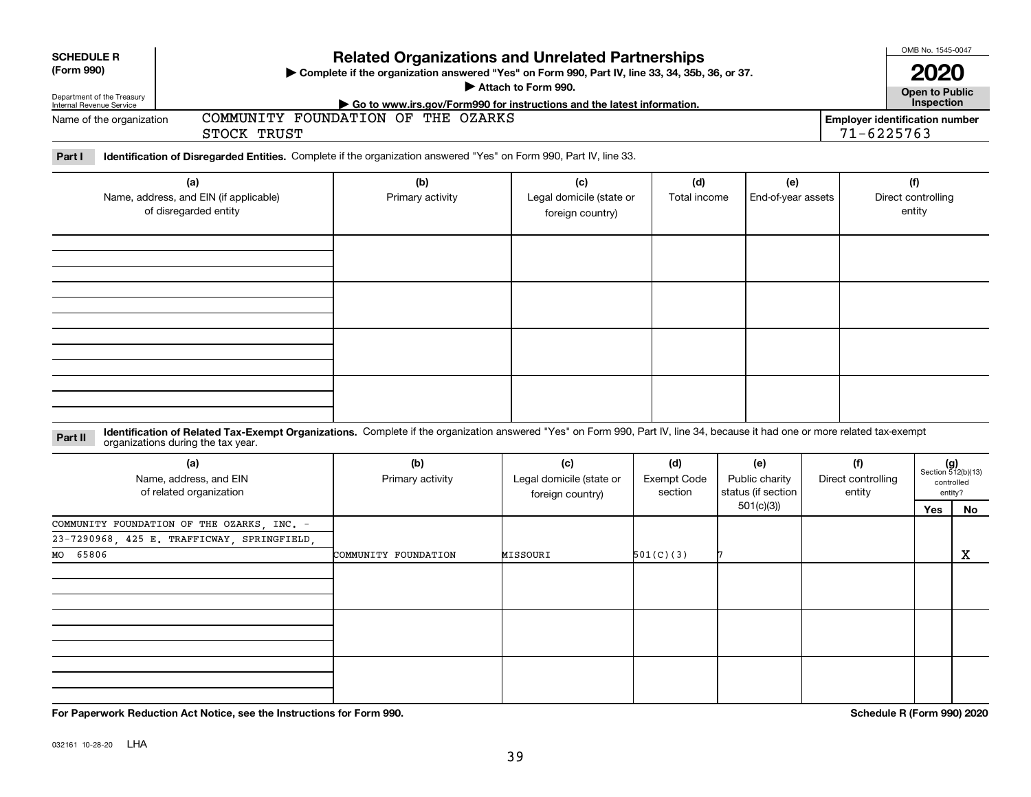| <b>SCHEDULE R</b><br>(Form 990)<br>Department of the Treasury<br>Internal Revenue Service           |                                                                        | <b>Related Organizations and Unrelated Partnerships</b><br>> Complete if the organization answered "Yes" on Form 990, Part IV, line 33, 34, 35b, 36, or 37.<br>Attach to Form 990. |                                                                                                              |                                      |                                                                                                 |  |                                                             |                                     | OMB No. 1545-0047<br><b>Open to Public</b><br>Inspection |
|-----------------------------------------------------------------------------------------------------|------------------------------------------------------------------------|------------------------------------------------------------------------------------------------------------------------------------------------------------------------------------|--------------------------------------------------------------------------------------------------------------|--------------------------------------|-------------------------------------------------------------------------------------------------|--|-------------------------------------------------------------|-------------------------------------|----------------------------------------------------------|
| Name of the organization                                                                            | STOCK TRUST                                                            |                                                                                                                                                                                    | Go to www.irs.gov/Form990 for instructions and the latest information.<br>COMMUNITY FOUNDATION OF THE OZARKS |                                      |                                                                                                 |  |                                                             |                                     |                                                          |
| Part I                                                                                              |                                                                        | Identification of Disregarded Entities. Complete if the organization answered "Yes" on Form 990, Part IV, line 33.                                                                 |                                                                                                              |                                      |                                                                                                 |  |                                                             |                                     |                                                          |
| (a)<br>Name, address, and EIN (if applicable)<br>of disregarded entity                              |                                                                        | (b)<br>Primary activity                                                                                                                                                            | (c)<br>Legal domicile (state or<br>foreign country)                                                          |                                      | (e)<br>Total income<br>End-of-year assets                                                       |  |                                                             | (f)<br>Direct controlling<br>entity |                                                          |
|                                                                                                     |                                                                        |                                                                                                                                                                                    |                                                                                                              |                                      |                                                                                                 |  |                                                             |                                     |                                                          |
| Part II<br>organizations during the tax year.                                                       |                                                                        | Identification of Related Tax-Exempt Organizations. Complete if the organization answered "Yes" on Form 990, Part IV, line 34, because it had one or more related tax-exempt       |                                                                                                              |                                      |                                                                                                 |  |                                                             |                                     |                                                          |
|                                                                                                     | (a)<br>Name, address, and EIN<br>of related organization               |                                                                                                                                                                                    | (c)<br>Legal domicile (state or<br>foreign country)                                                          | (d)<br><b>Exempt Code</b><br>section | (e)<br>(f)<br>Public charity<br>Direct controlling<br>status (if section<br>entity<br>501(c)(3) |  | $(g)$<br>Section 512(b)(13)<br>controlled<br>entity?<br>Yes |                                     | No                                                       |
| COMMUNITY FOUNDATION OF THE OZARKS INC. -<br>23-7290968, 425 E. TRAFFICWAY, SPRINGFIELD<br>MO 65806 |                                                                        | COMMUNITY FOUNDATION                                                                                                                                                               | MISSOURI                                                                                                     | 501(C)(3)                            |                                                                                                 |  |                                                             |                                     | x                                                        |
|                                                                                                     |                                                                        |                                                                                                                                                                                    |                                                                                                              |                                      |                                                                                                 |  |                                                             |                                     |                                                          |
|                                                                                                     | For Paperwork Reduction Act Notice, see the Instructions for Form 990. |                                                                                                                                                                                    |                                                                                                              |                                      |                                                                                                 |  |                                                             | Schedule R (Form 990) 2020          |                                                          |

032161 10-28-20 **LHA**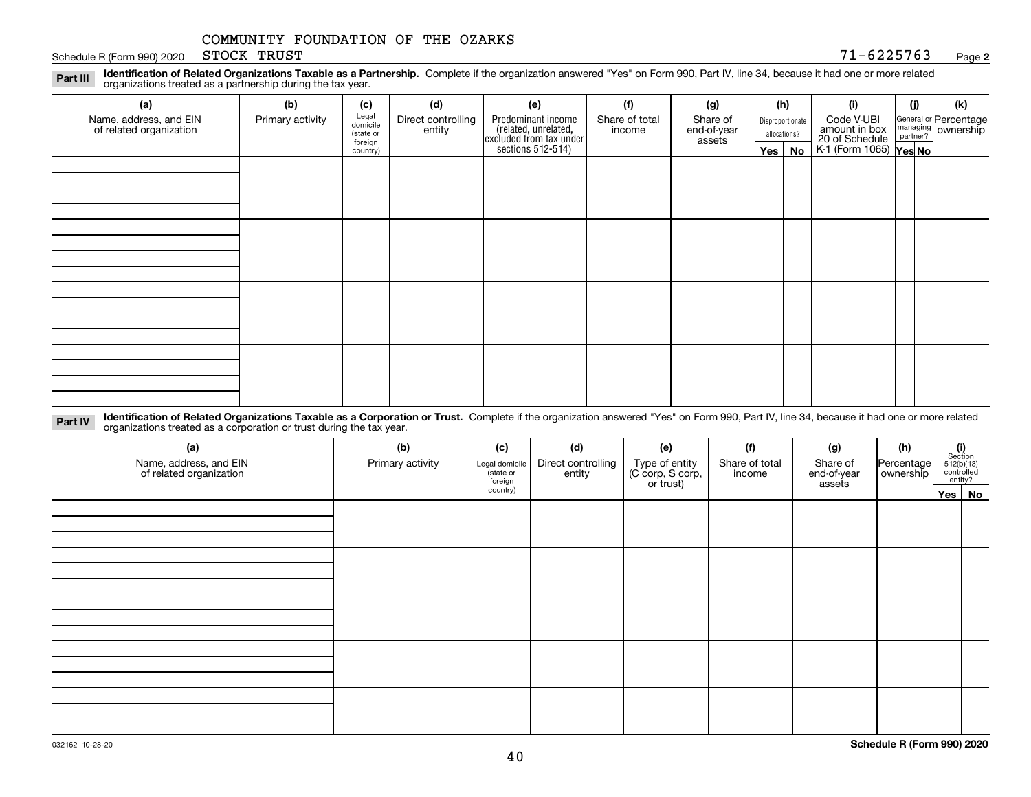Schedule R (Form 990) 2020 Page STOCK TRUST

**2**

**Identification of Related Organizations Taxable as a Partnership.** Complete if the organization answered "Yes" on Form 990, Part IV, line 34, because it had one or more related **Part III** organizations treated as a partnership during the tax year.

| (b)              | (c)      | (d)                                       | (e)                | (f)            | (g)                                                                            |                       |    | (i)                               | (j) | (k)                                                                                                                  |                  |  |            |  |  |
|------------------|----------|-------------------------------------------|--------------------|----------------|--------------------------------------------------------------------------------|-----------------------|----|-----------------------------------|-----|----------------------------------------------------------------------------------------------------------------------|------------------|--|------------|--|--|
| Primary activity |          | Direct controlling                        | Predominant income | Share of total |                                                                                |                       |    |                                   |     | Share of                                                                                                             | Disproportionate |  | Code V-UBI |  |  |
|                  |          |                                           |                    |                |                                                                                |                       |    |                                   |     |                                                                                                                      |                  |  |            |  |  |
|                  | country) |                                           |                    |                |                                                                                |                       | No |                                   |     |                                                                                                                      |                  |  |            |  |  |
|                  |          |                                           |                    |                |                                                                                |                       |    |                                   |     |                                                                                                                      |                  |  |            |  |  |
|                  |          |                                           |                    |                |                                                                                |                       |    |                                   |     |                                                                                                                      |                  |  |            |  |  |
|                  |          |                                           |                    |                |                                                                                |                       |    |                                   |     |                                                                                                                      |                  |  |            |  |  |
|                  |          |                                           |                    |                |                                                                                |                       |    |                                   |     |                                                                                                                      |                  |  |            |  |  |
|                  |          |                                           |                    |                |                                                                                |                       |    |                                   |     |                                                                                                                      |                  |  |            |  |  |
|                  |          |                                           |                    |                |                                                                                |                       |    |                                   |     |                                                                                                                      |                  |  |            |  |  |
|                  |          |                                           |                    |                |                                                                                |                       |    |                                   |     |                                                                                                                      |                  |  |            |  |  |
|                  |          |                                           |                    |                |                                                                                |                       |    |                                   |     |                                                                                                                      |                  |  |            |  |  |
|                  |          |                                           |                    |                |                                                                                |                       |    |                                   |     |                                                                                                                      |                  |  |            |  |  |
|                  |          |                                           |                    |                |                                                                                |                       |    |                                   |     |                                                                                                                      |                  |  |            |  |  |
|                  |          |                                           |                    |                |                                                                                |                       |    |                                   |     |                                                                                                                      |                  |  |            |  |  |
|                  |          |                                           |                    |                |                                                                                |                       |    |                                   |     |                                                                                                                      |                  |  |            |  |  |
|                  |          |                                           |                    |                |                                                                                |                       |    |                                   |     |                                                                                                                      |                  |  |            |  |  |
|                  |          |                                           |                    |                |                                                                                |                       |    |                                   |     |                                                                                                                      |                  |  |            |  |  |
|                  |          |                                           |                    |                |                                                                                |                       |    |                                   |     |                                                                                                                      |                  |  |            |  |  |
|                  |          |                                           |                    |                |                                                                                |                       |    |                                   |     |                                                                                                                      |                  |  |            |  |  |
|                  |          | Legal<br>domicile<br>(state or<br>foreign | entity             |                | (related, unrelated,<br>excluded from tax under<br>sections 512-514)<br>income | end-of-year<br>assets |    | (h)<br>allocations?<br>$Yes \mid$ |     | General or Percentage<br>managing ownership<br>partner?<br>amount in box<br>20 of Schedule<br>K-1 (Form 1065) Yes No |                  |  |            |  |  |

**Identification of Related Organizations Taxable as a Corporation or Trust.** Complete if the organization answered "Yes" on Form 990, Part IV, line 34, because it had one or more related **Part IV** organizations treated as a corporation or trust during the tax year.

| (a)<br>Name, address, and EIN<br>of related organization | (b)<br>Primary activity | (c)<br>Legal domicile<br>(state or<br>foreign | (d)<br>Direct controlling<br>entity | (e)<br>Type of entity<br>(C corp, S corp,<br>or trust) | (f)<br>Share of total<br>income | (g)<br>Share of<br>end-of-year<br>assets | (h)<br>Percentage<br>ownership | $\begin{array}{c} \textbf{(i)}\\ \text{Section}\\ 512 \text{(b)} \text{(13)}\\ \text{controlled}\\ \text{entity?} \end{array}$ |
|----------------------------------------------------------|-------------------------|-----------------------------------------------|-------------------------------------|--------------------------------------------------------|---------------------------------|------------------------------------------|--------------------------------|--------------------------------------------------------------------------------------------------------------------------------|
|                                                          |                         | country)                                      |                                     |                                                        |                                 |                                          |                                | Yes No                                                                                                                         |
|                                                          |                         |                                               |                                     |                                                        |                                 |                                          |                                |                                                                                                                                |
|                                                          |                         |                                               |                                     |                                                        |                                 |                                          |                                |                                                                                                                                |
|                                                          |                         |                                               |                                     |                                                        |                                 |                                          |                                |                                                                                                                                |
|                                                          |                         |                                               |                                     |                                                        |                                 |                                          |                                |                                                                                                                                |
|                                                          |                         |                                               |                                     |                                                        |                                 |                                          |                                |                                                                                                                                |
|                                                          |                         |                                               |                                     |                                                        |                                 |                                          |                                |                                                                                                                                |
|                                                          |                         |                                               |                                     |                                                        |                                 |                                          |                                |                                                                                                                                |
|                                                          |                         |                                               |                                     |                                                        |                                 |                                          |                                |                                                                                                                                |
|                                                          |                         |                                               |                                     |                                                        |                                 |                                          |                                |                                                                                                                                |
|                                                          |                         |                                               |                                     |                                                        |                                 |                                          |                                |                                                                                                                                |
|                                                          |                         |                                               |                                     |                                                        |                                 |                                          |                                |                                                                                                                                |
|                                                          |                         |                                               |                                     |                                                        |                                 |                                          |                                |                                                                                                                                |
|                                                          |                         |                                               |                                     |                                                        |                                 |                                          |                                |                                                                                                                                |
|                                                          |                         |                                               |                                     |                                                        |                                 |                                          |                                |                                                                                                                                |
|                                                          |                         |                                               |                                     |                                                        |                                 |                                          |                                |                                                                                                                                |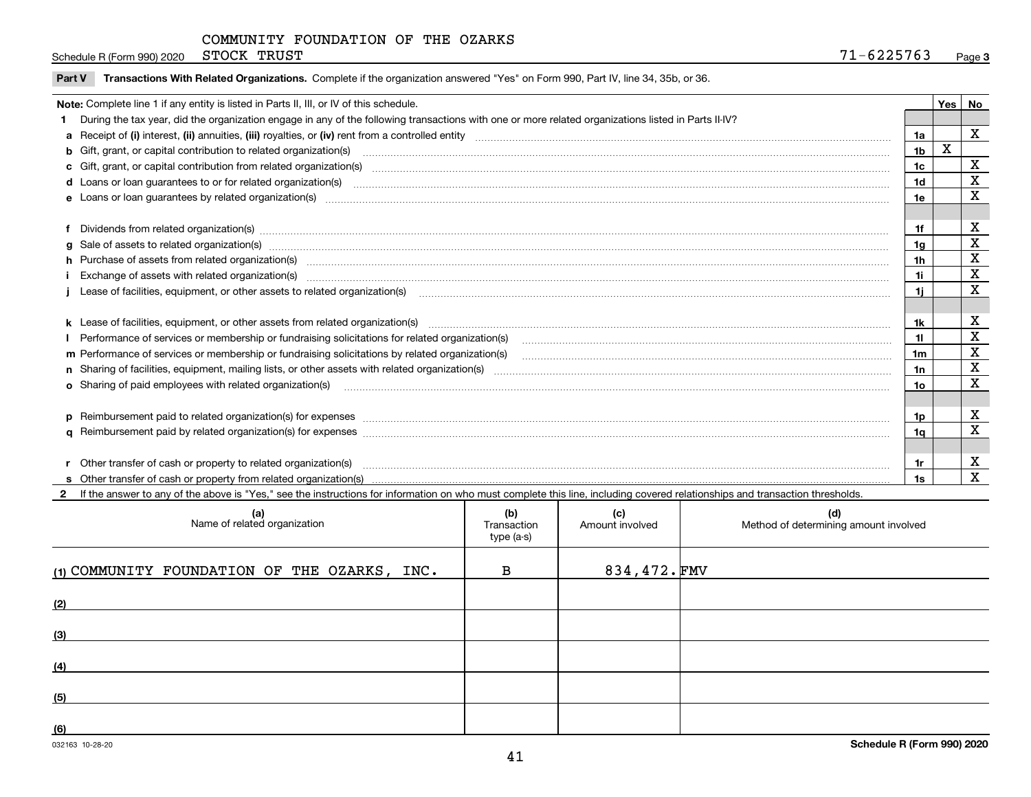Schedule R (Form 990) 2020 STOCK TRUST  $71-6225763$ STOCK TRUST

|  | Part V Transactions With Related Organizations. Complete if the organization answered "Yes" on Form 990, Part IV, line 34, 35b, or 36 |  |  |
|--|---------------------------------------------------------------------------------------------------------------------------------------|--|--|
|--|---------------------------------------------------------------------------------------------------------------------------------------|--|--|

| Note: Complete line 1 if any entity is listed in Parts II, III, or IV of this schedule.                                                                                                                                        |                | Yes   No |             |
|--------------------------------------------------------------------------------------------------------------------------------------------------------------------------------------------------------------------------------|----------------|----------|-------------|
| 1 During the tax year, did the organization engage in any of the following transactions with one or more related organizations listed in Parts II-IV?                                                                          |                |          |             |
| a Receipt of (i) interest, (ii) annuities, (iii) royalties, or (iv) rent from a controlled entity [1] controllection [1] controllection [1] controllection [1] controllection [1] controllection [1] controlled entity [1] con | 1a             |          | $\mathbf X$ |
| b Gift, grant, or capital contribution to related organization(s) manufaction contains and contribution to related organization(s) manufaction contribution for related organization(s) manufaction contains and contribution  | 1 <sub>b</sub> | х        |             |
|                                                                                                                                                                                                                                | 1 <sub>c</sub> |          | х           |
| d Loans or loan guarantees to or for related organization(s) committion contracts are constructed as a contract or contract or contract or contract or contract or contract or contract or contract or contract or contract or | 1d             |          | X           |
|                                                                                                                                                                                                                                | 1e             |          | X           |
|                                                                                                                                                                                                                                |                |          |             |
| f Dividends from related organization(s) manufactured contains and contained and contained contained and contained and contained and contained and contained and contained and contained and contained and contained and conta | 1f             |          | х           |
| g Sale of assets to related organization(s) material contents and content and content of the set of assets to related organization(s)                                                                                          | 1 <sub>q</sub> |          | X           |
|                                                                                                                                                                                                                                | 1 <sub>h</sub> |          | х           |
| i Exchange of assets with related organization(s) machinesis and content to the content of the content of the content of the content of the content of the content of the content of the content of the content of the content | 1i             |          | х           |
| Lease of facilities, equipment, or other assets to related organization(s) manufaction content to content the manufacture of facilities, equipment, or other assets to related organization(s) manufaction content to content  | 1i             |          | X           |
|                                                                                                                                                                                                                                |                |          |             |
|                                                                                                                                                                                                                                | 1k             |          | X           |
|                                                                                                                                                                                                                                | 11             |          | X           |
|                                                                                                                                                                                                                                | 1m             |          | X           |
|                                                                                                                                                                                                                                | 1n             |          | X           |
| <b>o</b> Sharing of paid employees with related organization(s)                                                                                                                                                                | 1o             |          | X           |
|                                                                                                                                                                                                                                |                |          |             |
|                                                                                                                                                                                                                                | 1p             |          | х           |
|                                                                                                                                                                                                                                | 1q             |          | X           |
|                                                                                                                                                                                                                                |                |          |             |
| Other transfer of cash or property to related organization(s)                                                                                                                                                                  | 1r             |          | х           |
|                                                                                                                                                                                                                                |                |          | X           |

**2**If the answer to any of the above is "Yes," see the instructions for information on who must complete this line, including covered relationships and transaction thresholds.

| (a)<br>Name of related organization          | (b)<br>Transaction<br>type (a-s) | (c)<br>Amount involved | (d)<br>Method of determining amount involved |
|----------------------------------------------|----------------------------------|------------------------|----------------------------------------------|
| (1) COMMUNITY FOUNDATION OF THE OZARKS, INC. | в                                | 834,472.FMV            |                                              |
| (2)                                          |                                  |                        |                                              |
| (3)                                          |                                  |                        |                                              |
| (4)                                          |                                  |                        |                                              |
| (5)                                          |                                  |                        |                                              |
| (6)                                          |                                  |                        |                                              |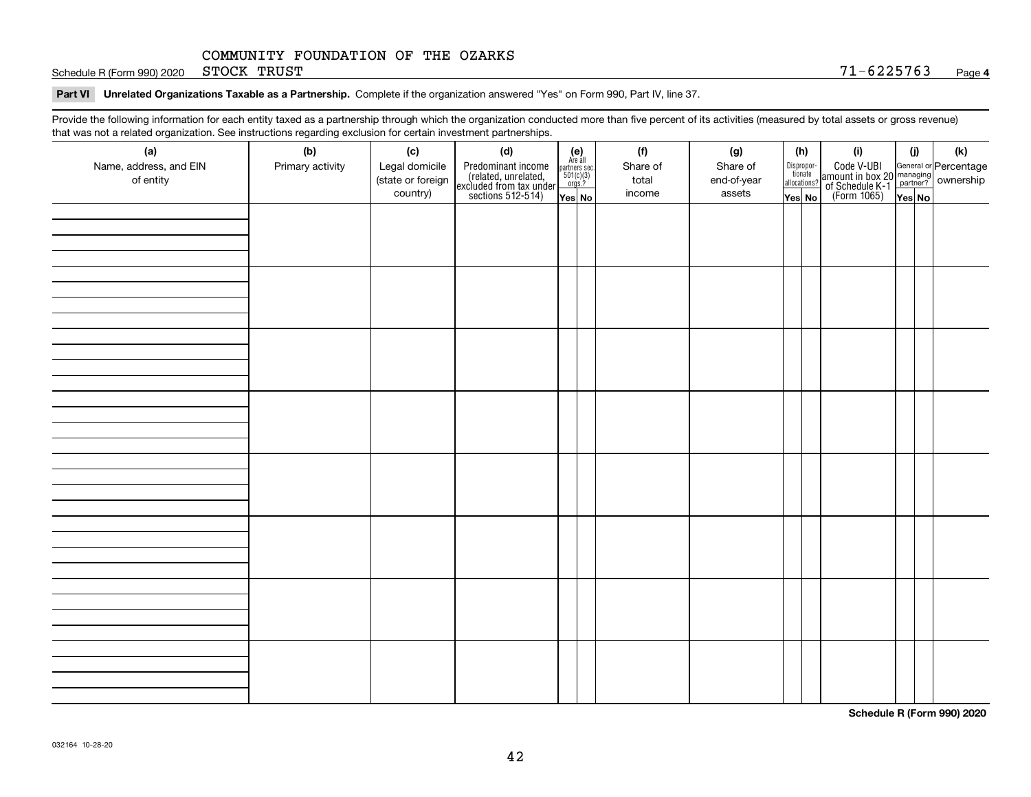Schedule R (Form 990) 2020 STOCK TRUST  $71-6225763$ STOCK TRUST

#### **Part VI Unrelated Organizations Taxable as a Partnership. Complete if the organization answered "Yes" on Form 990, Part IV, line 37.**

Provide the following information for each entity taxed as a partnership through which the organization conducted more than five percent of its activities (measured by total assets or gross revenue) that was not a related organization. See instructions regarding exclusion for certain investment partnerships.

| that machieve a related erganization. See includitional regarding excludion for contain invectment partnerompe.<br>(a) | (b)              | (c)                                 | (d)                                                                                        |                                                                                                                  |  | (f)               | (g)                     | (h)                              | (i)                                                                                          | (i) | (k) |
|------------------------------------------------------------------------------------------------------------------------|------------------|-------------------------------------|--------------------------------------------------------------------------------------------|------------------------------------------------------------------------------------------------------------------|--|-------------------|-------------------------|----------------------------------|----------------------------------------------------------------------------------------------|-----|-----|
| Name, address, and EIN<br>of entity                                                                                    | Primary activity | Legal domicile<br>(state or foreign | Predominant income<br>(related, unrelated,<br>excluded from tax under<br>sections 512-514) | $\begin{array}{c} \textbf{(e)}\\ \text{Are all} \\ \text{partners sec.}\\ 501(c)(3)\\ \text{orgs.?} \end{array}$ |  | Share of<br>total | Share of<br>end-of-year | Disproportionate<br>allocations? | Code V-UBI<br>amount in box 20 managing<br>of Schedule K-1 partner?<br>(Form 1065)<br>ves No |     |     |
|                                                                                                                        |                  | country)                            |                                                                                            | Yes No                                                                                                           |  | income            | assets                  | Yes No                           |                                                                                              |     |     |
|                                                                                                                        |                  |                                     |                                                                                            |                                                                                                                  |  |                   |                         |                                  |                                                                                              |     |     |
|                                                                                                                        |                  |                                     |                                                                                            |                                                                                                                  |  |                   |                         |                                  |                                                                                              |     |     |
|                                                                                                                        |                  |                                     |                                                                                            |                                                                                                                  |  |                   |                         |                                  |                                                                                              |     |     |
|                                                                                                                        |                  |                                     |                                                                                            |                                                                                                                  |  |                   |                         |                                  |                                                                                              |     |     |
|                                                                                                                        |                  |                                     |                                                                                            |                                                                                                                  |  |                   |                         |                                  |                                                                                              |     |     |
|                                                                                                                        |                  |                                     |                                                                                            |                                                                                                                  |  |                   |                         |                                  |                                                                                              |     |     |
|                                                                                                                        |                  |                                     |                                                                                            |                                                                                                                  |  |                   |                         |                                  |                                                                                              |     |     |
|                                                                                                                        |                  |                                     |                                                                                            |                                                                                                                  |  |                   |                         |                                  |                                                                                              |     |     |
|                                                                                                                        |                  |                                     |                                                                                            |                                                                                                                  |  |                   |                         |                                  |                                                                                              |     |     |
|                                                                                                                        |                  |                                     |                                                                                            |                                                                                                                  |  |                   |                         |                                  |                                                                                              |     |     |
|                                                                                                                        |                  |                                     |                                                                                            |                                                                                                                  |  |                   |                         |                                  |                                                                                              |     |     |
|                                                                                                                        |                  |                                     |                                                                                            |                                                                                                                  |  |                   |                         |                                  |                                                                                              |     |     |
|                                                                                                                        |                  |                                     |                                                                                            |                                                                                                                  |  |                   |                         |                                  |                                                                                              |     |     |
|                                                                                                                        |                  |                                     |                                                                                            |                                                                                                                  |  |                   |                         |                                  |                                                                                              |     |     |
|                                                                                                                        |                  |                                     |                                                                                            |                                                                                                                  |  |                   |                         |                                  |                                                                                              |     |     |
|                                                                                                                        |                  |                                     |                                                                                            |                                                                                                                  |  |                   |                         |                                  |                                                                                              |     |     |
|                                                                                                                        |                  |                                     |                                                                                            |                                                                                                                  |  |                   |                         |                                  |                                                                                              |     |     |
|                                                                                                                        |                  |                                     |                                                                                            |                                                                                                                  |  |                   |                         |                                  |                                                                                              |     |     |
|                                                                                                                        |                  |                                     |                                                                                            |                                                                                                                  |  |                   |                         |                                  |                                                                                              |     |     |
|                                                                                                                        |                  |                                     |                                                                                            |                                                                                                                  |  |                   |                         |                                  |                                                                                              |     |     |
|                                                                                                                        |                  |                                     |                                                                                            |                                                                                                                  |  |                   |                         |                                  |                                                                                              |     |     |
|                                                                                                                        |                  |                                     |                                                                                            |                                                                                                                  |  |                   |                         |                                  |                                                                                              |     |     |
|                                                                                                                        |                  |                                     |                                                                                            |                                                                                                                  |  |                   |                         |                                  |                                                                                              |     |     |
|                                                                                                                        |                  |                                     |                                                                                            |                                                                                                                  |  |                   |                         |                                  |                                                                                              |     |     |
|                                                                                                                        |                  |                                     |                                                                                            |                                                                                                                  |  |                   |                         |                                  |                                                                                              |     |     |
|                                                                                                                        |                  |                                     |                                                                                            |                                                                                                                  |  |                   |                         |                                  |                                                                                              |     |     |
|                                                                                                                        |                  |                                     |                                                                                            |                                                                                                                  |  |                   |                         |                                  |                                                                                              |     |     |
|                                                                                                                        |                  |                                     |                                                                                            |                                                                                                                  |  |                   |                         |                                  |                                                                                              |     |     |
|                                                                                                                        |                  |                                     |                                                                                            |                                                                                                                  |  |                   |                         |                                  |                                                                                              |     |     |
|                                                                                                                        |                  |                                     |                                                                                            |                                                                                                                  |  |                   |                         |                                  |                                                                                              |     |     |
|                                                                                                                        |                  |                                     |                                                                                            |                                                                                                                  |  |                   |                         |                                  |                                                                                              |     |     |

**Schedule R (Form 990) 2020**